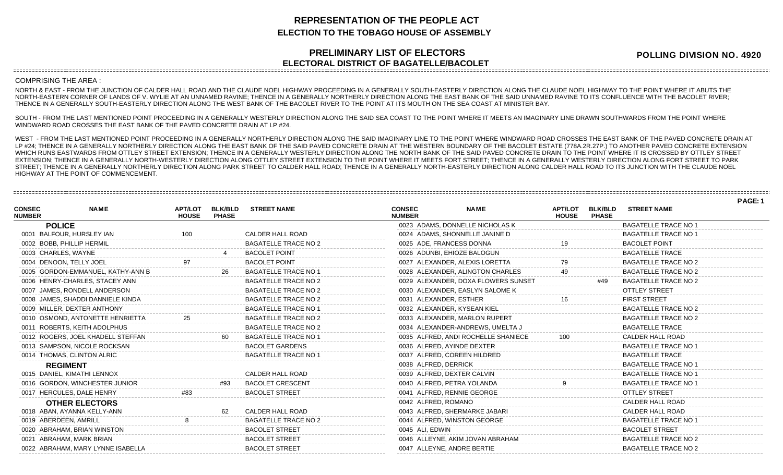## **REPRESENTATION OF THE PEOPLE ACT ELECTION TO THE TOBAGO HOUSE OF ASSEMBLY**

## **PRELIMINARY LIST OF ELECTORS ELECTORAL DISTRICT OF BAGATELLE/BACOLET**

**POLLING DIVISION NO. 4920**

**PAGE: 1**

## COMPRISING THE AREA :

NORTH & EAST - FROM THE JUNCTION OF CALDER HALL ROAD AND THE CLAUDE NOEL HIGHWAY PROCEEDING IN A GENERALLY SOUTH-EASTERLY DIRECTION ALONG THE CLAUDE NOEL HIGHWAY TO THE POINT WHERE IT ABUTS THE NORTH-EASTERN CORNER OF LANDS OF V. WYLIE AT AN UNNAMED RAVINE; THENCE IN A GENERALLY NORTHERLY DIRECTION ALONG THE EAST BANK OF THE SAID UNNAMED RAVINE TO ITS CONFLUENCE WITH THE BACOLET RIVER; THENCE IN A GENERALLY SOUTH-EASTERLY DIRECTION ALONG THE WEST BANK OF THE BACOLET RIVER TO THE POINT AT ITS MOUTH ON THE SEA COAST AT MINISTER BAY.

SOUTH - FROM THE LAST MENTIONED POINT PROCEEDING IN A GENERALLY WESTERLY DIRECTION ALONG THE SAID SEA COAST TO THE POINT WHERE IT MEETS AN IMAGINARY LINE DRAWN SOUTHWARDS FROM THE POINT WHERE WINDWARD ROAD CROSSES THE EAST BANK OF THE PAVED CONCRETE DRAIN AT LP #24.

WEST - FROM THE LAST MENTIONED POINT PROCEEDING IN A GENERALLY NORTHERLY DIRECTION ALONG THE SAID IMAGINARY LINE TO THE POINT WHERE WINDWARD ROAD CROSSES THE EAST BANK OF THE PAVED CONCRETE DRAIN AT LP #24; THENCE IN A GENERALLY NORTHERLY DIRECTION ALONG THE EAST BANK OF THE SAID PAVED CONCRETE DRAIN AT THE WESTERN BOUNDARY OF THE BACOLET ESTATE (778A.2R.27P.) TO ANOTHER PAVED CONCRETE EXTENSION WHICH RUNS EASTWARDS FROM OTTLEY STREET EXTENSION; THENCE IN A GENERALLY WESTERLY DIRECTION ALONG THE NORTH BANK OF THE SAID PAVED CONCRETE DRAIN TO THE POINT WHERE IT IS CROSSED BY OTTLEY STREET EXTENSION; THENCE IN A GENERALLY NORTH-WESTERLY DIRECTION ALONG OTTLEY STREET EXTENSION TO THE POINT WHERE IT MEETS FORT STREET; THENCE IN A GENERALLY WESTERLY DIRECTION ALONG FORT STREET TO PARK STREET; THENCE IN A GENERALLY NORTHERLY DIRECTION ALONG PARK STREET TO CALDER HALL ROAD; THENCE IN A GENERALLY NORTH-EASTERLY DIRECTION ALONG CALDER HALL ROAD TO ITS JUNCTION WITH THE CLAUDE NOEL HIGHWAY AT THE POINT OF COMMENCEMENT.

|                                |                                   |                                |                                |                             |                                |                                     |                                |                                |                             | <b>PAGE:</b> |
|--------------------------------|-----------------------------------|--------------------------------|--------------------------------|-----------------------------|--------------------------------|-------------------------------------|--------------------------------|--------------------------------|-----------------------------|--------------|
| <b>CONSEC</b><br><b>NUMBER</b> | <b>NAME</b>                       | <b>APT/LOT</b><br><b>HOUSE</b> | <b>BLK/BLD</b><br><b>PHASE</b> | <b>STREET NAME</b>          | <b>CONSEC</b><br><b>NUMBER</b> | <b>NAME</b>                         | <b>APT/LOT</b><br><b>HOUSE</b> | <b>BLK/BLD</b><br><b>PHASE</b> | <b>STREET NAME</b>          |              |
|                                | <b>POLICE</b>                     |                                |                                |                             |                                | 0023 ADAMS, DONNELLE NICHOLAS K     |                                |                                | <b>BAGATELLE TRACE NO 1</b> |              |
|                                | 0001 BALFOUR, HURSLEY IAN         | 100                            |                                | CALDER HALL ROAD            |                                | 0024 ADAMS, SHONNELLE JANINE D      |                                |                                | <b>BAGATELLE TRACE NO 1</b> |              |
|                                | 0002 BOBB, PHILLIP HERMIL         |                                |                                | <b>BAGATELLE TRACE NO 2</b> | 0025 ADE, FRANCESS DONNA       |                                     |                                |                                | <b>BACOLET POINT</b>        |              |
|                                | 0003 CHARLES, WAYNE               |                                |                                | <b>BACOLET POINT</b>        | 0026 ADUNBI, EHIOZE BALOGUN    |                                     |                                |                                | <b>BAGATELLE TRACE</b>      |              |
|                                | 0004 DENOON, TELLY JOEL           |                                |                                | <b>BACOLET POINT</b>        |                                | 0027 ALEXANDER, ALEXIS LORETTA      |                                |                                | <b>BAGATELLE TRACE NO 2</b> |              |
|                                | 0005 GORDON-EMMANUEL, KATHY-ANN B |                                | 26                             | <b>BAGATELLE TRACE NO 1</b> |                                | 0028 ALEXANDER, ALINGTON CHARLES    |                                |                                | <b>BAGATELLE TRACE NO 2</b> |              |
|                                | 0006 HENRY-CHARLES, STACEY ANN    |                                |                                | <b>BAGATELLE TRACE NO 2</b> |                                | 0029 ALEXANDER, DOXA FLOWERS SUNSET |                                | #49                            | <b>BAGATELLE TRACE NO 2</b> |              |
|                                | 0007 JAMES, RONDELL ANDERSON      |                                |                                | <b>BAGATELLE TRACE NO 2</b> |                                | 0030 ALEXANDER, EASLYN SALOME K     |                                |                                | <b>OTTLEY STREET</b>        |              |
|                                | 0008 JAMES, SHADDI DANNIELE KINDA |                                |                                | <b>BAGATELLE TRACE NO 2</b> | 0031 ALEXANDER, ESTHER         |                                     |                                |                                | <b>FIRST STREET</b>         |              |
|                                | 0009 MILLER, DEXTER ANTHONY       |                                |                                | <b>BAGATELLE TRACE NO 1</b> | 0032 ALEXANDER, KYSEAN KIEL    |                                     |                                |                                | <b>BAGATELLE TRACE NO 2</b> |              |
|                                | 0010 OSMOND, ANTONETTE HENRIETTA  |                                |                                | <b>BAGATELLE TRACE NO 2</b> |                                | 0033 ALEXANDER, MARLON RUPERT       |                                |                                | <b>BAGATELLE TRACE NO 2</b> |              |
|                                | 0011 ROBERTS, KEITH ADOLPHUS      |                                |                                | <b>BAGATELLE TRACE NO 2</b> |                                | 0034 ALEXANDER-ANDREWS, UMELTA J    |                                |                                | <b>BAGATELLE TRACE</b>      |              |
|                                | 0012 ROGERS, JOEL KHADELL STEFFAN |                                |                                | <b>BAGATELLE TRACE NO 1</b> |                                | 0035 ALFRED, ANDI ROCHELLE SHANIECE |                                |                                | CALDER HALL ROAD            |              |
|                                | 0013 SAMPSON, NICOLE ROCKSAN      |                                |                                | <b>BACOLET GARDENS</b>      | 0036 ALFRED, AYINDE DEXTER     |                                     |                                |                                | <b>BAGATELLE TRACE NO 1</b> |              |
|                                | 0014 THOMAS, CLINTON ALRIC        |                                |                                | <b>BAGATELLE TRACE NO 1</b> | 0037 ALFRED, COREEN HILDRED    |                                     |                                |                                | <b>BAGATELLE TRACE</b>      |              |
|                                | <b>REGIMENT</b>                   |                                |                                |                             | 0038 ALFRED, DERRICK           |                                     |                                |                                | <b>BAGATELLE TRACE NO 1</b> |              |
|                                | 0015 DANIEL, KIMATHI LENNOX       |                                |                                | CALDER HALL ROAD            | 0039 ALFRED, DEXTER CALVIN     |                                     |                                |                                | <b>BAGATELLE TRACE NO 1</b> |              |
|                                | 0016 GORDON, WINCHESTER JUNIOR    |                                |                                | <b>BACOLET CRESCENT</b>     | 0040 ALFRED, PETRA YOLANDA     |                                     |                                |                                | <b>BAGATELLE TRACE NO 1</b> |              |
|                                | 0017 HERCULES, DALE HENRY         |                                |                                | <b>BACOLET STREET</b>       | 0041 ALFRED, RENNIE GEORGE     |                                     |                                |                                | OTTLEY STREET               |              |
|                                | <b>OTHER ELECTORS</b>             |                                |                                |                             | 0042 ALFRED, ROMANO            |                                     |                                |                                | CALDER HALL ROAD            |              |
|                                | 0018 ABAN, AYANNA KELLY-ANN       |                                | 62                             | CALDER HALL ROAD            |                                | 0043 ALFRED, SHERMARKE JABARI       |                                |                                | CALDER HALL ROAD            |              |
|                                | 0019 ABERDEEN, AMRILL             |                                |                                | <b>BAGATELLE TRACE NO 2</b> | 0044 ALFRED, WINSTON GEORGE    |                                     |                                |                                | <b>BAGATELLE TRACE NO 1</b> |              |
|                                | 0020 ABRAHAM, BRIAN WINSTON       |                                |                                | <b>BACOLET STREET</b>       | 0045 ALI, EDWIN                |                                     |                                |                                | <b>BACOLET STREET</b>       |              |
|                                | 0021 ABRAHAM, MARK BRIAN          |                                |                                | <b>BACOLET STREET</b>       |                                | 0046 ALLEYNE, AKIM JOVAN ABRAHAM    |                                |                                | <b>BAGATELLE TRACE NO 2</b> |              |
|                                | 0022 ABRAHAM, MARY LYNNE ISABELLA |                                |                                | <b>BACOLET STREET</b>       | 0047 ALLEYNE, ANDRE BERTIE     |                                     |                                |                                | <b>BAGATELLE TRACE NO 2</b> |              |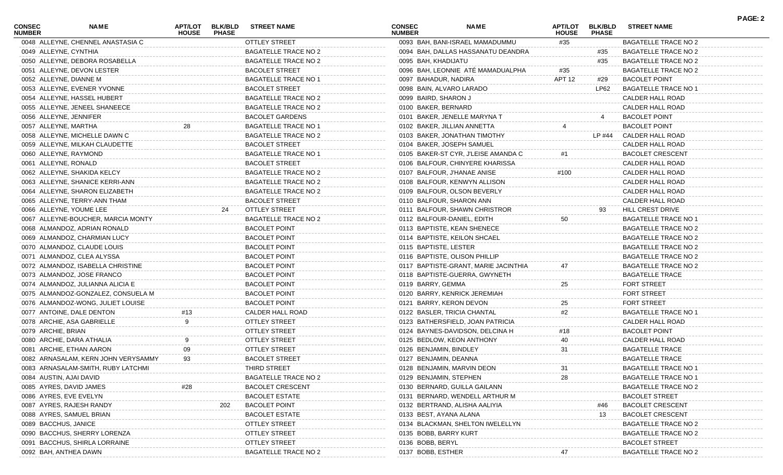| CONSEC<br><b>NUMBER</b> | NAME                                | <b>APT/LOT</b><br><b>HOUSE</b> | <b>BLK/BLD</b><br><b>PHASE</b> | <b>STREET NAME</b>          | <b>CONSEC</b><br><b>NUMBER</b> | <b>NAME</b>                          | <b>APT/LOT</b><br><b>HOUSE</b> | <b>BLK/BLD</b><br><b>PHASE</b> | <b>STREET NAME</b>          | <b>PAGE: 2</b> |
|-------------------------|-------------------------------------|--------------------------------|--------------------------------|-----------------------------|--------------------------------|--------------------------------------|--------------------------------|--------------------------------|-----------------------------|----------------|
|                         | 0048 ALLEYNE, CHENNEL ANASTASIA C   |                                |                                | <b>OTTLEY STREET</b>        |                                | 0093 BAH, BANI-ISRAEL MAMADUMMU      | #35                            |                                | <b>BAGATELLE TRACE NO 2</b> |                |
| 0049 ALLEYNE, CYNTHIA   |                                     |                                |                                | BAGATELLE TRACE NO 2        |                                | 0094 BAH, DALLAS HASSANATU DEANDRA   |                                | #35                            | <b>BAGATELLE TRACE NO 2</b> |                |
|                         | 0050 ALLEYNE, DEBORA ROSABELLA      |                                |                                | BAGATELLE TRACE NO 2        | 0095 BAH, KHADIJATU            |                                      |                                | #35                            | <b>BAGATELLE TRACE NO 2</b> |                |
|                         | 0051 ALLEYNE, DEVON LESTER          |                                |                                | <b>BACOLET STREET</b>       |                                | 0096 BAH, LEONNIE ATÉ MAMADUALPHA    | #35                            |                                | <b>BAGATELLE TRACE NO 2</b> |                |
|                         | 0052 ALLEYNE, DIANNE M              |                                |                                | <b>BAGATELLE TRACE NO 1</b> | 0097 BAHADUR, NADIRA           |                                      | APT 12                         | #29                            | <b>BACOLET POINT</b>        |                |
|                         | 0053 ALLEYNE, EVENER YVONNE         |                                |                                | <b>BACOLET STREET</b>       |                                | 0098 BAIN, ALVARO LARADO             |                                | LP62                           | <b>BAGATELLE TRACE NO 1</b> |                |
|                         | 0054 ALLEYNE, HASSEL HUBERT         |                                |                                | <b>BAGATELLE TRACE NO 2</b> | 0099 BAIRD, SHARON J           |                                      |                                |                                | CALDER HALL ROAD            |                |
|                         | 0055 ALLEYNE, JENEEL SHANEECE       |                                |                                | BAGATELLE TRACE NO 2        | 0100 BAKER, BERNARD            |                                      |                                |                                | CALDER HALL ROAD            |                |
|                         | 0056 ALLEYNE, JENNIFER              |                                |                                | <b>BACOLET GARDENS</b>      |                                | 0101 BAKER, JENELLE MARYNA T         |                                |                                | <b>BACOLET POINT</b>        |                |
| 0057 ALLEYNE, MARTHA    |                                     | 28                             |                                | <b>BAGATELLE TRACE NO 1</b> |                                | 0102 BAKER, JILLIAN ANNETTA          |                                |                                | <b>BACOLET POINT</b>        |                |
|                         | 0058 ALLEYNE, MICHELLE DAWN C       |                                |                                | BAGATELLE TRACE NO 2        |                                | 0103 BAKER, JONATHAN TIMOTHY         |                                | LP #44                         | CALDER HALL ROAD            |                |
|                         | 0059 ALLEYNE, MILKAH CLAUDETTE      |                                |                                | <b>BACOLET STREET</b>       |                                | 0104 BAKER, JOSEPH SAMUEL            |                                |                                | CALDER HALL ROAD            |                |
|                         | 0060 ALLEYNE, RAYMOND               |                                |                                | <b>BAGATELLE TRACE NO 1</b> |                                | 0105 BAKER-ST CYR, J'LEISE AMANDA C  |                                |                                | <b>BACOLET CRESCENT</b>     |                |
| 0061 ALLEYNE, RONALD    |                                     |                                |                                | <b>BACOLET STREET</b>       |                                | 0106 BALFOUR, CHINYERE KHARISSA      |                                |                                | CALDER HALL ROAD            |                |
|                         | 0062 ALLEYNE, SHAKIDA KELCY         |                                |                                | BAGATELLE TRACE NO 2        |                                | 0107 BALFOUR, J'HANAE ANISE          | #100                           |                                | CALDER HALL ROAD            |                |
|                         | 0063 ALLEYNE, SHANICE KERRI-ANN     |                                |                                | BAGATELLE TRACE NO 2        |                                | 0108 BALFOUR, KENWYN ALLISON         |                                |                                | CALDER HALL ROAD            |                |
|                         | 0064 ALLEYNE, SHARON ELIZABETH      |                                |                                | BAGATELLE TRACE NO 2        |                                | 0109 BALFOUR, OLSON BEVERLY          |                                |                                | CALDER HALL ROAD            |                |
|                         | 0065 ALLEYNE, TERRY-ANN THAM        |                                |                                | <b>BACOLET STREET</b>       |                                | 0110 BALFOUR, SHARON ANN             |                                |                                | CALDER HALL ROAD            |                |
|                         | 0066 ALLEYNE, YOUME LEE             |                                | 24                             | OTTLEY STREET               |                                | 0111 BALFOUR, SHAWN CHRISTROR        |                                | 93                             | HILL CREST DRIVE            |                |
|                         | 0067 ALLEYNE-BOUCHER, MARCIA MONTY  |                                |                                | <b>BAGATELLE TRACE NO 2</b> |                                | 0112 BALFOUR-DANIEL, EDITH           | 50                             |                                | <b>BAGATELLE TRACE NO 1</b> |                |
|                         | 0068 ALMANDOZ, ADRIAN RONALD        |                                |                                | <b>BACOLET POINT</b>        |                                | 0113 BAPTISTE, KEAN SHENECE          |                                |                                | <b>BAGATELLE TRACE NO 2</b> |                |
|                         | 0069 ALMANDOZ, CHARMIAN LUCY        |                                |                                | <b>BACOLET POINT</b>        |                                | 0114 BAPTISTE, KEILON SHCAEL         |                                |                                | <b>BAGATELLE TRACE NO 2</b> |                |
|                         | 0070 ALMANDOZ, CLAUDE LOUIS         |                                |                                | <b>BACOLET POINT</b>        | 0115 BAPTISTE, LESTER          |                                      |                                |                                | <b>BAGATELLE TRACE NO 2</b> |                |
|                         | 0071 ALMANDOZ, CLEA ALYSSA          |                                |                                | <b>BACOLET POINT</b>        |                                | 0116 BAPTISTE, OLISON PHILLIP        |                                |                                | <b>BAGATELLE TRACE NO 2</b> |                |
|                         | 0072 ALMANDOZ, ISABELLA CHRISTINE   |                                |                                | <b>BACOLET POINT</b>        |                                | 0117 BAPTISTE-GRANT, MARIE JACINTHIA | 47                             |                                | <b>BAGATELLE TRACE NO 2</b> |                |
|                         |                                     |                                |                                |                             |                                |                                      |                                |                                |                             |                |
|                         | 0073 ALMANDOZ, JOSE FRANCO          |                                |                                | <b>BACOLET POINT</b>        |                                | 0118 BAPTISTE-GUERRA, GWYNETH        |                                |                                | <b>BAGATELLE TRACE</b>      |                |
|                         | 0074 ALMANDOZ, JULIANNA ALICIA E    |                                |                                | <b>BACOLET POINT</b>        | 0119 BARRY, GEMMA              |                                      | 25                             |                                | FORT STREET                 |                |
|                         | 0075 ALMANDOZ-GONZALEZ, CONSUELA M  |                                |                                | <b>BACOLET POINT</b>        |                                | 0120 BARRY, KENRICK JEREMIAH         |                                |                                | <b>FORT STREET</b>          |                |
|                         | 0076 ALMANDOZ-WONG, JULIET LOUISE   |                                |                                | <b>BACOLET POINT</b>        |                                | 0121 BARRY, KERON DEVON              | 25                             |                                | <b>FORT STREET</b>          |                |
|                         | 0077 ANTOINE, DALE DENTON           | #13                            |                                | CALDER HALL ROAD            |                                | 0122 BASLER, TRICIA CHANTAL          | #2                             |                                | <b>BAGATELLE TRACE NO 1</b> |                |
|                         | 0078 ARCHIE, ASA GABRIELLE          |                                |                                | <b>OTTLEY STREET</b>        |                                | 0123 BATHERSFIELD, JOAN PATRICIA     |                                |                                | CALDER HALL ROAD            |                |
| 0079 ARCHIE, BRIAN      |                                     |                                |                                | <b>OTTLEY STREET</b>        |                                | 0124 BAYNES-DAVIDSON, DELCINA H      | #18                            |                                | <b>BACOLET POINT</b>        |                |
|                         | 0080 ARCHIE, DARA ATHALIA           |                                |                                | <b>OTTLEY STREET</b>        |                                | 0125 BEDLOW, KEON ANTHONY            | 40                             |                                | CALDER HALL ROAD            |                |
|                         | 0081 ARCHIE, ETHAN AARON            | 09                             |                                | <b>OTTLEY STREET</b>        |                                | 0126 BENJAMIN, BINDLEY               | 31                             |                                | <b>BAGATELLE TRACE</b>      |                |
|                         | 0082 ARNASALAM, KERN JOHN VERYSAMMY | 93                             |                                | <b>BACOLET STREET</b>       | 0127 BENJAMIN, DEANNA          |                                      |                                |                                | <b>BAGATELLE TRACE</b>      |                |
|                         | 0083 ARNASALAM-SMITH, RUBY LATCHMI  |                                |                                | THIRD STREET                |                                | 0128 BENJAMIN, MARVIN DEON           | 31                             |                                | <b>BAGATELLE TRACE NO 1</b> |                |
|                         | 0084 AUSTIN, AJAI DAVID             |                                |                                | <b>BAGATELLE TRACE NO 2</b> |                                | 0129 BENJAMIN, STEPHEN               | 28                             |                                | <b>BAGATELLE TRACE NO 1</b> |                |
|                         | 0085 AYRES, DAVID JAMES             |                                |                                | <b>BACOLET CRESCENT</b>     |                                | 0130 BERNARD, GUILLA GAILANN         |                                |                                | <b>BAGATELLE TRACE NO 2</b> |                |
|                         | 0086 AYRES, EVE EVELYN              |                                |                                | <b>BACOLET ESTATE</b>       |                                | 0131 BERNARD, WENDELL ARTHUR M       |                                |                                | <b>BACOLET STREET</b>       |                |
|                         | 0087 AYRES, RAJESH RANDY            |                                | 202                            | <b>BACOLET POINT</b>        |                                | 0132 BERTRAND, ALISHA AALIYIA        |                                | #46                            | <b>BACOLET CRESCENT</b>     |                |
|                         | 0088 AYRES, SAMUEL BRIAN            |                                |                                | <b>BACOLET ESTATE</b>       |                                | 0133 BEST, AYANA ALANA               |                                | 13                             | <b>BACOLET CRESCENT</b>     |                |
| 0089 BACCHUS, JANICE    |                                     |                                |                                | <b>OTTLEY STREET</b>        |                                | 0134 BLACKMAN, SHELTON IWELELLYI     |                                |                                | <b>BAGATELLE TRACE NO 2</b> |                |
|                         | 0090 BACCHUS, SHERRY LORENZA        |                                |                                | <b>OTTLEY STREET</b>        | 0135 BOBB, BARRY KURT          |                                      |                                |                                | <b>BAGATELLE TRACE NO 2</b> |                |
|                         | 0091 BACCHUS, SHIRLA LORRAINE       |                                |                                | <b>OTTLEY STREET</b>        | 0136 BOBB, BERYL               |                                      |                                |                                | <b>BACOLET STREET</b>       |                |
|                         | 0092 BAH, ANTHEA DAWN               |                                |                                | <b>BAGATELLE TRACE NO 2</b> | 0137 BOBB, ESTHER              |                                      |                                |                                | <b>BAGATELLE TRACE NO 2</b> |                |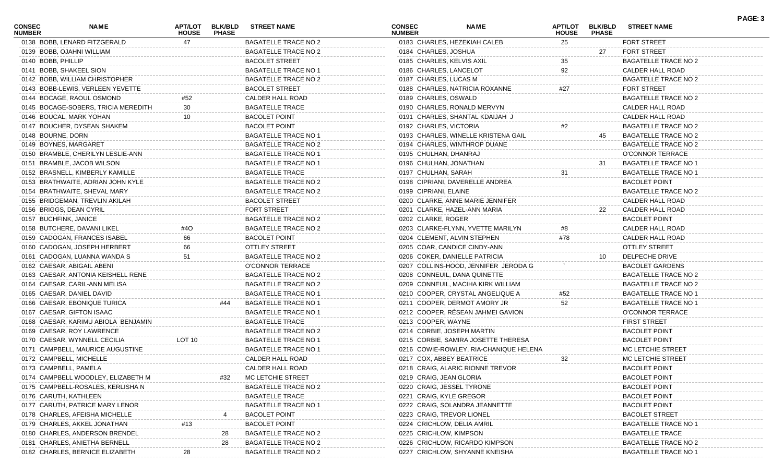| CONSEC<br><b>NUMBER</b> | NAME                                | APT/LOT<br><b>HOUSE</b> | <b>BLK/BLD</b><br><b>PHASE</b> | <b>STREET NAME</b>          | <b>CONSEC</b><br><b>NUMBER</b> | <b>NAME</b>                            | <b>APT/LOT</b><br><b>HOUSE</b> | <b>BLK/BLD</b><br><b>PHASE</b> | <b>STREET NAME</b>          | PAGE: 3 |
|-------------------------|-------------------------------------|-------------------------|--------------------------------|-----------------------------|--------------------------------|----------------------------------------|--------------------------------|--------------------------------|-----------------------------|---------|
|                         | 0138 BOBB, LENARD FITZGERALD        | 47                      |                                | <b>BAGATELLE TRACE NO 2</b> |                                | 0183 CHARLES, HEZEKIAH CALEB           | 25                             |                                | <b>FORT STREET</b>          |         |
|                         | 0139 BOBB, OJAHNI WILLIAM           |                         |                                | <b>BAGATELLE TRACE NO 2</b> | 0184 CHARLES, JOSHUA           |                                        |                                | 27                             | <b>FORT STREET</b>          |         |
| 0140 BOBB, PHILLIP      |                                     |                         |                                | <b>BACOLET STREET</b>       | 0185 CHARLES, KELVIS AXIL      |                                        | 35                             |                                | <b>BAGATELLE TRACE NO 2</b> |         |
|                         | 0141 BOBB, SHAKEEL SION             |                         |                                | BAGATELLE TRACE NO 1        | 0186 CHARLES, LANCELOT         |                                        | 92                             |                                | CALDER HALL ROAD            |         |
|                         | 0142 BOBB, WILLIAM CHRISTOPHER      |                         |                                | <b>BAGATELLE TRACE NO 2</b> | 0187 CHARLES, LUCAS M          |                                        |                                |                                | <b>BAGATELLE TRACE NO 2</b> |         |
|                         | 0143 BOBB-LEWIS, VERLEEN YEVETTE    |                         |                                | <b>BACOLET STREET</b>       |                                | 0188 CHARLES, NATRICIA ROXANNE         | #27                            |                                | <b>FORT STREET</b>          |         |
|                         | 0144 BOCAGE, RAOUL OSMOND           | #52                     |                                | CALDER HALL ROAD            | 0189 CHARLES, OSWALD           |                                        |                                |                                | <b>BAGATELLE TRACE NO 2</b> |         |
|                         | 0145 BOCAGE-SOBERS, TRICIA MEREDITH | 30                      |                                | <b>BAGATELLE TRACE</b>      |                                | 0190 CHARLES, RONALD MERVYN            |                                |                                | CALDER HALL ROAD            |         |
|                         | 0146 BOUCAL, MARK YOHAN             | 10                      |                                | <b>BACOLET POINT</b>        |                                | 0191 CHARLES, SHANTAL KDAIJAH J        |                                |                                | CALDER HALL ROAD            |         |
|                         | 0147 BOUCHER, DYSEAN SHAKEM         |                         |                                | <b>BACOLET POINT</b>        | 0192 CHARLES, VICTORIA         |                                        | #2                             |                                | <b>BAGATELLE TRACE NO 2</b> |         |
| 0148 BOURNE, DORN       |                                     |                         |                                | <b>BAGATELLE TRACE NO 1</b> |                                | 0193 CHARLES, WINELLE KRISTENA GAIL    |                                | 45                             | <b>BAGATELLE TRACE NO 2</b> |         |
| 0149 BOYNES, MARGARET   |                                     |                         |                                | <b>BAGATELLE TRACE NO 2</b> |                                | 0194 CHARLES, WINTHROP DUANE           |                                |                                | <b>BAGATELLE TRACE NO 2</b> |         |
|                         | 0150 BRAMBLE, CHERILYN LESLIE-ANN   |                         |                                | BAGATELLE TRACE NO 1        | 0195 CHULHAN, DHANRAJ          |                                        |                                |                                | O'CONNOR TERRACE            |         |
|                         | 0151 BRAMBLE, JACOB WILSON          |                         |                                | <b>BAGATELLE TRACE NO 1</b> | 0196 CHULHAN, JONATHAN         |                                        |                                | -31                            | <b>BAGATELLE TRACE NO 1</b> |         |
|                         | 0152 BRASNELL, KIMBERLY KAMILLE     |                         |                                | <b>BAGATELLE TRACE</b>      | 0197 CHULHAN, SARAH            |                                        | 31                             |                                | <b>BAGATELLE TRACE NO 1</b> |         |
|                         | 0153 BRATHWAITE, ADRIAN JOHN KYLE   |                         |                                | <b>BAGATELLE TRACE NO 2</b> |                                | 0198 CIPRIANI, DAVERELLE ANDREA        |                                |                                | <b>BACOLET POINT</b>        |         |
|                         | 0154 BRATHWAITE, SHEVAL MARY        |                         |                                | <b>BAGATELLE TRACE NO 2</b> | 0199 CIPRIANI, ELAINE          |                                        |                                |                                | <b>BAGATELLE TRACE NO 2</b> |         |
|                         | 0155 BRIDGEMAN, TREVLIN AKILAH      |                         |                                | <b>BACOLET STREET</b>       |                                | 0200 CLARKE, ANNE MARIE JENNIFER       |                                |                                | CALDER HALL ROAD            |         |
| 0156 BRIGGS, DEAN CYRIL |                                     |                         |                                | <b>FORT STREET</b>          |                                | 0201 CLARKE, HAZEL-ANN MARIA           |                                | 22                             | CALDER HALL ROAD            |         |
| 0157 BUCHFINK, JANICE   |                                     |                         |                                | <b>BAGATELLE TRACE NO 2</b> | 0202 CLARKE, ROGER             |                                        |                                |                                | <b>BACOLET POINT</b>        |         |
|                         | 0158 BUTCHERE, DAVANI LIKEL         | #4O                     |                                | <b>BAGATELLE TRACE NO 2</b> |                                | 0203 CLARKE-FLYNN, YVETTE MARILYN      | #8                             |                                | CALDER HALL ROAD            |         |
|                         | 0159 CADOGAN, FRANCES ISABEL        | 66                      |                                | <b>BACOLET POINT</b>        |                                | 0204 CLEMENT, ALVIN STEPHEN            | #78                            |                                | CALDER HALL ROAD            |         |
|                         | 0160 CADOGAN, JOSEPH HERBERT        | 66                      |                                | <b>OTTLEY STREET</b>        |                                | 0205 COAR, CANDICE CINDY-ANN           |                                |                                | <b>OTTLEY STREET</b>        |         |
|                         | 0161 CADOGAN, LUANNA WANDA S        | 51                      |                                | <b>BAGATELLE TRACE NO 2</b> |                                | 0206 COKER, DANIELLE PATRICIA          |                                | 10                             | DELPECHE DRIVE              |         |
|                         | 0162 CAESAR, ABIGAIL ABENI          |                         |                                | O'CONNOR TERRACE            |                                | 0207 COLLINS-HOOD, JENNIFER JERODA G   |                                |                                | <b>BACOLET GARDENS</b>      |         |
|                         | 0163 CAESAR, ANTONIA KEISHELL RENE  |                         |                                | <b>BAGATELLE TRACE NO 2</b> |                                | 0208 CONNEUIL, DANA QUINETTE           |                                |                                | <b>BAGATELLE TRACE NO 2</b> |         |
|                         | 0164 CAESAR, CARIL-ANN MELISA       |                         |                                | <b>BAGATELLE TRACE NO 2</b> |                                | 0209 CONNEUIL, MACIHA KIRK WILLIAM     |                                |                                | <b>BAGATELLE TRACE NO 2</b> |         |
|                         | 0165 CAESAR, DANIEL DAVID           |                         |                                | <b>BAGATELLE TRACE NO 1</b> |                                | 0210 COOPER, CRYSTAL ANGELIQUE A       | #52                            |                                | <b>BAGATELLE TRACE NO 1</b> |         |
|                         | 0166 CAESAR, EBONIQUE TURICA        |                         | #44                            | BAGATELLE TRACE NO 1        |                                | 0211 COOPER, DERMOT AMORY JR           | 52                             |                                | <b>BAGATELLE TRACE NO 1</b> |         |
|                         | 0167 CAESAR, GIFTON ISAAC           |                         |                                | <b>BAGATELLE TRACE NO 1</b> |                                | 0212 COOPER, RÉSEAN JAHMEI GAVION      |                                |                                | <b>O'CONNOR TERRACE</b>     |         |
|                         | 0168 CAESAR, KARIMU ABIOLA BENJAMIN |                         |                                | <b>BAGATELLE TRACE</b>      | 0213 COOPER, WAYNE             |                                        |                                |                                | <b>FIRST STREET</b>         |         |
|                         | 0169 CAESAR, ROY LAWRENCE           |                         |                                | <b>BAGATELLE TRACE NO 2</b> |                                | 0214 CORBIE, JOSEPH MARTIN             |                                |                                | <b>BACOLET POINT</b>        |         |
|                         | 0170 CAESAR, WYNNELL CECILIA        | LOT 10                  |                                | BAGATELLE TRACE NO 1        |                                | 0215 CORBIE, SAMIRA JOSETTE THERESA    |                                |                                | <b>BACOLET POINT</b>        |         |
|                         | 0171 CAMPBELL, MAURICE AUGUSTINE    |                         |                                | <b>BAGATELLE TRACE NO 1</b> |                                | 0216 COWIE-ROWLEY, RIA-CHANIQUE HELENA |                                |                                | MC LETCHIE STREET           |         |
|                         | 0172 CAMPBELL, MICHELLE             |                         |                                | CALDER HALL ROAD            | 0217 COX, ABBEY BEATRICE       |                                        | 32                             |                                | MC LETCHIE STREET           |         |
| 0173 CAMPBELL, PAMELA   |                                     |                         |                                | CALDER HALL ROAD            |                                | 0218 CRAIG, ALARIC RIONNE TREVOR       |                                |                                | <b>BACOLET POINT</b>        |         |
|                         | 0174 CAMPBELL WOODLEY, ELIZABETH M  |                         | #32                            | MC LETCHIE STREET           | 0219 CRAIG, JEAN GLORIA        |                                        |                                |                                | <b>BACOLET POINT</b>        |         |
|                         | 0175 CAMPBELL-ROSALES, KERLISHA N   |                         |                                | <b>BAGATELLE TRACE NO 2</b> |                                | 0220 CRAIG, JESSEL TYRONE              |                                |                                | <b>BACOLET POINT</b>        |         |
| 0176 CARUTH, KATHLEEN   |                                     |                         |                                | <b>BAGATELLE TRACE</b>      | 0221 CRAIG, KYLE GREGOR        |                                        |                                |                                | <b>BACOLET POINT</b>        |         |
|                         | 0177 CARUTH, PATRICE MARY LENOR     |                         |                                | <b>BAGATELLE TRACE NO 1</b> |                                | 0222 CRAIG, SOLANDRA JEANNETTE         |                                |                                | <b>BACOLET POINT</b>        |         |
|                         | 0178 CHARLES, AFEISHA MICHELLE      |                         |                                | <b>BACOLET POINT</b>        |                                | 0223 CRAIG, TREVOR LIONEL              |                                |                                | <b>BACOLET STREET</b>       |         |
|                         | 0179 CHARLES, AKKEL JONATHAN        |                         |                                | <b>BACOLET POINT</b>        |                                | 0224 CRICHLOW, DELIA AMRIL             |                                |                                | <b>BAGATELLE TRACE NO</b>   |         |
|                         | 0180 CHARLES, ANDERSON BRENDEL      |                         | 28                             | <b>BAGATELLE TRACE NO 2</b> | 0225 CRICHLOW, KIMPSON         |                                        |                                |                                | <b>BAGATELLE TRACE</b>      |         |
|                         | 0181 CHARLES, ANIETHA BERNELL       |                         | 28                             | <b>BAGATELLE TRACE NO 2</b> |                                | 0226 CRICHLOW, RICARDO KIMPSON         |                                |                                | <b>BAGATELLE TRACE NO 2</b> |         |
|                         | 0182 CHARLES, BERNICE ELIZABETH     |                         |                                | <b>BAGATELLE TRACE NO 2</b> |                                | 0227 CRICHLOW, SHYANNE KNEISHA         |                                |                                | <b>BAGATELLE TRACE NO 1</b> |         |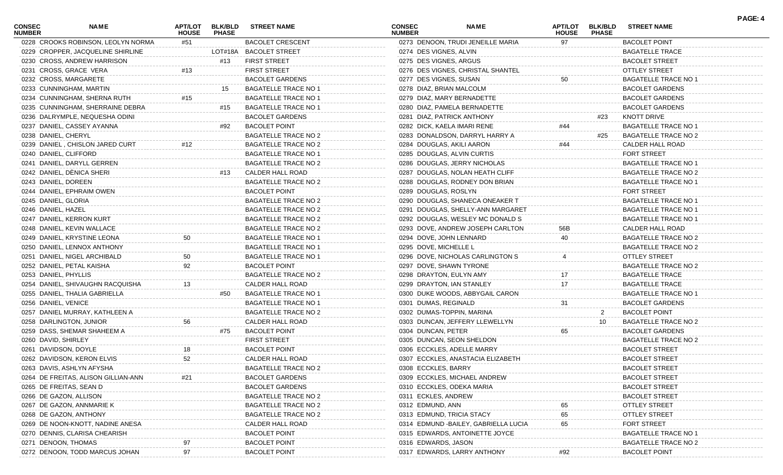| CONSEC<br><b>NUMBER</b> | NAME                                | APT/LOT<br><b>HOUSE</b> | <b>BLK/BLD</b><br><b>PHASE</b> | <b>STREET NAME</b>          | CONSEC<br><b>NUMBER</b>     | <b>NAME</b>                           | <b>APT/LOT</b><br><b>HOUSE</b> | <b>BLK/BLD</b><br><b>PHASE</b> | <b>STREET NAME</b>          | PAGE: 4 |
|-------------------------|-------------------------------------|-------------------------|--------------------------------|-----------------------------|-----------------------------|---------------------------------------|--------------------------------|--------------------------------|-----------------------------|---------|
|                         | 0228 CROOKS ROBINSON, LEOLYN NORMA  | #51                     |                                | <b>BACOLET CRESCENT</b>     |                             | 0273 DENOON, TRUDI JENEILLE MARIA     | 97                             |                                | <b>BACOLET POINT</b>        |         |
|                         | 0229 CROPPER, JACQUELINE SHIRLINE   |                         |                                | LOT#18A BACOLET STREET      | 0274 DES VIGNES, ALVIN      |                                       |                                |                                | <b>BAGATELLE TRACE</b>      |         |
|                         | 0230 CROSS, ANDREW HARRISON         |                         | #13                            | <b>FIRST STREET</b>         | 0275 DES VIGNES, ARGUS      |                                       |                                |                                | <b>BACOLET STREET</b>       |         |
|                         | 0231 CROSS, GRACE VERA              | #13                     |                                | <b>FIRST STREET</b>         |                             | 0276 DES VIGNES, CHRISTAL SHANTEL     |                                |                                | <b>OTTLEY STREET</b>        |         |
|                         | 0232 CROSS, MARGARETE               |                         |                                | <b>BACOLET GARDENS</b>      | 0277 DES VIGNES, SUSAN      |                                       | 50                             |                                | BAGATELLE TRACE NO 1        |         |
|                         | 0233 CUNNINGHAM, MARTIN             |                         | 15                             | <b>BAGATELLE TRACE NO 1</b> | 0278 DIAZ, BRIAN MALCOLM    |                                       |                                |                                | <b>BACOLET GARDENS</b>      |         |
|                         | 0234 CUNNINGHAM, SHERNA RUTH        | #15                     |                                | BAGATELLE TRACE NO 1        |                             | 0279 DIAZ, MARY BERNADETTE            |                                |                                | <b>BACOLET GARDENS</b>      |         |
|                         | 0235 CUNNINGHAM, SHERRAINE DEBRA    |                         | #15                            | <b>BAGATELLE TRACE NO 1</b> |                             | 0280 DIAZ, PAMELA BERNADETTE          |                                |                                | <b>BACOLET GARDENS</b>      |         |
|                         | 0236 DALRYMPLE, NEQUESHA ODINI      |                         |                                | <b>BACOLET GARDENS</b>      | 0281 DIAZ, PATRICK ANTHONY  |                                       |                                | #23                            | KNOTT DRIVE                 |         |
|                         | 0237 DANIEL, CASSEY AYANNA          |                         | #92                            | <b>BACOLET POINT</b>        | 0282 DICK, KAELA IMARI RENE |                                       | #44                            |                                | <b>BAGATELLE TRACE NO 1</b> |         |
| 0238 DANIEL, CHERYL     |                                     |                         |                                | <b>BAGATELLE TRACE NO 2</b> |                             | 0283 DONALDSON, DARRYL HARRY A        |                                | #25                            | <b>BAGATELLE TRACE NO 2</b> |         |
|                         | 0239 DANIEL, CHISLON JARED CURT     | #12                     |                                | <b>BAGATELLE TRACE NO 2</b> | 0284 DOUGLAS, AKILI AARON   |                                       | #44                            |                                | CALDER HALL ROAD            |         |
| 0240 DANIEL, CLIFFORD   |                                     |                         |                                | <b>BAGATELLE TRACE NO 1</b> |                             | 0285 DOUGLAS, ALVIN CURTIS            |                                |                                | <b>FORT STREET</b>          |         |
|                         | 0241 DANIEL, DARYLL GERREN          |                         |                                | <b>BAGATELLE TRACE NO 2</b> |                             | 0286 DOUGLAS, JERRY NICHOLAS          |                                |                                | BAGATELLE TRACE NO 1        |         |
|                         | 0242 DANIEL, DÈNICA SHERI           |                         | #13                            | CALDER HALL ROAD            |                             | 0287 DOUGLAS, NOLAN HEATH CLIFF       |                                |                                | <b>BAGATELLE TRACE NO 2</b> |         |
| 0243 DANIEL, DOREEN     |                                     |                         |                                | <b>BAGATELLE TRACE NO 2</b> |                             | 0288 DOUGLAS, RODNEY DON BRIAN        |                                |                                | <b>BAGATELLE TRACE NO 1</b> |         |
|                         | 0244 DANIEL, EPHRAIM OWEN           |                         |                                | <b>BACOLET POINT</b>        | 0289 DOUGLAS, ROSLYN        |                                       |                                |                                | <b>FORT STREET</b>          |         |
| 0245 DANIEL, GLORIA     |                                     |                         |                                | <b>BAGATELLE TRACE NO 2</b> |                             | 0290 DOUGLAS, SHANECA ONEAKER T       |                                |                                | <b>BAGATELLE TRACE NO 1</b> |         |
| 0246 DANIEL, HAZEL      |                                     |                         |                                | <b>BAGATELLE TRACE NO 2</b> |                             | 0291 DOUGLAS, SHELLY-ANN MARGARET     |                                |                                | <b>BAGATELLE TRACE NO 1</b> |         |
|                         | 0247 DANIEL, KERRON KURT            |                         |                                | <b>BAGATELLE TRACE NO 2</b> |                             | 0292 DOUGLAS, WESLEY MC DONALD S      |                                |                                | BAGATELLE TRACE NO 1        |         |
|                         | 0248 DANIEL, KEVIN WALLACE          |                         |                                | <b>BAGATELLE TRACE NO 2</b> |                             | 0293 DOVE, ANDREW JOSEPH CARLTON      | 56B                            |                                | <b>CALDER HALL ROAD</b>     |         |
|                         | 0249 DANIEL, KRYSTINE LEONA         | 50                      |                                | <b>BAGATELLE TRACE NO 1</b> | 0294 DOVE, JOHN LENNARD     |                                       | 40                             |                                | <b>BAGATELLE TRACE NO 2</b> |         |
|                         | 0250 DANIEL, LENNOX ANTHONY         |                         |                                | <b>BAGATELLE TRACE NO 1</b> | 0295 DOVE, MICHELLE L       |                                       |                                |                                | <b>BAGATELLE TRACE NO 2</b> |         |
|                         | 0251 DANIEL, NIGEL ARCHIBALD        | 50                      |                                | <b>BAGATELLE TRACE NO 1</b> |                             | 0296 DOVE, NICHOLAS CARLINGTON S      |                                |                                | <b>OTTLEY STREET</b>        |         |
|                         | 0252 DANIEL, PETAL KAISHA           | 92                      |                                | <b>BACOLET POINT</b>        | 0297 DOVE, SHAWN TYRONE     |                                       |                                |                                | <b>BAGATELLE TRACE NO 2</b> |         |
|                         |                                     |                         |                                |                             |                             |                                       |                                |                                |                             |         |
| 0253 DANIEL, PHYLLIS    |                                     |                         |                                | <b>BAGATELLE TRACE NO 2</b> | 0298 DRAYTON, EULYN AMY     |                                       | 17                             |                                | <b>BAGATELLE TRACE</b>      |         |
|                         | 0254 DANIEL, SHIVAUGHN RACQUISHA    | 13                      |                                | CALDER HALL ROAD            | 0299 DRAYTON, IAN STANLEY   |                                       | 17                             |                                | <b>BAGATELLE TRACE</b>      |         |
|                         | 0255 DANIEL, THALIA GABRIELLA       |                         | #50                            | <b>BAGATELLE TRACE NO 1</b> |                             | 0300 DUKE WOODS, ABBYGAIL CARON       |                                |                                | BAGATELLE TRACE NO 1        |         |
| 0256 DANIEL, VENICE     |                                     |                         |                                | <b>BAGATELLE TRACE NO 1</b> | 0301 DUMAS, REGINALD        |                                       | 31                             |                                | <b>BACOLET GARDENS</b>      |         |
|                         | 0257 DANIEL MURRAY, KATHLEEN A      |                         |                                | <b>BAGATELLE TRACE NO 2</b> | 0302 DUMAS-TOPPIN, MARINA   |                                       |                                |                                | <b>BACOLET POINT</b>        |         |
|                         | 0258 DARLINGTON, JUNIOR             | 56                      |                                | CALDER HALL ROAD            |                             | 0303 DUNCAN, JEFFERY LLEWELLYN        |                                | 10                             | <b>BAGATELLE TRACE NO 2</b> |         |
|                         | 0259 DASS, SHEMAR SHAHEEM A         |                         | #75                            | <b>BACOLET POINT</b>        | 0304 DUNCAN, PETER          |                                       | 65                             |                                | <b>BACOLET GARDENS</b>      |         |
| 0260 DAVID, SHIRLEY     |                                     |                         |                                | <b>FIRST STREET</b>         |                             | 0305 DUNCAN, SEON SHELDON             |                                |                                | BAGATELLE TRACE NO 2        |         |
| 0261 DAVIDSON, DOYLE    |                                     | 18                      |                                | <b>BACOLET POINT</b>        |                             | 0306 ECCKLES, ADELLE MARRY            |                                |                                | <b>BACOLET STREET</b>       |         |
|                         | 0262 DAVIDSON, KERON ELVIS          | 52                      |                                | CALDER HALL ROAD            |                             | 0307 ECCKLES, ANASTACIA ELIZABETH     |                                |                                | <b>BACOLET STREET</b>       |         |
|                         | 0263 DAVIS, ASHLYN AFYSHA           |                         |                                | <b>BAGATELLE TRACE NO 2</b> | 0308 ECCKLES, BARRY         |                                       |                                |                                | <b>BACOLET STREET</b>       |         |
|                         | 0264 DE FREITAS, ALISON GILLIAN-ANN |                         |                                | <b>BACOLET GARDENS</b>      |                             | 0309 ECCKLES, MICHAEL ANDREW          |                                |                                | <b>BACOLET STREET</b>       |         |
|                         | 0265 DE FREITAS, SEAN D             |                         |                                | <b>BACOLET GARDENS</b>      |                             | 0310 ECCKLES, ODEKA MARIA             |                                |                                | <b>BACOLET STREET</b>       |         |
|                         | 0266 DE GAZON, ALLISON              |                         |                                | <b>BAGATELLE TRACE NO 2</b> | 0311 ECKLES, ANDREW         |                                       |                                |                                | <b>BACOLET STREET</b>       |         |
|                         | 0267 DE GAZON, ANNMARIE K           |                         |                                | <b>BAGATELLE TRACE NO 2</b> | 0312 EDMUND, ANN            |                                       |                                |                                | <b>OTTLEY STREET</b>        |         |
|                         | 0268 DE GAZON, ANTHONY              |                         |                                | <b>BAGATELLE TRACE NO 2</b> | 0313 EDMUND, TRICIA STACY   |                                       | 65                             |                                | <b>OTTLEY STREET</b>        |         |
|                         | 0269 DE NOON-KNOTT, NADINE ANESA    |                         |                                | CALDER HALL ROAD            |                             | 0314 EDMUND - BAILEY, GABRIELLA LUCIA | 65                             |                                | <b>FORT STREET</b>          |         |
|                         | 0270 DENNIS, CLARISA CHEARISH       |                         |                                | <b>BACOLET POINT</b>        |                             | 0315 EDWARDS, ANTOINETTE JOYCE        |                                |                                | <b>BAGATELLE TRACE NO</b>   |         |
| 0271 DENOON, THOMAS     |                                     |                         |                                | <b>BACOLET POINT</b>        | 0316 EDWARDS, JASON         |                                       |                                |                                | BAGATELLE TRACE NO 2        |         |
|                         | 0272 DENOON, TODD MARCUS JOHAN      | 97                      |                                | <b>BACOLET POINT</b>        |                             | 0317 EDWARDS, LARRY ANTHONY           |                                |                                | <b>BACOLET POINT</b>        |         |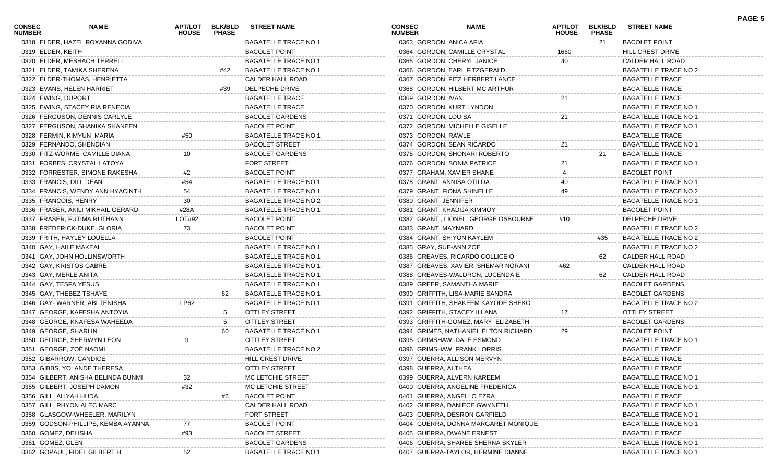| <b>CONSEC</b><br><b>NUMBER</b> | NAME                               | <b>APT/LOT</b><br><b>HOUSE</b> | <b>BLK/BLD</b><br><b>PHASE</b> | <b>STREET NAME</b>          | <b>CONSEC</b><br><b>NUMBER</b> | <b>NAME</b>                          | <b>APT/LOT</b><br><b>HOUSE</b> | <b>BLK/BLD</b><br><b>PHASE</b> | <b>STREET NAME</b>          | PAGE: 5 |
|--------------------------------|------------------------------------|--------------------------------|--------------------------------|-----------------------------|--------------------------------|--------------------------------------|--------------------------------|--------------------------------|-----------------------------|---------|
|                                | 0318 ELDER, HAZEL ROXANNA GODIVA   |                                |                                | <b>BAGATELLE TRACE NO 1</b> | 0363 GORDON, ANICA AFIA        |                                      |                                | 21                             | <b>BACOLET POINT</b>        |         |
| 0319 ELDER, KEITH              |                                    |                                |                                | <b>BACOLET POINT</b>        |                                | 0364 GORDON, CAMILLE CRYSTAL         | 1660                           |                                | HILL CREST DRIVE            |         |
|                                | 0320 ELDER, MESHACH TERRELL        |                                |                                | <b>BAGATELLE TRACE NO 1</b> |                                | 0365 GORDON, CHERYL JANICE           | 40                             |                                | CALDER HALL ROAD            |         |
|                                | 0321 ELDER, TAMIKA SHERENA         |                                | #42                            | <b>BAGATELLE TRACE NO 1</b> |                                | 0366 GORDON, EARL FITZGERALD         |                                |                                | <b>BAGATELLE TRACE NO 2</b> |         |
|                                | 0322 ELDER-THOMAS, HENRIETTA       |                                |                                | CALDER HALL ROAD            |                                | 0367 GORDON, FITZ HERBERT LANCE      |                                |                                | <b>BAGATELLE TRACE</b>      |         |
|                                | 0323 EVANS, HELEN HARRIET          |                                | #39                            | DELPECHE DRIVE              |                                | 0368 GORDON, HILBERT MC ARTHUR       |                                |                                | <b>BAGATELLE TRACE</b>      |         |
| 0324 EWING, DUPORT             |                                    |                                |                                | <b>BAGATELLE TRACE</b>      | 0369 GORDON, IVAN              |                                      | 21                             |                                | <b>BAGATELLE TRACE</b>      |         |
|                                | 0325 EWING, STACEY RIA RENECIA     |                                |                                | <b>BAGATELLE TRACE</b>      |                                | 0370 GORDON, KURT LYNDON             |                                |                                | <b>BAGATELLE TRACE NO 1</b> |         |
|                                | 0326 FERGUSON, DENNIS CARLYLE      |                                |                                | <b>BACOLET GARDENS</b>      | 0371 GORDON, LOUISA            |                                      | 21                             |                                | <b>BAGATELLE TRACE NO 1</b> |         |
|                                | 0327 FERGUSON, SHANIKA SHANEEN     |                                |                                | <b>BACOLET POINT</b>        |                                | 0372 GORDON, MICHELLE GISELLE        |                                |                                | <b>BAGATELLE TRACE NO 1</b> |         |
|                                | 0328 FERMIN, KIMYUN MARIA          | #50                            |                                | <b>BAGATELLE TRACE NO 1</b> | 0373 GORDON, RAWLE             |                                      |                                |                                | <b>BAGATELLE TRACE</b>      |         |
|                                | 0329 FERNANDO, SHENDIAN            |                                |                                | <b>BACOLET STREET</b>       |                                | 0374 GORDON, SEAN RICARDO            | 21                             |                                | <b>BAGATELLE TRACE NO 1</b> |         |
|                                | 0330 FITZ-WORME, CAMILLE DIANA     |                                |                                | <b>BACOLET GARDENS</b>      |                                | 0375 GORDON, SHONARI ROBERTO         |                                | 21                             | <b>BAGATELLE TRACE</b>      |         |
|                                | 0331 FORBES, CRYSTAL LATOYA        |                                |                                | <b>FORT STREET</b>          |                                | 0376 GORDON, SONIA PATRICE           | 21                             |                                | <b>BAGATELLE TRACE NO 1</b> |         |
|                                | 0332 FORRESTER, SIMONE RAKESHA     |                                |                                | <b>BACOLET POINT</b>        |                                | 0377 GRAHAM, XAVIER SHANE            |                                |                                | <b>BACOLET POINT</b>        |         |
| 0333 FRANCIS, DILL DEAN        |                                    | #54                            |                                | BAGATELLE TRACE NO 1        | 0378 GRANT, ANNISA OTILDA      |                                      | 40                             |                                | <b>BAGATELLE TRACE NO 1</b> |         |
|                                | 0334 FRANCIS, WENDY ANN HYACINTH   | 54                             |                                | BAGATELLE TRACE NO 1        |                                | 0379 GRANT, FIONA SHINELLE           | 49                             |                                | BAGATELLE TRACE NO 2        |         |
| 0335 FRANCOIS, HENRY           |                                    | 30                             |                                | <b>BAGATELLE TRACE NO 2</b> | 0380 GRANT, JENNIFER           |                                      |                                |                                | <b>BAGATELLE TRACE NO 1</b> |         |
|                                | 0336 FRASER, AKILI MIKHAIL GERARD  | #28A                           |                                | <b>BAGATELLE TRACE NO 1</b> |                                | 0381 GRANT, KHADIJA KIMMOY           |                                |                                | <b>BACOLET POINT</b>        |         |
|                                | 0337 FRASER, FUTIMA RUTHANN        | LOT#92                         |                                | <b>BACOLET POINT</b>        |                                | 0382 GRANT, LIONEL GEORGE OSBOURNE   | #10                            |                                | DELPECHE DRIVE              |         |
|                                | 0338 FREDERICK-DUKE, GLORIA        | 73                             |                                | <b>BACOLET POINT</b>        | 0383 GRANT, MAYNARD            |                                      |                                |                                | <b>BAGATELLE TRACE NO 2</b> |         |
|                                | 0339 FRITH, HAYLEY LOUELLA         |                                |                                | <b>BACOLET POINT</b>        |                                | 0384 GRANT, SHIYON KAYLEM            |                                | #35                            | <b>BAGATELLE TRACE NO 2</b> |         |
| 0340 GAY, HAILE MAKEAL         |                                    |                                |                                | BAGATELLE TRACE NO 1        | 0385 GRAY, SUE-ANN ZOE         |                                      |                                |                                | <b>BAGATELLE TRACE NO 2</b> |         |
|                                | 0341 GAY, JOHN HOLLINSWORTH        |                                |                                | <b>BAGATELLE TRACE NO 1</b> |                                | 0386 GREAVES, RICARDO COLLICE O      |                                | 62                             | CALDER HALL ROAD            |         |
| 0342 GAY, KRISTOS GABRE        |                                    |                                |                                | <b>BAGATELLE TRACE NO 1</b> |                                | 0387 GREAVES, XAVIER SHEMAR NORANI   | #62                            |                                | CALDER HALL ROAD            |         |
| 0343 GAY, MERLE ANITA          |                                    |                                |                                | BAGATELLE TRACE NO 1        |                                | 0388 GREAVES-WALDRON, LUCENDA E      |                                | 62                             | CALDER HALL ROAD            |         |
| 0344 GAY, TESFA YESUS          |                                    |                                |                                | <b>BAGATELLE TRACE NO 1</b> |                                | 0389 GREER, SAMANTHA MARIE           |                                |                                | <b>BACOLET GARDENS</b>      |         |
| 0345 GAY, THEBEZ TSHAYE        |                                    |                                | 62                             | <b>BAGATELLE TRACE NO 1</b> |                                | 0390 GRIFFITH, LISA-MARIE SANDRA     |                                |                                | <b>BACOLET GARDENS</b>      |         |
|                                | 0346 GAY-WARNER, ABI TENISHA       | LP62                           |                                | <b>BAGATELLE TRACE NO 1</b> |                                | 0391 GRIFFITH, SHAKEEM KAYODE SHEKO  |                                |                                | <b>BAGATELLE TRACE NO 2</b> |         |
|                                | 0347 GEORGE, KAFESHA ANTOYIA       |                                | -5                             | <b>OTTLEY STREET</b>        |                                | 0392 GRIFFITH, STACEY ILLANA         | 17                             |                                | OTTLEY STREET               |         |
|                                | 0348 GEORGE, KNAFESA WAHEEDA       |                                | -5                             | <b>OTTLEY STREET</b>        |                                | 0393 GRIFFITH-GOMEZ, MARY ELIZABETH  |                                |                                | <b>BACOLET GARDENS</b>      |         |
| 0349 GEORGE, SHARLIN           |                                    |                                | 60                             | <b>BAGATELLE TRACE NO 1</b> |                                | 0394 GRIMES, NATHANIEL ELTON RICHARD | 29                             |                                | <b>BACOLET POINT</b>        |         |
|                                | 0350 GEORGE, SHERWYN LEON          | 9                              |                                | <b>OTTLEY STREET</b>        |                                | 0395 GRIMSHAW, DALE ESMOND           |                                |                                | <b>BAGATELLE TRACE NO 1</b> |         |
| 0351 GEORGE, ZOÈ NAOMI         |                                    |                                |                                | <b>BAGATELLE TRACE NO 2</b> |                                | 0396 GRIMSHAW, FRANK LORRIS          |                                |                                | <b>BAGATELLE TRACE</b>      |         |
| 0352 GIBARROW, CANDICE         |                                    |                                |                                | HILL CREST DRIVE            |                                | 0397 GUERRA, ALLISON MERVYN          |                                |                                | <b>BAGATELLE TRACE</b>      |         |
|                                | 0353 GIBBS, YOLANDE THERESA        |                                |                                | <b>OTTLEY STREET</b>        | 0398 GUERRA, ALTHEA            |                                      |                                |                                | <b>BAGATELLE TRACE</b>      |         |
|                                | 0354 GILBERT, ANISHA BELINDA BUNMI |                                |                                | MC LETCHIE STREET           |                                | 0399 GUERRA, ALVERN KAREEM           |                                |                                | <b>BAGATELLE TRACE NO 1</b> |         |
|                                | 0355 GILBERT, JOSEPH DAMON         | #32                            |                                | MC LETCHIE STREET           |                                | 0400 GUERRA, ANGELINE FREDERICA      |                                |                                | <b>BAGATELLE TRACE NO 1</b> |         |
| 0356 GILL, ALIYAH HUDA         |                                    |                                | #6                             | <b>BACOLET POINT</b>        |                                | 0401 GUERRA, ANGELLO EZRA            |                                |                                | <b>BAGATELLE TRACE</b>      |         |
|                                | 0357 GILL, RHYON ALEC MARC         |                                |                                | CALDER HALL ROAD            |                                | 0402 GUERRA, DANIECE GWYNETH         |                                |                                | <b>BAGATELLE TRACE NO 1</b> |         |
|                                | 0358 GLASGOW-WHEELER, MARILYN      |                                |                                | FORT STREET                 |                                | 0403 GUERRA, DESRON GARFIELD         |                                |                                | <b>BAGATELLE TRACE NO 1</b> |         |
|                                | 0359 GODSON-PHILLIPS, KEMBA AYANNA |                                |                                | <b>BACOLET POINT</b>        |                                | 0404 GUERRA, DONNA MARGARET MONIQUE  |                                |                                | <b>BAGATELLE TRACE NO 1</b> |         |
| 0360 GOMEZ, DELISHA            |                                    | #93                            |                                | <b>BACOLET STREET</b>       |                                | 0405 GUERRA, DWANE ERNEST            |                                |                                | <b>BAGATELLE TRACE</b>      |         |
| 0361 GOMEZ, GLEN               |                                    |                                |                                | <b>BACOLET GARDENS</b>      |                                | 0406 GUERRA, SHAREE SHERNA SKYLER    |                                |                                | <b>BAGATELLE TRACE NO 1</b> |         |
|                                | 0362 GOPAUL, FIDEL GILBERT H       |                                |                                | <b>BAGATELLE TRACE NO 1</b> |                                | 0407 GUERRA-TAYLOR, HERMINE DIANNE   |                                |                                | <b>BAGATELLE TRACE NO 1</b> |         |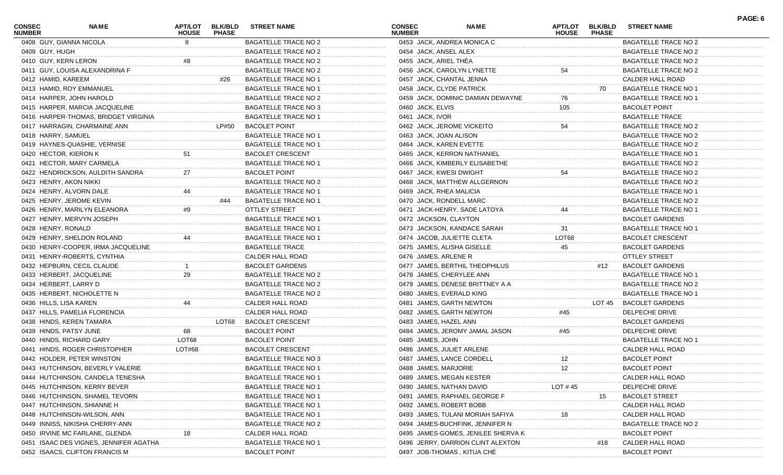| <b>CONSEC</b><br><b>NUMBER</b> | <b>NAME</b>                            | APT/LOT<br><b>HOUSE</b> | <b>BLK/BLD</b><br><b>PHASE</b> | <b>STREET NAME</b>          | <b>CONSEC</b><br><b>NUMBER</b> | <b>NAME</b>                        | APT/LOT<br><b>HOUSE</b> | <b>BLK/BLD</b><br><b>PHASE</b> | <b>STREET NAME</b>          | PAGE: 6 |
|--------------------------------|----------------------------------------|-------------------------|--------------------------------|-----------------------------|--------------------------------|------------------------------------|-------------------------|--------------------------------|-----------------------------|---------|
|                                | 0408 GUY, GIANNA NICOLA                |                         |                                | <b>BAGATELLE TRACE NO 2</b> |                                | 0453 JACK, ANDREA MONICA C         |                         |                                | <b>BAGATELLE TRACE NO 2</b> |         |
| 0409 GUY, HUGH                 |                                        |                         |                                | BAGATELLE TRACE NO 2        |                                | 0454 JACK, ANSEL ALEX              |                         |                                | <b>BAGATELLE TRACE NO 2</b> |         |
| 0410 GUY, KERN LERON           |                                        |                         |                                | <b>BAGATELLE TRACE NO 2</b> |                                | 0455 JACK, ARIEL THEA              |                         |                                | <b>BAGATELLE TRACE NO 2</b> |         |
|                                | 0411 GUY, LOUISA ALEXANDRINA F         |                         |                                | <b>BAGATELLE TRACE NO 2</b> |                                | 0456 JACK, CAROLYN LYNETTE         | 54                      |                                | <b>BAGATELLE TRACE NO 2</b> |         |
| 0412 HAMID, KAREEM             |                                        |                         | #26                            | <b>BAGATELLE TRACE NO 1</b> |                                | 0457 JACK, CHANTAL JENNA           |                         |                                | CALDER HALL ROAD            |         |
|                                | 0413 HAMID, ROY EMMANUEL               |                         |                                | <b>BAGATELLE TRACE NO 1</b> |                                | 0458 JACK, CLYDE PATRICK           |                         | 70                             | <b>BAGATELLE TRACE NO 1</b> |         |
|                                | 0414 HARPER, JOHN HAROLD               |                         |                                | <b>BAGATELLE TRACE NO 2</b> |                                | 0459 JACK, DOMINIC DAMIAN DEWAYNE  | 76                      |                                | <b>BAGATELLE TRACE NO 1</b> |         |
|                                | 0415 HARPER, MARCIA JACQUELINE         |                         |                                | <b>BAGATELLE TRACE NO 3</b> | 0460 JACK, ELVIS               |                                    | 105                     |                                | <b>BACOLET POINT</b>        |         |
|                                | 0416 HARPER-THOMAS, BRIDGET VIRGINIA   |                         |                                | <b>BAGATELLE TRACE NO 1</b> | 0461 JACK, IVOR                |                                    |                         |                                | <b>BAGATELLE TRACE</b>      |         |
|                                | 0417 HARRAGIN, CHARMAINE ANN           |                         | LP#50                          | <b>BACOLET POINT</b>        |                                | 0462 JACK, JEROME VICKEITO         | 54                      |                                | BAGATELLE TRACE NO 2        |         |
| 0418 HARRY, SAMUEL             |                                        |                         |                                | <b>BAGATELLE TRACE NO 1</b> |                                | 0463 JACK, JOAN ALISON             |                         |                                | <b>BAGATELLE TRACE NO 2</b> |         |
|                                | 0419 HAYNES-QUASHIE, VERNISE           |                         |                                | <b>BAGATELLE TRACE NO 1</b> |                                | 0464 JACK, KAREN EVETTE            |                         |                                | <b>BAGATELLE TRACE NO 2</b> |         |
|                                | 0420 HECTOR, KIERON K                  | 51                      |                                | <b>BACOLET CRESCENT</b>     |                                | 0465 JACK, KERRON NATHANIEL        |                         |                                | <b>BAGATELLE TRACE NO 1</b> |         |
|                                | 0421 HECTOR, MARY CARMELA              |                         |                                | <b>BAGATELLE TRACE NO 1</b> |                                | 0466 JACK, KIMBERLY ELISABETHE     |                         |                                | BAGATELLE TRACE NO 2        |         |
|                                | 0422 HENDRICKSON, AULDITH SANDRA       | 27                      |                                | <b>BACOLET POINT</b>        |                                | 0467 JACK, KWESI DWIGHT            | 54                      |                                | <b>BAGATELLE TRACE NO 2</b> |         |
|                                | 0423 HENRY, AKON NIKKI                 |                         |                                | <b>BAGATELLE TRACE NO 2</b> |                                | 0468 JACK, MATTHEW ALLGERNON       |                         |                                | <b>BAGATELLE TRACE NO 2</b> |         |
|                                | 0424 HENRY, ALVORN DALE                | 44                      |                                | <b>BAGATELLE TRACE NO 1</b> |                                | 0469 JACK, RHEA MALICIA            |                         |                                | <b>BAGATELLE TRACE NO 1</b> |         |
|                                | 0425 HENRY, JEROME KEVIN               |                         | #44                            | <b>BAGATELLE TRACE NO 1</b> |                                | 0470 JACK, RONDELL MARC            |                         |                                | BAGATELLE TRACE NO 2        |         |
|                                | 0426 HENRY, MARILYN ELEANORA           | #9                      |                                | OTTLEY STREET               |                                | 0471 JACK-HENRY, SADE LATOYA       |                         |                                | <b>BAGATELLE TRACE NO 1</b> |         |
|                                | 0427 HENRY, MERVYN JOSEPH              |                         |                                | <b>BAGATELLE TRACE NO 1</b> |                                | 0472 JACKSON, CLAYTON              |                         |                                | <b>BACOLET GARDENS</b>      |         |
| 0428 HENRY, RONALD             |                                        |                         |                                | <b>BAGATELLE TRACE NO 1</b> |                                | 0473 JACKSON, KANDACE SARAH        | 31                      |                                | <b>BAGATELLE TRACE NO 1</b> |         |
|                                | 0429 HENRY, SHELDON ROLAND             |                         |                                | <b>BAGATELLE TRACE NO 1</b> |                                | 0474 JACOB, JULIETTE CLETA         | LOT68                   |                                | <b>BACOLET CRESCENT</b>     |         |
|                                | 0430 HENRY-COOPER, IRMA JACQUELINE     |                         |                                | <b>BAGATELLE TRACE</b>      |                                | 0475 JAMES, ALISHA GISELLE         | 45                      |                                | <b>BACOLET GARDENS</b>      |         |
|                                | 0431 HENRY-ROBERTS, CYNTHIA            |                         |                                | CALDER HALL ROAD            |                                | 0476 JAMES, ARLENE R               |                         |                                | OTTLEY STREET               |         |
|                                | 0432 HEPBURN, CECIL CLAUDE             |                         |                                | <b>BACOLET GARDENS</b>      |                                | 0477 JAMES, BERTHIL THEOPHILUS     |                         | #12                            | <b>BACOLET GARDENS</b>      |         |
|                                | 0433 HERBERT, JACQUELINE               | 29                      |                                | BAGATELLE TRACE NO 2        |                                | 0478 JAMES, CHERYLEE ANN           |                         |                                | <b>BAGATELLE TRACE NO 1</b> |         |
|                                | 0434 HERBERT, LARRY D                  |                         |                                | <b>BAGATELLE TRACE NO 2</b> |                                | 0479 JAMES, DENESE BRITTNEY A A    |                         |                                | BAGATELLE TRACE NO 2        |         |
|                                | 0435 HERBERT, NICHOLETTE N             |                         |                                | <b>BAGATELLE TRACE NO 2</b> |                                | 0480 JAMES, EVERALD KING           |                         |                                | <b>BAGATELLE TRACE NO 1</b> |         |
|                                | 0436 HILLS, LISA KAREN                 | 44                      |                                | CALDER HALL ROAD            |                                | 0481 JAMES, GARTH NEWTON           |                         |                                | LOT 45 BACOLET GARDENS      |         |
|                                | 0437 HILLS, PAMELIA FLORENCIA          |                         |                                | CALDER HALL ROAD            |                                | 0482 JAMES, GARTH NEWTON           | #45                     |                                | DELPECHE DRIVE              |         |
|                                | 0438 HINDS, KEREN TAMARA               |                         | LOT68                          | <b>BACOLET CRESCENT</b>     |                                | 0483 JAMES, HAZEL ANN              |                         |                                | <b>BACOLET GARDENS</b>      |         |
|                                | 0439 HINDS, PATSY JUNE                 | 68                      |                                | <b>BACOLET POINT</b>        |                                | 0484 JAMES, JEROMY JAMAL JASON     | #45                     |                                | DELPECHE DRIVE              |         |
|                                | 0440 HINDS, RICHARD GARY               | LOT68                   |                                | <b>BACOLET POINT</b>        | 0485 JAMES, JOHN               |                                    |                         |                                | <b>BAGATELLE TRACE NO 1</b> |         |
|                                | 0441 HINDS, ROGER CHRISTOPHER          | LOT#68                  |                                | <b>BACOLET CRESCENT</b>     |                                | 0486 JAMES, JULIET ARLENE          |                         |                                | CALDER HALL ROAD            |         |
|                                | 0442 HOLDER, PETER WINSTON             |                         |                                | <b>BAGATELLE TRACE NO 3</b> |                                | 0487 JAMES, LANCE CORDELL          | 12                      |                                | <b>BACOLET POINT</b>        |         |
|                                | 0443 HUTCHINSON, BEVERLY VALERIE       |                         |                                | <b>BAGATELLE TRACE NO 1</b> |                                | 0488 JAMES, MARJORIE               | 12                      |                                | <b>BACOLET POINT</b>        |         |
|                                | 0444 HUTCHINSON, CANDELA TENESHA       |                         |                                | <b>BAGATELLE TRACE NO 1</b> |                                | 0489 JAMES, MEGAN KESTER           |                         |                                | <b>CALDER HALL ROAD</b>     |         |
|                                | 0445 HUTCHINSON, KERRY BEVER           |                         |                                | <b>BAGATELLE TRACE NO 1</b> |                                | 0490 JAMES, NATHAN DAVID           | LOT #45                 |                                | DELPECHE DRIVE              |         |
|                                | 0446 HUTCHINSON, SHAMEL TEVORN         |                         |                                | <b>BAGATELLE TRACE NO 1</b> |                                | 0491 JAMES, RAPHAEL GEORGE F       |                         | 15                             | <b>BACOLET STREET</b>       |         |
|                                | 0447 HUTCHINSON, SHIANNE H             |                         |                                | <b>BAGATELLE TRACE NO 1</b> |                                | 0492 JAMES, ROBERT BOBB            |                         |                                | <b>CALDER HALL ROAD</b>     |         |
|                                | 0448 HUTCHINSON-WILSON, ANN            |                         |                                | <b>BAGATELLE TRACE NO 1</b> |                                | 0493 JAMES, TULANI MORIAH SAFIYA   |                         |                                | CALDER HALL ROAD            |         |
|                                | 0449 INNISS, NIKISHA CHERRY-ANN        |                         |                                | BAGATELLE TRACE NO 2        |                                | 0494 JAMES-BUCHFINK, JENNIFER N    |                         |                                | <b>BAGATELLE TRACE NO 2</b> |         |
|                                | 0450 IRVINE MC FARLANE, GLENDA         |                         |                                | CALDER HALL ROAD            |                                | 0495 JAMES-GOMES, JENILEE SHERVA K |                         |                                | <b>BACOLET POINT</b>        |         |
|                                | 0451 ISAAC DES VIGNES, JENNIFER AGATHA |                         |                                | <b>BAGATELLE TRACE NO 1</b> |                                | 0496 JERRY, DARRION CLINT ALEXTON  |                         | #18                            | CALDER HALL ROAD            |         |
|                                | 0452 ISAACS, CLIFTON FRANCIS M         |                         |                                | <b>BACOLET POINT</b>        |                                | 0497 JOB-THOMAS, KITUA CHÉ         |                         |                                | <b>BACOLET POINT</b>        |         |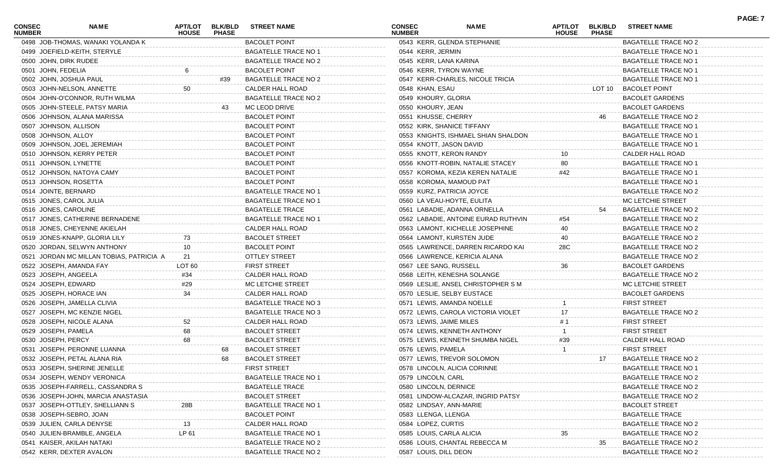| CONSEC<br><b>NUMBER</b> | <b>NAME</b>                              | APT/LOT<br><b>HOUSE</b> | <b>BLK/BLD</b><br><b>PHASE</b> | <b>STREET NAME</b>          | CONSEC<br><b>NUMBER</b>  | <b>NAME</b>                         | <b>APT/LOT</b><br><b>HOUSE</b> | <b>BLK/BLD</b><br><b>PHASE</b> | <b>STREET NAME</b>          | PAGE: 7 |
|-------------------------|------------------------------------------|-------------------------|--------------------------------|-----------------------------|--------------------------|-------------------------------------|--------------------------------|--------------------------------|-----------------------------|---------|
|                         | 0498 JOB-THOMAS, WANAKI YOLANDA K        |                         |                                | <b>BACOLET POINT</b>        |                          | 0543 KERR, GLENDA STEPHANIE         |                                |                                | BAGATELLE TRACE NO 2        |         |
|                         | 0499 JOEFIELD-KEITH, STERYLE             |                         |                                | <b>BAGATELLE TRACE NO 1</b> | 0544 KERR, JERMIN        |                                     |                                |                                | <b>BAGATELLE TRACE NO 1</b> |         |
|                         | 0500 JOHN, DIRK RUDEE                    |                         |                                | <b>BAGATELLE TRACE NO 2</b> | 0545 KERR, LANA KARINA   |                                     |                                |                                | <b>BAGATELLE TRACE NO 1</b> |         |
|                         | 0501 JOHN, FEDELIA                       |                         |                                | <b>BACOLET POINT</b>        |                          | 0546 KERR, TYRON WAYNE              |                                |                                | <b>BAGATELLE TRACE NO 1</b> |         |
|                         | 0502 JOHN, JOSHUA PAUL                   |                         | #39                            | <b>BAGATELLE TRACE NO 2</b> |                          | 0547 KERR-CHARLES, NICOLE TRICIA    |                                |                                | <b>BAGATELLE TRACE NO 1</b> |         |
|                         | 0503 JOHN-NELSON, ANNETTE                | 50                      |                                | CALDER HALL ROAD            | 0548 KHAN, ESAU          |                                     |                                | LOT 10                         | <b>BACOLET POINT</b>        |         |
|                         | 0504 JOHN-O'CONNOR, RUTH WILMA           |                         |                                | <b>BAGATELLE TRACE NO 2</b> | 0549 KHOURY, GLORIA      |                                     |                                |                                | <b>BACOLET GARDENS</b>      |         |
|                         | 0505 JOHN-STEELE, PATSY MARIA            |                         | 43                             | MC LEOD DRIVE               | 0550 KHOURY, JEAN        |                                     |                                |                                | <b>BACOLET GARDENS</b>      |         |
|                         | 0506 JOHNSON, ALANA MARISSA              |                         |                                | <b>BACOLET POINT</b>        | 0551 KHUSSE, CHERRY      |                                     |                                |                                | <b>BAGATELLE TRACE NO 2</b> |         |
|                         | 0507 JOHNSON, ALLISON                    |                         |                                | <b>BACOLET POINT</b>        |                          | 0552 KIRK, SHANICE TIFFANY          |                                |                                | <b>BAGATELLE TRACE NO 1</b> |         |
|                         | 0508 JOHNSON, ALLOY                      |                         |                                | <b>BACOLET POINT</b>        |                          | 0553 KNIGHTS, ISHMAEL SHIAN SHALDON |                                |                                | <b>BAGATELLE TRACE NO 1</b> |         |
|                         | 0509 JOHNSON, JOEL JEREMIAH              |                         |                                | <b>BACOLET POINT</b>        |                          | 0554 KNOTT, JASON DAVID             |                                |                                | <b>BAGATELLE TRACE NO 1</b> |         |
|                         | 0510 JOHNSON, KERRY PETER                |                         |                                | <b>BACOLET POINT</b>        |                          | 0555 KNOTT, KERON RANDY             |                                |                                | CALDER HALL ROAD            |         |
|                         | 0511 JOHNSON, LYNETTE                    |                         |                                | <b>BACOLET POINT</b>        |                          | 0556 KNOTT-ROBIN, NATALIE STACEY    |                                |                                | <b>BAGATELLE TRACE NO 1</b> |         |
|                         | 0512 JOHNSON, NATOYA CAMY                |                         |                                | <b>BACOLET POINT</b>        |                          | 0557 KOROMA, KEZIA KEREN NATALIE    | #42                            |                                | <b>BAGATELLE TRACE NO 1</b> |         |
|                         | 0513 JOHNSON, ROSETTA                    |                         |                                | <b>BACOLET POINT</b>        |                          | 0558 KOROMA, MAMOUD PAT             |                                |                                | <b>BAGATELLE TRACE NO 1</b> |         |
|                         | 0514 JOINTE, BERNARD                     |                         |                                | <b>BAGATELLE TRACE NO 1</b> |                          | 0559 KURZ, PATRICIA JOYCE           |                                |                                | <b>BAGATELLE TRACE NO 2</b> |         |
|                         | 0515 JONES, CAROL JULIA                  |                         |                                | <b>BAGATELLE TRACE NO 1</b> |                          | 0560 LA VEAU-HOYTE, EULITA          |                                |                                | MC LETCHIE STREET           |         |
|                         | 0516 JONES, CAROLINE                     |                         |                                | <b>BAGATELLE TRACE</b>      |                          | 0561 LABADIE, ADANNA ORNELLA        |                                | 54                             | BAGATELLE TRACE NO 2        |         |
|                         | 0517 JONES, CATHERINE BERNADENE          |                         |                                | <b>BAGATELLE TRACE NO 1</b> |                          | 0562 LABADIE, ANTOINE EURAD RUTHVIN | #54                            |                                | <b>BAGATELLE TRACE NO 2</b> |         |
|                         | 0518 JONES, CHEYENNE AKIELAH             |                         |                                | CALDER HALL ROAD            |                          | 0563 LAMONT, KICHELLE JOSEPHINE     | 40                             |                                | <b>BAGATELLE TRACE NO 2</b> |         |
|                         | 0519 JONES-KNAPP, GLORIA LILY            | 73                      |                                | <b>BACOLET STREET</b>       |                          | 0564 LAMONT, KURSTEN JUDE           | 40                             |                                | BAGATELLE TRACE NO 2        |         |
|                         | 0520 JORDAN, SELWYN ANTHONY              | 10                      |                                | <b>BACOLET POINT</b>        |                          | 0565 LAWRENCE, DARREN RICARDO KAI   | 28C                            |                                | BAGATELLE TRACE NO 2        |         |
|                         | 0521 JORDAN MC MILLAN TOBIAS, PATRICIA A | 21                      |                                | <b>OTTLEY STREET</b>        |                          | 0566 LAWRENCE, KERICIA ALANA        |                                |                                | BAGATELLE TRACE NO 2        |         |
|                         | 0522 JOSEPH, AMANDA FAY                  | LOT <sub>60</sub>       |                                | <b>FIRST STREET</b>         | 0567 LEE SANG, RUSSELL   |                                     | 36                             |                                | <b>BACOLET GARDENS</b>      |         |
|                         | 0523 JOSEPH, ANGEELA                     | #34                     |                                | CALDER HALL ROAD            |                          | 0568 LEITH, KENESHA SOLANGE         |                                |                                | BAGATELLE TRACE NO 2        |         |
|                         | 0524 JOSEPH, EDWARD                      | #29                     |                                |                             |                          |                                     |                                |                                |                             |         |
|                         |                                          | 34                      |                                | MC LETCHIE STREET           |                          | 0569 LESLIE, ANSEL CHRISTOPHER S M  |                                |                                | MC LETCHIE STREET           |         |
|                         | 0525 JOSEPH, HORACE IAN                  |                         |                                | CALDER HALL ROAD            |                          | 0570 LESLIE, SELBY EUSTACE          |                                |                                | <b>BACOLET GARDENS</b>      |         |
|                         | 0526 JOSEPH, JAMELLA CLIVIA              |                         |                                | <b>BAGATELLE TRACE NO 3</b> |                          | 0571 LEWIS, AMANDA NOELLE           |                                |                                | <b>FIRST STREET</b>         |         |
|                         | 0527 JOSEPH, MC KENZIE NIGEL             |                         |                                | <b>BAGATELLE TRACE NO 3</b> |                          | 0572 LEWIS, CAROLA VICTORIA VIOLET  |                                |                                | BAGATELLE TRACE NO 2        |         |
|                         | 0528 JOSEPH, NICOLE ALANA                | 52                      |                                | CALDER HALL ROAD            | 0573 LEWIS, JAIME MILES  |                                     |                                |                                | <b>FIRST STREET</b>         |         |
|                         | 0529 JOSEPH, PAMELA                      | 68                      |                                | <b>BACOLET STREET</b>       |                          | 0574 LEWIS, KENNETH ANTHONY         |                                |                                | <b>FIRST STREET</b>         |         |
|                         | 0530 JOSEPH, PERCY                       | 68                      |                                | <b>BACOLET STREET</b>       |                          | 0575 LEWIS, KENNETH SHUMBA NIGEL    | #39                            |                                | CALDER HALL ROAD            |         |
|                         | 0531 JOSEPH, PERONNE LUANNA              |                         | 68                             | <b>BACOLET STREET</b>       | 0576 LEWIS, PAMELA       |                                     |                                |                                | <b>FIRST STREET</b>         |         |
|                         | 0532 JOSEPH, PETAL ALANA RIA             |                         | 68                             | <b>BACOLET STREET</b>       |                          | 0577 LEWIS, TREVOR SOLOMON          |                                | 17                             | <b>BAGATELLE TRACE NO 2</b> |         |
|                         | 0533 JOSEPH, SHERINE JENELLE             |                         |                                | <b>FIRST STREET</b>         |                          | 0578 LINCOLN, ALICIA CORINNE        |                                |                                | <b>BAGATELLE TRACE NO 1</b> |         |
|                         | 0534 JOSEPH, WENDY VERONICA              |                         |                                | <b>BAGATELLE TRACE NO 1</b> | 0579 LINCOLN, CARL       |                                     |                                |                                | <b>BAGATELLE TRACE NO 2</b> |         |
|                         | 0535 JOSEPH-FARRELL, CASSANDRA S         |                         |                                | <b>BAGATELLE TRACE</b>      | 0580 LINCOLN, DERNICE    |                                     |                                |                                | <b>BAGATELLE TRACE NO 2</b> |         |
|                         | 0536 JOSEPH-JOHN, MARCIA ANASTASIA       |                         |                                | <b>BACOLET STREET</b>       |                          | 0581 LINDOW-ALCAZAR, INGRID PATSY   |                                |                                | BAGATELLE TRACE NO 2        |         |
|                         | 0537 JOSEPH-OTTLEY, SHELLIANN S          | 28B                     |                                | <b>BAGATELLE TRACE NO 1</b> |                          | 0582 LINDSAY, ANN-MARIE             |                                |                                | <b>BACOLET STREET</b>       |         |
|                         | 0538 JOSEPH-SEBRO, JOAN                  |                         |                                | <b>BACOLET POINT</b>        | 0583 LLENGA, LLENGA      |                                     |                                |                                | <b>BAGATELLE TRACE</b>      |         |
|                         | 0539 JULIEN, CARLA DENYSE                |                         |                                | CALDER HALL ROAD            | 0584 LOPEZ, CURTIS       |                                     |                                |                                | <b>BAGATELLE TRACE NO 2</b> |         |
|                         | 0540 JULIEN-BRAMBLE, ANGELA              | LP 61                   |                                | <b>BAGATELLE TRACE NO 1</b> | 0585 LOUIS, CARLA ALICIA |                                     |                                |                                | <b>BAGATELLE TRACE NO 2</b> |         |
|                         | 0541 KAISER, AKILAH NATAKI               |                         |                                | <b>BAGATELLE TRACE NO 2</b> |                          | 0586 LOUIS, CHANTAL REBECCA M       |                                | 35                             | <b>BAGATELLE TRACE NO 2</b> |         |
|                         | 0542 KERR, DEXTER AVALON                 |                         |                                | <b>BAGATELLE TRACE NO 2</b> | 0587 LOUIS, DILL DEON    |                                     |                                |                                | <b>BAGATELLE TRACE NO 2</b> |         |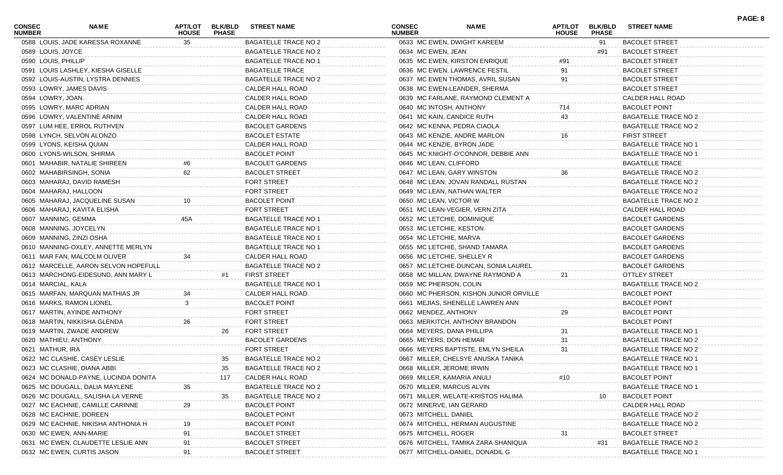| 0588 LOUIS, JADE KARESSA ROXANNE<br>0633 MC EWEN, DWIGHT KAREEM<br>35<br>BAGATELLE TRACE NO 2<br><b>BACOLET STREET</b><br>91<br>0589 LOUIS, JOYCE<br>BAGATELLE TRACE NO 2<br>0634 MC EWEN, JEAN<br><b>BACOLET STREET</b><br>#91<br>0590 LOUIS, PHILLIP<br><b>BAGATELLE TRACE NO 1</b><br>0635 MC EWEN, KIRSTON ENRIQUE<br><b>BACOLET STREET</b><br><b>BAGATELLE TRACE</b><br>0591 LOUIS LASHLEY, KIESHA GISELLE<br>0636 MC EWEN, LAWRENCE FESTIL<br>91<br><b>BACOLET STREET</b><br>0592 LOUIS-AUSTIN, LYSTRA DENNIES<br>BAGATELLE TRACE NO 2<br>0637 MC EWEN THOMAS, AVRIL SUSAN<br><b>BACOLET STREET</b><br>91<br>CALDER HALL ROAD<br>0593 LOWRY, JAMES DAVIS<br>0638 MC EWEN-LEANDER, SHERMA<br><b>BACOLET STREET</b><br>0594 LOWRY, JOAN<br>CALDER HALL ROAD<br>CALDER HALL ROAD<br>0639 MC FARLANE, RAYMOND CLEMENT A<br>CALDER HALL ROAD<br>0595 LOWRY, MARC ADRIAN<br>0640 MC INTOSH, ANTHONY<br>714<br><b>BACOLET POINT</b><br>CALDER HALL ROAD<br>0596 LOWRY, VALENTINE ARNIM<br>0641 MC KAIN, CANDICE RUTH<br>43<br>BAGATELLE TRACE NO 2<br><b>BACOLET GARDENS</b><br>0597 LUM HEE, ERROL RUTHVEN<br>0642 MC KENNA, PEDRA CIAOLA<br>BAGATELLE TRACE NO 2<br><b>BACOLET ESTATE</b><br>0598 LYNCH, SELVON ALONZO<br>0643 MC KENZIE, ANDRE MARLON<br><b>FIRST STREET</b><br>16<br>CALDER HALL ROAD<br>0599 LYONS, KEISHA QUIAN<br>0644 MC KENZIE, BYRON JADE<br><b>BAGATELLE TRACE NO 1</b><br><b>BACOLET POINT</b><br>0600 LYONS-WILSON, SHIRMA<br>0645 MC KNIGHT-O'CONNOR, DEBBIE ANN<br><b>BAGATELLE TRACE NO 1</b><br><b>BACOLET GARDENS</b><br>0601 MAHABIR, NATALIE SHIREEN<br>0646 MC LEAN, CLIFFORD<br><b>BAGATELLE TRACE</b><br>62<br><b>BACOLET STREET</b><br>0602 MAHABIRSINGH, SONIA<br>0647 MC LEAN, GARY WINSTON<br>36<br><b>BAGATELLE TRACE NO 2</b><br><b>FORT STREET</b><br>0603 MAHARAJ, DAVID RAMESH<br>0648 MC LEAN, JOVAN RANDALL RUSTAN<br>BAGATELLE TRACE NO 2<br>FORT STREET<br>0604 MAHARAJ, HALLOON<br>0649 MC LEAN, NATHAN WALTER<br>BAGATELLE TRACE NO 2<br><b>BACOLET POINT</b><br>0605 MAHARAJ, JACQUELINE SUSAN<br>0650 MC LEAN, VICTOR W<br>BAGATELLE TRACE NO 2<br>10<br><b>FORT STREET</b><br>0606 MAHARAJ, KAVITA ELISHA<br>0651 MC LEAN-VEGIER, VERN ZITA<br>CALDER HALL ROAD<br><b>BAGATELLE TRACE NO 1</b><br>0607 MANNING, GEMMA<br>45A<br>0652 MC LETCHIE, DOMINIQUE<br><b>BACOLET GARDENS</b><br>BAGATELLE TRACE NO 1<br>0608 MANNING, JOYCELYN<br>0653 MC LETCHIE, KESTON<br><b>BACOLET GARDENS</b><br><b>BAGATELLE TRACE NO 1</b><br>0609 MANNING, ZINZI OSHA<br>0654 MC LETCHIE, MARVA<br><b>BACOLET GARDENS</b><br><b>BAGATELLE TRACE NO 1</b><br>0610 MANNING-OXLEY, ANNETTE MERLYN<br>0655 MC LETCHIE, SHAND TAMARA<br><b>BACOLET GARDENS</b><br>CALDER HALL ROAD<br>0611 MAR FAN, MALCOLM OLIVER<br>0656 MC LETCHIE, SHELLEY R<br><b>BACOLET GARDENS</b><br>34<br><b>BAGATELLE TRACE NO 2</b><br>0612 MARCELLE, AARON SELVON HOPEFULL<br>0657 MC LETCHIE-DUNCAN, SONIA LAUREL<br><b>BACOLET GARDENS</b><br><b>FIRST STREET</b><br>0613 MARCHONG-EIDESUND, ANN MARY L<br>0658 MC MILLAN, DWAYNE RAYMOND A<br><b>OTTLEY STREET</b><br>#1<br>21<br>0614 MARCIAL, KALA<br><b>BAGATELLE TRACE NO 1</b><br>0659 MC PHERSON, COLIN<br>BAGATELLE TRACE NO 2<br>CALDER HALL ROAD<br>0615 MARFAN, MARQUAN MATHIAS JR<br>0660 MC PHERSON, KISHON JUNIOR ORVILLE<br><b>BACOLET POINT</b><br>34<br>3<br><b>BACOLET POINT</b><br>0616 MARKS, RAMON LIONEL<br>0661 MEJIAS, SHENELLE LAWREN ANN<br><b>BACOLET POINT</b><br><b>FORT STREET</b><br>29<br>0617 MARTIN, AYINDE ANTHONY<br>0662 MENDEZ, ANTHONY<br><b>BACOLET POINT</b><br><b>FORT STREET</b><br><b>BACOLET POINT</b><br>0618 MARTIN, NIKKISHA GLENDA<br>26<br>0663 MERKITCH, ANTHONY BRANDON<br><b>FORT STREET</b><br>0664 MEYERS, DANA PHILLIPA<br>0619 MARTIN, ZWADE ANDREW<br>26<br><b>BAGATELLE TRACE NO 1</b><br>31<br><b>BACOLET GARDENS</b><br>31<br>0620 MATHIEU, ANTHONY<br>0665 MEYERS, DON HEMAR<br><b>BAGATELLE TRACE NO 2</b><br>0621 MATHUR, IRA<br><b>FORT STREET</b><br>0666 MEYERS BAPTISTE, EMLYN SHEILA<br>31<br>BAGATELLE TRACE NO 2<br>0622 MC CLASHIE, CASEY LESLIE<br><b>BAGATELLE TRACE NO 2</b><br><b>BAGATELLE TRACE NO 1</b><br>35<br>0667 MILLER, CHELSYE ANUSKA TANIKA<br>0623 MC CLASHIE, DIANA ABBI<br>35<br><b>BAGATELLE TRACE NO 2</b><br>0668 MILLER, JEROME IRWIN<br><b>BAGATELLE TRACE NO 1</b><br>#10<br>0624 MC DONALD-PAYNE, LUCINDA DONITA<br>CALDER HALL ROAD<br>0669 MILLER, KAMARIA ANULI<br><b>BACOLET POINT</b><br>117<br>0625 MC DOUGALL, DALIA MAYLENE<br><b>BAGATELLE TRACE NO 2</b><br>0670 MILLER, MARCUS ALVIN<br><b>BAGATELLE TRACE NO 1</b><br>35<br><b>BAGATELLE TRACE NO 2</b><br><b>BACOLET POINT</b><br>0626 MC DOUGALL, SALISHA LA VERNE<br>0671 MILLER, WELATE-KRISTOS HALIMA<br>10<br>29<br><b>BACOLET POINT</b><br>CALDER HALL ROAD<br>0627 MC EACHNIE, CAMILLE CARINNE<br>0672 MINERVE, IAN GERARD<br>0628 MC EACHNIE, DOREEN<br><b>BACOLET POINT</b><br>0673 MITCHELL, DANIEL<br><b>BAGATELLE TRACE NO 2</b><br><b>BACOLET POINT</b><br>0629 MC EACHNIE, NIKISHA ANTHONIA H<br>0674 MITCHELL, HERMAN AUGUSTINE<br><b>BAGATELLE TRACE NO 2</b><br><b>BACOLET STREET</b><br>0675 MITCHELL, ROGER<br><b>BACOLET STREET</b><br>0630 MC EWEN, ANN-MARIE<br>91<br>91<br>0631 MC EWEN, CLAUDETTE LESLIE ANN<br><b>BACOLET STREET</b><br>0676 MITCHELL, TAMIKA ZARA SHANIQUA<br><b>BAGATELLE TRACE NO 2</b><br>#31<br>0632 MC EWEN, CURTIS JASON<br><b>BACOLET STREET</b><br>0677 MITCHELL-DANIEL, DONADIL G<br><b>BAGATELLE TRACE NO 1</b><br>91 | <b>CONSEC</b><br><b>NUMBER</b> | NAME | APT/LOT<br><b>HOUSE</b> | <b>BLK/BLD</b><br><b>PHASE</b> | <b>STREET NAME</b> | <b>CONSEC</b><br><b>NUMBER</b> | <b>NAME</b> | APT/LOT<br><b>HOUSE</b> | <b>BLK/BLD</b><br><b>PHASE</b> | <b>STREET NAME</b> | PAGE: 8 |
|------------------------------------------------------------------------------------------------------------------------------------------------------------------------------------------------------------------------------------------------------------------------------------------------------------------------------------------------------------------------------------------------------------------------------------------------------------------------------------------------------------------------------------------------------------------------------------------------------------------------------------------------------------------------------------------------------------------------------------------------------------------------------------------------------------------------------------------------------------------------------------------------------------------------------------------------------------------------------------------------------------------------------------------------------------------------------------------------------------------------------------------------------------------------------------------------------------------------------------------------------------------------------------------------------------------------------------------------------------------------------------------------------------------------------------------------------------------------------------------------------------------------------------------------------------------------------------------------------------------------------------------------------------------------------------------------------------------------------------------------------------------------------------------------------------------------------------------------------------------------------------------------------------------------------------------------------------------------------------------------------------------------------------------------------------------------------------------------------------------------------------------------------------------------------------------------------------------------------------------------------------------------------------------------------------------------------------------------------------------------------------------------------------------------------------------------------------------------------------------------------------------------------------------------------------------------------------------------------------------------------------------------------------------------------------------------------------------------------------------------------------------------------------------------------------------------------------------------------------------------------------------------------------------------------------------------------------------------------------------------------------------------------------------------------------------------------------------------------------------------------------------------------------------------------------------------------------------------------------------------------------------------------------------------------------------------------------------------------------------------------------------------------------------------------------------------------------------------------------------------------------------------------------------------------------------------------------------------------------------------------------------------------------------------------------------------------------------------------------------------------------------------------------------------------------------------------------------------------------------------------------------------------------------------------------------------------------------------------------------------------------------------------------------------------------------------------------------------------------------------------------------------------------------------------------------------------------------------------------------------------------------------------------------------------------------------------------------------------------------------------------------------------------------------------------------------------------------------------------------------------------------------------------------------------------------------------------------------------------------------------------------------------------------------------------------------------------------------------------------------------------------------------------------------------------------------------------------------------------------------------------------------------------------------------------------------------------------------------------------------------------------------------------------------------------------------------------------------------------------------------------------------------------------------------------------------------------------------------------------------------------------------------------------------------------------------------------------------------------------------------------------------------------------------------------------------------------------------------------------------------------|--------------------------------|------|-------------------------|--------------------------------|--------------------|--------------------------------|-------------|-------------------------|--------------------------------|--------------------|---------|
|                                                                                                                                                                                                                                                                                                                                                                                                                                                                                                                                                                                                                                                                                                                                                                                                                                                                                                                                                                                                                                                                                                                                                                                                                                                                                                                                                                                                                                                                                                                                                                                                                                                                                                                                                                                                                                                                                                                                                                                                                                                                                                                                                                                                                                                                                                                                                                                                                                                                                                                                                                                                                                                                                                                                                                                                                                                                                                                                                                                                                                                                                                                                                                                                                                                                                                                                                                                                                                                                                                                                                                                                                                                                                                                                                                                                                                                                                                                                                                                                                                                                                                                                                                                                                                                                                                                                                                                                                                                                                                                                                                                                                                                                                                                                                                                                                                                                                                                                                                                                                                                                                                                                                                                                                                                                                                                                                                                                                                                                                                            |                                |      |                         |                                |                    |                                |             |                         |                                |                    |         |
|                                                                                                                                                                                                                                                                                                                                                                                                                                                                                                                                                                                                                                                                                                                                                                                                                                                                                                                                                                                                                                                                                                                                                                                                                                                                                                                                                                                                                                                                                                                                                                                                                                                                                                                                                                                                                                                                                                                                                                                                                                                                                                                                                                                                                                                                                                                                                                                                                                                                                                                                                                                                                                                                                                                                                                                                                                                                                                                                                                                                                                                                                                                                                                                                                                                                                                                                                                                                                                                                                                                                                                                                                                                                                                                                                                                                                                                                                                                                                                                                                                                                                                                                                                                                                                                                                                                                                                                                                                                                                                                                                                                                                                                                                                                                                                                                                                                                                                                                                                                                                                                                                                                                                                                                                                                                                                                                                                                                                                                                                                            |                                |      |                         |                                |                    |                                |             |                         |                                |                    |         |
|                                                                                                                                                                                                                                                                                                                                                                                                                                                                                                                                                                                                                                                                                                                                                                                                                                                                                                                                                                                                                                                                                                                                                                                                                                                                                                                                                                                                                                                                                                                                                                                                                                                                                                                                                                                                                                                                                                                                                                                                                                                                                                                                                                                                                                                                                                                                                                                                                                                                                                                                                                                                                                                                                                                                                                                                                                                                                                                                                                                                                                                                                                                                                                                                                                                                                                                                                                                                                                                                                                                                                                                                                                                                                                                                                                                                                                                                                                                                                                                                                                                                                                                                                                                                                                                                                                                                                                                                                                                                                                                                                                                                                                                                                                                                                                                                                                                                                                                                                                                                                                                                                                                                                                                                                                                                                                                                                                                                                                                                                                            |                                |      |                         |                                |                    |                                |             |                         |                                |                    |         |
|                                                                                                                                                                                                                                                                                                                                                                                                                                                                                                                                                                                                                                                                                                                                                                                                                                                                                                                                                                                                                                                                                                                                                                                                                                                                                                                                                                                                                                                                                                                                                                                                                                                                                                                                                                                                                                                                                                                                                                                                                                                                                                                                                                                                                                                                                                                                                                                                                                                                                                                                                                                                                                                                                                                                                                                                                                                                                                                                                                                                                                                                                                                                                                                                                                                                                                                                                                                                                                                                                                                                                                                                                                                                                                                                                                                                                                                                                                                                                                                                                                                                                                                                                                                                                                                                                                                                                                                                                                                                                                                                                                                                                                                                                                                                                                                                                                                                                                                                                                                                                                                                                                                                                                                                                                                                                                                                                                                                                                                                                                            |                                |      |                         |                                |                    |                                |             |                         |                                |                    |         |
|                                                                                                                                                                                                                                                                                                                                                                                                                                                                                                                                                                                                                                                                                                                                                                                                                                                                                                                                                                                                                                                                                                                                                                                                                                                                                                                                                                                                                                                                                                                                                                                                                                                                                                                                                                                                                                                                                                                                                                                                                                                                                                                                                                                                                                                                                                                                                                                                                                                                                                                                                                                                                                                                                                                                                                                                                                                                                                                                                                                                                                                                                                                                                                                                                                                                                                                                                                                                                                                                                                                                                                                                                                                                                                                                                                                                                                                                                                                                                                                                                                                                                                                                                                                                                                                                                                                                                                                                                                                                                                                                                                                                                                                                                                                                                                                                                                                                                                                                                                                                                                                                                                                                                                                                                                                                                                                                                                                                                                                                                                            |                                |      |                         |                                |                    |                                |             |                         |                                |                    |         |
|                                                                                                                                                                                                                                                                                                                                                                                                                                                                                                                                                                                                                                                                                                                                                                                                                                                                                                                                                                                                                                                                                                                                                                                                                                                                                                                                                                                                                                                                                                                                                                                                                                                                                                                                                                                                                                                                                                                                                                                                                                                                                                                                                                                                                                                                                                                                                                                                                                                                                                                                                                                                                                                                                                                                                                                                                                                                                                                                                                                                                                                                                                                                                                                                                                                                                                                                                                                                                                                                                                                                                                                                                                                                                                                                                                                                                                                                                                                                                                                                                                                                                                                                                                                                                                                                                                                                                                                                                                                                                                                                                                                                                                                                                                                                                                                                                                                                                                                                                                                                                                                                                                                                                                                                                                                                                                                                                                                                                                                                                                            |                                |      |                         |                                |                    |                                |             |                         |                                |                    |         |
|                                                                                                                                                                                                                                                                                                                                                                                                                                                                                                                                                                                                                                                                                                                                                                                                                                                                                                                                                                                                                                                                                                                                                                                                                                                                                                                                                                                                                                                                                                                                                                                                                                                                                                                                                                                                                                                                                                                                                                                                                                                                                                                                                                                                                                                                                                                                                                                                                                                                                                                                                                                                                                                                                                                                                                                                                                                                                                                                                                                                                                                                                                                                                                                                                                                                                                                                                                                                                                                                                                                                                                                                                                                                                                                                                                                                                                                                                                                                                                                                                                                                                                                                                                                                                                                                                                                                                                                                                                                                                                                                                                                                                                                                                                                                                                                                                                                                                                                                                                                                                                                                                                                                                                                                                                                                                                                                                                                                                                                                                                            |                                |      |                         |                                |                    |                                |             |                         |                                |                    |         |
|                                                                                                                                                                                                                                                                                                                                                                                                                                                                                                                                                                                                                                                                                                                                                                                                                                                                                                                                                                                                                                                                                                                                                                                                                                                                                                                                                                                                                                                                                                                                                                                                                                                                                                                                                                                                                                                                                                                                                                                                                                                                                                                                                                                                                                                                                                                                                                                                                                                                                                                                                                                                                                                                                                                                                                                                                                                                                                                                                                                                                                                                                                                                                                                                                                                                                                                                                                                                                                                                                                                                                                                                                                                                                                                                                                                                                                                                                                                                                                                                                                                                                                                                                                                                                                                                                                                                                                                                                                                                                                                                                                                                                                                                                                                                                                                                                                                                                                                                                                                                                                                                                                                                                                                                                                                                                                                                                                                                                                                                                                            |                                |      |                         |                                |                    |                                |             |                         |                                |                    |         |
|                                                                                                                                                                                                                                                                                                                                                                                                                                                                                                                                                                                                                                                                                                                                                                                                                                                                                                                                                                                                                                                                                                                                                                                                                                                                                                                                                                                                                                                                                                                                                                                                                                                                                                                                                                                                                                                                                                                                                                                                                                                                                                                                                                                                                                                                                                                                                                                                                                                                                                                                                                                                                                                                                                                                                                                                                                                                                                                                                                                                                                                                                                                                                                                                                                                                                                                                                                                                                                                                                                                                                                                                                                                                                                                                                                                                                                                                                                                                                                                                                                                                                                                                                                                                                                                                                                                                                                                                                                                                                                                                                                                                                                                                                                                                                                                                                                                                                                                                                                                                                                                                                                                                                                                                                                                                                                                                                                                                                                                                                                            |                                |      |                         |                                |                    |                                |             |                         |                                |                    |         |
|                                                                                                                                                                                                                                                                                                                                                                                                                                                                                                                                                                                                                                                                                                                                                                                                                                                                                                                                                                                                                                                                                                                                                                                                                                                                                                                                                                                                                                                                                                                                                                                                                                                                                                                                                                                                                                                                                                                                                                                                                                                                                                                                                                                                                                                                                                                                                                                                                                                                                                                                                                                                                                                                                                                                                                                                                                                                                                                                                                                                                                                                                                                                                                                                                                                                                                                                                                                                                                                                                                                                                                                                                                                                                                                                                                                                                                                                                                                                                                                                                                                                                                                                                                                                                                                                                                                                                                                                                                                                                                                                                                                                                                                                                                                                                                                                                                                                                                                                                                                                                                                                                                                                                                                                                                                                                                                                                                                                                                                                                                            |                                |      |                         |                                |                    |                                |             |                         |                                |                    |         |
|                                                                                                                                                                                                                                                                                                                                                                                                                                                                                                                                                                                                                                                                                                                                                                                                                                                                                                                                                                                                                                                                                                                                                                                                                                                                                                                                                                                                                                                                                                                                                                                                                                                                                                                                                                                                                                                                                                                                                                                                                                                                                                                                                                                                                                                                                                                                                                                                                                                                                                                                                                                                                                                                                                                                                                                                                                                                                                                                                                                                                                                                                                                                                                                                                                                                                                                                                                                                                                                                                                                                                                                                                                                                                                                                                                                                                                                                                                                                                                                                                                                                                                                                                                                                                                                                                                                                                                                                                                                                                                                                                                                                                                                                                                                                                                                                                                                                                                                                                                                                                                                                                                                                                                                                                                                                                                                                                                                                                                                                                                            |                                |      |                         |                                |                    |                                |             |                         |                                |                    |         |
|                                                                                                                                                                                                                                                                                                                                                                                                                                                                                                                                                                                                                                                                                                                                                                                                                                                                                                                                                                                                                                                                                                                                                                                                                                                                                                                                                                                                                                                                                                                                                                                                                                                                                                                                                                                                                                                                                                                                                                                                                                                                                                                                                                                                                                                                                                                                                                                                                                                                                                                                                                                                                                                                                                                                                                                                                                                                                                                                                                                                                                                                                                                                                                                                                                                                                                                                                                                                                                                                                                                                                                                                                                                                                                                                                                                                                                                                                                                                                                                                                                                                                                                                                                                                                                                                                                                                                                                                                                                                                                                                                                                                                                                                                                                                                                                                                                                                                                                                                                                                                                                                                                                                                                                                                                                                                                                                                                                                                                                                                                            |                                |      |                         |                                |                    |                                |             |                         |                                |                    |         |
|                                                                                                                                                                                                                                                                                                                                                                                                                                                                                                                                                                                                                                                                                                                                                                                                                                                                                                                                                                                                                                                                                                                                                                                                                                                                                                                                                                                                                                                                                                                                                                                                                                                                                                                                                                                                                                                                                                                                                                                                                                                                                                                                                                                                                                                                                                                                                                                                                                                                                                                                                                                                                                                                                                                                                                                                                                                                                                                                                                                                                                                                                                                                                                                                                                                                                                                                                                                                                                                                                                                                                                                                                                                                                                                                                                                                                                                                                                                                                                                                                                                                                                                                                                                                                                                                                                                                                                                                                                                                                                                                                                                                                                                                                                                                                                                                                                                                                                                                                                                                                                                                                                                                                                                                                                                                                                                                                                                                                                                                                                            |                                |      |                         |                                |                    |                                |             |                         |                                |                    |         |
|                                                                                                                                                                                                                                                                                                                                                                                                                                                                                                                                                                                                                                                                                                                                                                                                                                                                                                                                                                                                                                                                                                                                                                                                                                                                                                                                                                                                                                                                                                                                                                                                                                                                                                                                                                                                                                                                                                                                                                                                                                                                                                                                                                                                                                                                                                                                                                                                                                                                                                                                                                                                                                                                                                                                                                                                                                                                                                                                                                                                                                                                                                                                                                                                                                                                                                                                                                                                                                                                                                                                                                                                                                                                                                                                                                                                                                                                                                                                                                                                                                                                                                                                                                                                                                                                                                                                                                                                                                                                                                                                                                                                                                                                                                                                                                                                                                                                                                                                                                                                                                                                                                                                                                                                                                                                                                                                                                                                                                                                                                            |                                |      |                         |                                |                    |                                |             |                         |                                |                    |         |
|                                                                                                                                                                                                                                                                                                                                                                                                                                                                                                                                                                                                                                                                                                                                                                                                                                                                                                                                                                                                                                                                                                                                                                                                                                                                                                                                                                                                                                                                                                                                                                                                                                                                                                                                                                                                                                                                                                                                                                                                                                                                                                                                                                                                                                                                                                                                                                                                                                                                                                                                                                                                                                                                                                                                                                                                                                                                                                                                                                                                                                                                                                                                                                                                                                                                                                                                                                                                                                                                                                                                                                                                                                                                                                                                                                                                                                                                                                                                                                                                                                                                                                                                                                                                                                                                                                                                                                                                                                                                                                                                                                                                                                                                                                                                                                                                                                                                                                                                                                                                                                                                                                                                                                                                                                                                                                                                                                                                                                                                                                            |                                |      |                         |                                |                    |                                |             |                         |                                |                    |         |
|                                                                                                                                                                                                                                                                                                                                                                                                                                                                                                                                                                                                                                                                                                                                                                                                                                                                                                                                                                                                                                                                                                                                                                                                                                                                                                                                                                                                                                                                                                                                                                                                                                                                                                                                                                                                                                                                                                                                                                                                                                                                                                                                                                                                                                                                                                                                                                                                                                                                                                                                                                                                                                                                                                                                                                                                                                                                                                                                                                                                                                                                                                                                                                                                                                                                                                                                                                                                                                                                                                                                                                                                                                                                                                                                                                                                                                                                                                                                                                                                                                                                                                                                                                                                                                                                                                                                                                                                                                                                                                                                                                                                                                                                                                                                                                                                                                                                                                                                                                                                                                                                                                                                                                                                                                                                                                                                                                                                                                                                                                            |                                |      |                         |                                |                    |                                |             |                         |                                |                    |         |
|                                                                                                                                                                                                                                                                                                                                                                                                                                                                                                                                                                                                                                                                                                                                                                                                                                                                                                                                                                                                                                                                                                                                                                                                                                                                                                                                                                                                                                                                                                                                                                                                                                                                                                                                                                                                                                                                                                                                                                                                                                                                                                                                                                                                                                                                                                                                                                                                                                                                                                                                                                                                                                                                                                                                                                                                                                                                                                                                                                                                                                                                                                                                                                                                                                                                                                                                                                                                                                                                                                                                                                                                                                                                                                                                                                                                                                                                                                                                                                                                                                                                                                                                                                                                                                                                                                                                                                                                                                                                                                                                                                                                                                                                                                                                                                                                                                                                                                                                                                                                                                                                                                                                                                                                                                                                                                                                                                                                                                                                                                            |                                |      |                         |                                |                    |                                |             |                         |                                |                    |         |
|                                                                                                                                                                                                                                                                                                                                                                                                                                                                                                                                                                                                                                                                                                                                                                                                                                                                                                                                                                                                                                                                                                                                                                                                                                                                                                                                                                                                                                                                                                                                                                                                                                                                                                                                                                                                                                                                                                                                                                                                                                                                                                                                                                                                                                                                                                                                                                                                                                                                                                                                                                                                                                                                                                                                                                                                                                                                                                                                                                                                                                                                                                                                                                                                                                                                                                                                                                                                                                                                                                                                                                                                                                                                                                                                                                                                                                                                                                                                                                                                                                                                                                                                                                                                                                                                                                                                                                                                                                                                                                                                                                                                                                                                                                                                                                                                                                                                                                                                                                                                                                                                                                                                                                                                                                                                                                                                                                                                                                                                                                            |                                |      |                         |                                |                    |                                |             |                         |                                |                    |         |
|                                                                                                                                                                                                                                                                                                                                                                                                                                                                                                                                                                                                                                                                                                                                                                                                                                                                                                                                                                                                                                                                                                                                                                                                                                                                                                                                                                                                                                                                                                                                                                                                                                                                                                                                                                                                                                                                                                                                                                                                                                                                                                                                                                                                                                                                                                                                                                                                                                                                                                                                                                                                                                                                                                                                                                                                                                                                                                                                                                                                                                                                                                                                                                                                                                                                                                                                                                                                                                                                                                                                                                                                                                                                                                                                                                                                                                                                                                                                                                                                                                                                                                                                                                                                                                                                                                                                                                                                                                                                                                                                                                                                                                                                                                                                                                                                                                                                                                                                                                                                                                                                                                                                                                                                                                                                                                                                                                                                                                                                                                            |                                |      |                         |                                |                    |                                |             |                         |                                |                    |         |
|                                                                                                                                                                                                                                                                                                                                                                                                                                                                                                                                                                                                                                                                                                                                                                                                                                                                                                                                                                                                                                                                                                                                                                                                                                                                                                                                                                                                                                                                                                                                                                                                                                                                                                                                                                                                                                                                                                                                                                                                                                                                                                                                                                                                                                                                                                                                                                                                                                                                                                                                                                                                                                                                                                                                                                                                                                                                                                                                                                                                                                                                                                                                                                                                                                                                                                                                                                                                                                                                                                                                                                                                                                                                                                                                                                                                                                                                                                                                                                                                                                                                                                                                                                                                                                                                                                                                                                                                                                                                                                                                                                                                                                                                                                                                                                                                                                                                                                                                                                                                                                                                                                                                                                                                                                                                                                                                                                                                                                                                                                            |                                |      |                         |                                |                    |                                |             |                         |                                |                    |         |
|                                                                                                                                                                                                                                                                                                                                                                                                                                                                                                                                                                                                                                                                                                                                                                                                                                                                                                                                                                                                                                                                                                                                                                                                                                                                                                                                                                                                                                                                                                                                                                                                                                                                                                                                                                                                                                                                                                                                                                                                                                                                                                                                                                                                                                                                                                                                                                                                                                                                                                                                                                                                                                                                                                                                                                                                                                                                                                                                                                                                                                                                                                                                                                                                                                                                                                                                                                                                                                                                                                                                                                                                                                                                                                                                                                                                                                                                                                                                                                                                                                                                                                                                                                                                                                                                                                                                                                                                                                                                                                                                                                                                                                                                                                                                                                                                                                                                                                                                                                                                                                                                                                                                                                                                                                                                                                                                                                                                                                                                                                            |                                |      |                         |                                |                    |                                |             |                         |                                |                    |         |
|                                                                                                                                                                                                                                                                                                                                                                                                                                                                                                                                                                                                                                                                                                                                                                                                                                                                                                                                                                                                                                                                                                                                                                                                                                                                                                                                                                                                                                                                                                                                                                                                                                                                                                                                                                                                                                                                                                                                                                                                                                                                                                                                                                                                                                                                                                                                                                                                                                                                                                                                                                                                                                                                                                                                                                                                                                                                                                                                                                                                                                                                                                                                                                                                                                                                                                                                                                                                                                                                                                                                                                                                                                                                                                                                                                                                                                                                                                                                                                                                                                                                                                                                                                                                                                                                                                                                                                                                                                                                                                                                                                                                                                                                                                                                                                                                                                                                                                                                                                                                                                                                                                                                                                                                                                                                                                                                                                                                                                                                                                            |                                |      |                         |                                |                    |                                |             |                         |                                |                    |         |
|                                                                                                                                                                                                                                                                                                                                                                                                                                                                                                                                                                                                                                                                                                                                                                                                                                                                                                                                                                                                                                                                                                                                                                                                                                                                                                                                                                                                                                                                                                                                                                                                                                                                                                                                                                                                                                                                                                                                                                                                                                                                                                                                                                                                                                                                                                                                                                                                                                                                                                                                                                                                                                                                                                                                                                                                                                                                                                                                                                                                                                                                                                                                                                                                                                                                                                                                                                                                                                                                                                                                                                                                                                                                                                                                                                                                                                                                                                                                                                                                                                                                                                                                                                                                                                                                                                                                                                                                                                                                                                                                                                                                                                                                                                                                                                                                                                                                                                                                                                                                                                                                                                                                                                                                                                                                                                                                                                                                                                                                                                            |                                |      |                         |                                |                    |                                |             |                         |                                |                    |         |
|                                                                                                                                                                                                                                                                                                                                                                                                                                                                                                                                                                                                                                                                                                                                                                                                                                                                                                                                                                                                                                                                                                                                                                                                                                                                                                                                                                                                                                                                                                                                                                                                                                                                                                                                                                                                                                                                                                                                                                                                                                                                                                                                                                                                                                                                                                                                                                                                                                                                                                                                                                                                                                                                                                                                                                                                                                                                                                                                                                                                                                                                                                                                                                                                                                                                                                                                                                                                                                                                                                                                                                                                                                                                                                                                                                                                                                                                                                                                                                                                                                                                                                                                                                                                                                                                                                                                                                                                                                                                                                                                                                                                                                                                                                                                                                                                                                                                                                                                                                                                                                                                                                                                                                                                                                                                                                                                                                                                                                                                                                            |                                |      |                         |                                |                    |                                |             |                         |                                |                    |         |
|                                                                                                                                                                                                                                                                                                                                                                                                                                                                                                                                                                                                                                                                                                                                                                                                                                                                                                                                                                                                                                                                                                                                                                                                                                                                                                                                                                                                                                                                                                                                                                                                                                                                                                                                                                                                                                                                                                                                                                                                                                                                                                                                                                                                                                                                                                                                                                                                                                                                                                                                                                                                                                                                                                                                                                                                                                                                                                                                                                                                                                                                                                                                                                                                                                                                                                                                                                                                                                                                                                                                                                                                                                                                                                                                                                                                                                                                                                                                                                                                                                                                                                                                                                                                                                                                                                                                                                                                                                                                                                                                                                                                                                                                                                                                                                                                                                                                                                                                                                                                                                                                                                                                                                                                                                                                                                                                                                                                                                                                                                            |                                |      |                         |                                |                    |                                |             |                         |                                |                    |         |
|                                                                                                                                                                                                                                                                                                                                                                                                                                                                                                                                                                                                                                                                                                                                                                                                                                                                                                                                                                                                                                                                                                                                                                                                                                                                                                                                                                                                                                                                                                                                                                                                                                                                                                                                                                                                                                                                                                                                                                                                                                                                                                                                                                                                                                                                                                                                                                                                                                                                                                                                                                                                                                                                                                                                                                                                                                                                                                                                                                                                                                                                                                                                                                                                                                                                                                                                                                                                                                                                                                                                                                                                                                                                                                                                                                                                                                                                                                                                                                                                                                                                                                                                                                                                                                                                                                                                                                                                                                                                                                                                                                                                                                                                                                                                                                                                                                                                                                                                                                                                                                                                                                                                                                                                                                                                                                                                                                                                                                                                                                            |                                |      |                         |                                |                    |                                |             |                         |                                |                    |         |
|                                                                                                                                                                                                                                                                                                                                                                                                                                                                                                                                                                                                                                                                                                                                                                                                                                                                                                                                                                                                                                                                                                                                                                                                                                                                                                                                                                                                                                                                                                                                                                                                                                                                                                                                                                                                                                                                                                                                                                                                                                                                                                                                                                                                                                                                                                                                                                                                                                                                                                                                                                                                                                                                                                                                                                                                                                                                                                                                                                                                                                                                                                                                                                                                                                                                                                                                                                                                                                                                                                                                                                                                                                                                                                                                                                                                                                                                                                                                                                                                                                                                                                                                                                                                                                                                                                                                                                                                                                                                                                                                                                                                                                                                                                                                                                                                                                                                                                                                                                                                                                                                                                                                                                                                                                                                                                                                                                                                                                                                                                            |                                |      |                         |                                |                    |                                |             |                         |                                |                    |         |
|                                                                                                                                                                                                                                                                                                                                                                                                                                                                                                                                                                                                                                                                                                                                                                                                                                                                                                                                                                                                                                                                                                                                                                                                                                                                                                                                                                                                                                                                                                                                                                                                                                                                                                                                                                                                                                                                                                                                                                                                                                                                                                                                                                                                                                                                                                                                                                                                                                                                                                                                                                                                                                                                                                                                                                                                                                                                                                                                                                                                                                                                                                                                                                                                                                                                                                                                                                                                                                                                                                                                                                                                                                                                                                                                                                                                                                                                                                                                                                                                                                                                                                                                                                                                                                                                                                                                                                                                                                                                                                                                                                                                                                                                                                                                                                                                                                                                                                                                                                                                                                                                                                                                                                                                                                                                                                                                                                                                                                                                                                            |                                |      |                         |                                |                    |                                |             |                         |                                |                    |         |
|                                                                                                                                                                                                                                                                                                                                                                                                                                                                                                                                                                                                                                                                                                                                                                                                                                                                                                                                                                                                                                                                                                                                                                                                                                                                                                                                                                                                                                                                                                                                                                                                                                                                                                                                                                                                                                                                                                                                                                                                                                                                                                                                                                                                                                                                                                                                                                                                                                                                                                                                                                                                                                                                                                                                                                                                                                                                                                                                                                                                                                                                                                                                                                                                                                                                                                                                                                                                                                                                                                                                                                                                                                                                                                                                                                                                                                                                                                                                                                                                                                                                                                                                                                                                                                                                                                                                                                                                                                                                                                                                                                                                                                                                                                                                                                                                                                                                                                                                                                                                                                                                                                                                                                                                                                                                                                                                                                                                                                                                                                            |                                |      |                         |                                |                    |                                |             |                         |                                |                    |         |
|                                                                                                                                                                                                                                                                                                                                                                                                                                                                                                                                                                                                                                                                                                                                                                                                                                                                                                                                                                                                                                                                                                                                                                                                                                                                                                                                                                                                                                                                                                                                                                                                                                                                                                                                                                                                                                                                                                                                                                                                                                                                                                                                                                                                                                                                                                                                                                                                                                                                                                                                                                                                                                                                                                                                                                                                                                                                                                                                                                                                                                                                                                                                                                                                                                                                                                                                                                                                                                                                                                                                                                                                                                                                                                                                                                                                                                                                                                                                                                                                                                                                                                                                                                                                                                                                                                                                                                                                                                                                                                                                                                                                                                                                                                                                                                                                                                                                                                                                                                                                                                                                                                                                                                                                                                                                                                                                                                                                                                                                                                            |                                |      |                         |                                |                    |                                |             |                         |                                |                    |         |
|                                                                                                                                                                                                                                                                                                                                                                                                                                                                                                                                                                                                                                                                                                                                                                                                                                                                                                                                                                                                                                                                                                                                                                                                                                                                                                                                                                                                                                                                                                                                                                                                                                                                                                                                                                                                                                                                                                                                                                                                                                                                                                                                                                                                                                                                                                                                                                                                                                                                                                                                                                                                                                                                                                                                                                                                                                                                                                                                                                                                                                                                                                                                                                                                                                                                                                                                                                                                                                                                                                                                                                                                                                                                                                                                                                                                                                                                                                                                                                                                                                                                                                                                                                                                                                                                                                                                                                                                                                                                                                                                                                                                                                                                                                                                                                                                                                                                                                                                                                                                                                                                                                                                                                                                                                                                                                                                                                                                                                                                                                            |                                |      |                         |                                |                    |                                |             |                         |                                |                    |         |
|                                                                                                                                                                                                                                                                                                                                                                                                                                                                                                                                                                                                                                                                                                                                                                                                                                                                                                                                                                                                                                                                                                                                                                                                                                                                                                                                                                                                                                                                                                                                                                                                                                                                                                                                                                                                                                                                                                                                                                                                                                                                                                                                                                                                                                                                                                                                                                                                                                                                                                                                                                                                                                                                                                                                                                                                                                                                                                                                                                                                                                                                                                                                                                                                                                                                                                                                                                                                                                                                                                                                                                                                                                                                                                                                                                                                                                                                                                                                                                                                                                                                                                                                                                                                                                                                                                                                                                                                                                                                                                                                                                                                                                                                                                                                                                                                                                                                                                                                                                                                                                                                                                                                                                                                                                                                                                                                                                                                                                                                                                            |                                |      |                         |                                |                    |                                |             |                         |                                |                    |         |
|                                                                                                                                                                                                                                                                                                                                                                                                                                                                                                                                                                                                                                                                                                                                                                                                                                                                                                                                                                                                                                                                                                                                                                                                                                                                                                                                                                                                                                                                                                                                                                                                                                                                                                                                                                                                                                                                                                                                                                                                                                                                                                                                                                                                                                                                                                                                                                                                                                                                                                                                                                                                                                                                                                                                                                                                                                                                                                                                                                                                                                                                                                                                                                                                                                                                                                                                                                                                                                                                                                                                                                                                                                                                                                                                                                                                                                                                                                                                                                                                                                                                                                                                                                                                                                                                                                                                                                                                                                                                                                                                                                                                                                                                                                                                                                                                                                                                                                                                                                                                                                                                                                                                                                                                                                                                                                                                                                                                                                                                                                            |                                |      |                         |                                |                    |                                |             |                         |                                |                    |         |
|                                                                                                                                                                                                                                                                                                                                                                                                                                                                                                                                                                                                                                                                                                                                                                                                                                                                                                                                                                                                                                                                                                                                                                                                                                                                                                                                                                                                                                                                                                                                                                                                                                                                                                                                                                                                                                                                                                                                                                                                                                                                                                                                                                                                                                                                                                                                                                                                                                                                                                                                                                                                                                                                                                                                                                                                                                                                                                                                                                                                                                                                                                                                                                                                                                                                                                                                                                                                                                                                                                                                                                                                                                                                                                                                                                                                                                                                                                                                                                                                                                                                                                                                                                                                                                                                                                                                                                                                                                                                                                                                                                                                                                                                                                                                                                                                                                                                                                                                                                                                                                                                                                                                                                                                                                                                                                                                                                                                                                                                                                            |                                |      |                         |                                |                    |                                |             |                         |                                |                    |         |
|                                                                                                                                                                                                                                                                                                                                                                                                                                                                                                                                                                                                                                                                                                                                                                                                                                                                                                                                                                                                                                                                                                                                                                                                                                                                                                                                                                                                                                                                                                                                                                                                                                                                                                                                                                                                                                                                                                                                                                                                                                                                                                                                                                                                                                                                                                                                                                                                                                                                                                                                                                                                                                                                                                                                                                                                                                                                                                                                                                                                                                                                                                                                                                                                                                                                                                                                                                                                                                                                                                                                                                                                                                                                                                                                                                                                                                                                                                                                                                                                                                                                                                                                                                                                                                                                                                                                                                                                                                                                                                                                                                                                                                                                                                                                                                                                                                                                                                                                                                                                                                                                                                                                                                                                                                                                                                                                                                                                                                                                                                            |                                |      |                         |                                |                    |                                |             |                         |                                |                    |         |
|                                                                                                                                                                                                                                                                                                                                                                                                                                                                                                                                                                                                                                                                                                                                                                                                                                                                                                                                                                                                                                                                                                                                                                                                                                                                                                                                                                                                                                                                                                                                                                                                                                                                                                                                                                                                                                                                                                                                                                                                                                                                                                                                                                                                                                                                                                                                                                                                                                                                                                                                                                                                                                                                                                                                                                                                                                                                                                                                                                                                                                                                                                                                                                                                                                                                                                                                                                                                                                                                                                                                                                                                                                                                                                                                                                                                                                                                                                                                                                                                                                                                                                                                                                                                                                                                                                                                                                                                                                                                                                                                                                                                                                                                                                                                                                                                                                                                                                                                                                                                                                                                                                                                                                                                                                                                                                                                                                                                                                                                                                            |                                |      |                         |                                |                    |                                |             |                         |                                |                    |         |
|                                                                                                                                                                                                                                                                                                                                                                                                                                                                                                                                                                                                                                                                                                                                                                                                                                                                                                                                                                                                                                                                                                                                                                                                                                                                                                                                                                                                                                                                                                                                                                                                                                                                                                                                                                                                                                                                                                                                                                                                                                                                                                                                                                                                                                                                                                                                                                                                                                                                                                                                                                                                                                                                                                                                                                                                                                                                                                                                                                                                                                                                                                                                                                                                                                                                                                                                                                                                                                                                                                                                                                                                                                                                                                                                                                                                                                                                                                                                                                                                                                                                                                                                                                                                                                                                                                                                                                                                                                                                                                                                                                                                                                                                                                                                                                                                                                                                                                                                                                                                                                                                                                                                                                                                                                                                                                                                                                                                                                                                                                            |                                |      |                         |                                |                    |                                |             |                         |                                |                    |         |
|                                                                                                                                                                                                                                                                                                                                                                                                                                                                                                                                                                                                                                                                                                                                                                                                                                                                                                                                                                                                                                                                                                                                                                                                                                                                                                                                                                                                                                                                                                                                                                                                                                                                                                                                                                                                                                                                                                                                                                                                                                                                                                                                                                                                                                                                                                                                                                                                                                                                                                                                                                                                                                                                                                                                                                                                                                                                                                                                                                                                                                                                                                                                                                                                                                                                                                                                                                                                                                                                                                                                                                                                                                                                                                                                                                                                                                                                                                                                                                                                                                                                                                                                                                                                                                                                                                                                                                                                                                                                                                                                                                                                                                                                                                                                                                                                                                                                                                                                                                                                                                                                                                                                                                                                                                                                                                                                                                                                                                                                                                            |                                |      |                         |                                |                    |                                |             |                         |                                |                    |         |
|                                                                                                                                                                                                                                                                                                                                                                                                                                                                                                                                                                                                                                                                                                                                                                                                                                                                                                                                                                                                                                                                                                                                                                                                                                                                                                                                                                                                                                                                                                                                                                                                                                                                                                                                                                                                                                                                                                                                                                                                                                                                                                                                                                                                                                                                                                                                                                                                                                                                                                                                                                                                                                                                                                                                                                                                                                                                                                                                                                                                                                                                                                                                                                                                                                                                                                                                                                                                                                                                                                                                                                                                                                                                                                                                                                                                                                                                                                                                                                                                                                                                                                                                                                                                                                                                                                                                                                                                                                                                                                                                                                                                                                                                                                                                                                                                                                                                                                                                                                                                                                                                                                                                                                                                                                                                                                                                                                                                                                                                                                            |                                |      |                         |                                |                    |                                |             |                         |                                |                    |         |
|                                                                                                                                                                                                                                                                                                                                                                                                                                                                                                                                                                                                                                                                                                                                                                                                                                                                                                                                                                                                                                                                                                                                                                                                                                                                                                                                                                                                                                                                                                                                                                                                                                                                                                                                                                                                                                                                                                                                                                                                                                                                                                                                                                                                                                                                                                                                                                                                                                                                                                                                                                                                                                                                                                                                                                                                                                                                                                                                                                                                                                                                                                                                                                                                                                                                                                                                                                                                                                                                                                                                                                                                                                                                                                                                                                                                                                                                                                                                                                                                                                                                                                                                                                                                                                                                                                                                                                                                                                                                                                                                                                                                                                                                                                                                                                                                                                                                                                                                                                                                                                                                                                                                                                                                                                                                                                                                                                                                                                                                                                            |                                |      |                         |                                |                    |                                |             |                         |                                |                    |         |
|                                                                                                                                                                                                                                                                                                                                                                                                                                                                                                                                                                                                                                                                                                                                                                                                                                                                                                                                                                                                                                                                                                                                                                                                                                                                                                                                                                                                                                                                                                                                                                                                                                                                                                                                                                                                                                                                                                                                                                                                                                                                                                                                                                                                                                                                                                                                                                                                                                                                                                                                                                                                                                                                                                                                                                                                                                                                                                                                                                                                                                                                                                                                                                                                                                                                                                                                                                                                                                                                                                                                                                                                                                                                                                                                                                                                                                                                                                                                                                                                                                                                                                                                                                                                                                                                                                                                                                                                                                                                                                                                                                                                                                                                                                                                                                                                                                                                                                                                                                                                                                                                                                                                                                                                                                                                                                                                                                                                                                                                                                            |                                |      |                         |                                |                    |                                |             |                         |                                |                    |         |
|                                                                                                                                                                                                                                                                                                                                                                                                                                                                                                                                                                                                                                                                                                                                                                                                                                                                                                                                                                                                                                                                                                                                                                                                                                                                                                                                                                                                                                                                                                                                                                                                                                                                                                                                                                                                                                                                                                                                                                                                                                                                                                                                                                                                                                                                                                                                                                                                                                                                                                                                                                                                                                                                                                                                                                                                                                                                                                                                                                                                                                                                                                                                                                                                                                                                                                                                                                                                                                                                                                                                                                                                                                                                                                                                                                                                                                                                                                                                                                                                                                                                                                                                                                                                                                                                                                                                                                                                                                                                                                                                                                                                                                                                                                                                                                                                                                                                                                                                                                                                                                                                                                                                                                                                                                                                                                                                                                                                                                                                                                            |                                |      |                         |                                |                    |                                |             |                         |                                |                    |         |
|                                                                                                                                                                                                                                                                                                                                                                                                                                                                                                                                                                                                                                                                                                                                                                                                                                                                                                                                                                                                                                                                                                                                                                                                                                                                                                                                                                                                                                                                                                                                                                                                                                                                                                                                                                                                                                                                                                                                                                                                                                                                                                                                                                                                                                                                                                                                                                                                                                                                                                                                                                                                                                                                                                                                                                                                                                                                                                                                                                                                                                                                                                                                                                                                                                                                                                                                                                                                                                                                                                                                                                                                                                                                                                                                                                                                                                                                                                                                                                                                                                                                                                                                                                                                                                                                                                                                                                                                                                                                                                                                                                                                                                                                                                                                                                                                                                                                                                                                                                                                                                                                                                                                                                                                                                                                                                                                                                                                                                                                                                            |                                |      |                         |                                |                    |                                |             |                         |                                |                    |         |
|                                                                                                                                                                                                                                                                                                                                                                                                                                                                                                                                                                                                                                                                                                                                                                                                                                                                                                                                                                                                                                                                                                                                                                                                                                                                                                                                                                                                                                                                                                                                                                                                                                                                                                                                                                                                                                                                                                                                                                                                                                                                                                                                                                                                                                                                                                                                                                                                                                                                                                                                                                                                                                                                                                                                                                                                                                                                                                                                                                                                                                                                                                                                                                                                                                                                                                                                                                                                                                                                                                                                                                                                                                                                                                                                                                                                                                                                                                                                                                                                                                                                                                                                                                                                                                                                                                                                                                                                                                                                                                                                                                                                                                                                                                                                                                                                                                                                                                                                                                                                                                                                                                                                                                                                                                                                                                                                                                                                                                                                                                            |                                |      |                         |                                |                    |                                |             |                         |                                |                    |         |
|                                                                                                                                                                                                                                                                                                                                                                                                                                                                                                                                                                                                                                                                                                                                                                                                                                                                                                                                                                                                                                                                                                                                                                                                                                                                                                                                                                                                                                                                                                                                                                                                                                                                                                                                                                                                                                                                                                                                                                                                                                                                                                                                                                                                                                                                                                                                                                                                                                                                                                                                                                                                                                                                                                                                                                                                                                                                                                                                                                                                                                                                                                                                                                                                                                                                                                                                                                                                                                                                                                                                                                                                                                                                                                                                                                                                                                                                                                                                                                                                                                                                                                                                                                                                                                                                                                                                                                                                                                                                                                                                                                                                                                                                                                                                                                                                                                                                                                                                                                                                                                                                                                                                                                                                                                                                                                                                                                                                                                                                                                            |                                |      |                         |                                |                    |                                |             |                         |                                |                    |         |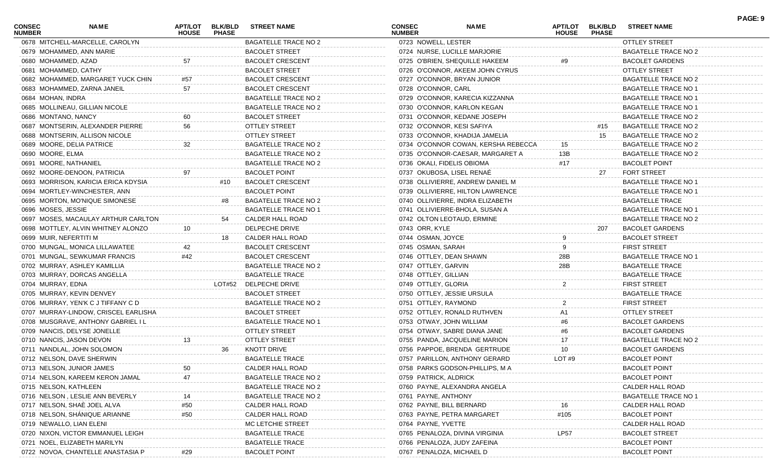| <b>CONSEC</b><br><b>NUMBER</b> | NAME                                 | APT/LOT<br><b>HOUSE</b> | <b>BLK/BLD</b><br><b>PHASE</b> | <b>STREET NAME</b>          | <b>CONSEC</b><br><b>NUMBER</b> | <b>NAME</b>                         | <b>APT/LOT</b><br><b>HOUSE</b> | <b>BLK/BLD</b><br><b>PHASE</b> | <b>STREET NAME</b>          | PAGE: 9 |
|--------------------------------|--------------------------------------|-------------------------|--------------------------------|-----------------------------|--------------------------------|-------------------------------------|--------------------------------|--------------------------------|-----------------------------|---------|
|                                | 0678 MITCHELL-MARCELLE, CAROLYN      |                         |                                | <b>BAGATELLE TRACE NO 2</b> | 0723 NOWELL, LESTER            |                                     |                                |                                | <b>OTTLEY STREET</b>        |         |
|                                | 0679 MOHAMMED, ANN MARIE             |                         |                                | <b>BACOLET STREET</b>       |                                | 0724 NURSE, LUCILLE MARJORIE        |                                |                                | <b>BAGATELLE TRACE NO 2</b> |         |
| 0680 MOHAMMED, AZAD            |                                      | 57                      |                                | <b>BACOLET CRESCENT</b>     |                                | 0725 O'BRIEN, SHEQUILLE HAKEEM      |                                |                                | <b>BACOLET GARDENS</b>      |         |
|                                | 0681 MOHAMMED, CATHY                 |                         |                                | <b>BACOLET STREET</b>       |                                | 0726 O'CONNOR, AKEEM JOHN CYRUS     |                                |                                | OTTLEY STREET               |         |
|                                | 0682 MOHAMMED, MARGARET YUCK CHIN    | #57                     |                                | <b>BACOLET CRESCENT</b>     |                                | 0727 O'CONNOR, BRYAN JUNIOR         |                                |                                | <b>BAGATELLE TRACE NO 2</b> |         |
|                                | 0683 MOHAMMED, ZARNA JANEIL          | 57                      |                                | <b>BACOLET CRESCENT</b>     | 0728 O'CONNOR, CARL            |                                     |                                |                                | <b>BAGATELLE TRACE NO 1</b> |         |
| 0684 MOHAN, INDRA              |                                      |                         |                                | <b>BAGATELLE TRACE NO 2</b> |                                | 0729 O'CONNOR, KARECIA KIZZANNA     |                                |                                | <b>BAGATELLE TRACE NO 1</b> |         |
|                                | 0685 MOLLINEAU, GILLIAN NICOLE       |                         |                                | <b>BAGATELLE TRACE NO 2</b> |                                | 0730 O'CONNOR, KARLON KEGAN         |                                |                                | <b>BAGATELLE TRACE NO 1</b> |         |
| 0686 MONTANO, NANCY            |                                      |                         |                                | <b>BACOLET STREET</b>       |                                | 0731 O'CONNOR, KEDANE JOSEPH        |                                |                                | <b>BAGATELLE TRACE NO 2</b> |         |
|                                | 0687 MONTSERIN, ALEXANDER PIERRE     | 56                      |                                | <b>OTTLEY STREET</b>        | 0732 O'CONNOR, KESI SAFIYA     |                                     |                                | #15                            | <b>BAGATELLE TRACE NO 2</b> |         |
|                                | 0688 MONTSERIN, ALLISON NICOLE       |                         |                                | <b>OTTLEY STREET</b>        |                                | 0733 O'CONNOR, KHADIJA JAMELIA      |                                | 15                             | <b>BAGATELLE TRACE NO 2</b> |         |
|                                | 0689 MOORE, DELIA PATRICE            | 32                      |                                | <b>BAGATELLE TRACE NO 2</b> |                                | 0734 O'CONNOR COWAN, KERSHA REBECCA | 15                             |                                | <b>BAGATELLE TRACE NO 2</b> |         |
| 0690 MOORE, ELMA               |                                      |                         |                                | <b>BAGATELLE TRACE NO 2</b> |                                | 0735 O'CONNOR-CAESAR, MARGARET A    | 13B                            |                                | BAGATELLE TRACE NO 2        |         |
| 0691 MOORE, NATHANIEL          |                                      |                         |                                | <b>BAGATELLE TRACE NO 2</b> | 0736 OKALI, FIDELIS OBIOMA     |                                     | #17                            |                                | <b>BACOLET POINT</b>        |         |
|                                | 0692 MOORE-DENOON, PATRICIA          | 97                      |                                | <b>BACOLET POINT</b>        | 0737 OKUBOSA, LISEL RENAĖ      |                                     |                                | 27                             | <b>FORT STREET</b>          |         |
|                                | 0693 MORRISON, KARICIA ERICA KDYSIA  |                         | #10                            | <b>BACOLET CRESCENT</b>     |                                | 0738 OLLIVIERRE, ANDREW DANIEL M    |                                |                                | <b>BAGATELLE TRACE NO 1</b> |         |
|                                | 0694 MORTLEY-WINCHESTER, ANN         |                         |                                | <b>BACOLET POINT</b>        |                                | 0739 OLLIVIERRE, HILTON LAWRENCE    |                                |                                | <b>BAGATELLE TRACE NO 1</b> |         |
|                                | 0695 MORTON, MO'NIQUE SIMONESE       |                         | #8                             | <b>BAGATELLE TRACE NO 2</b> |                                | 0740 OLLIVIERRE, INDRA ELIZABETH    |                                |                                | <b>BAGATELLE TRACE</b>      |         |
| 0696 MOSES, JESSIE             |                                      |                         |                                | <b>BAGATELLE TRACE NO 1</b> |                                | 0741 OLLIVIERRE-BHOLA, SUSAN A      |                                |                                | <b>BAGATELLE TRACE NO 1</b> |         |
|                                | 0697 MOSES, MACAULAY ARTHUR CARLTON  |                         | 54                             | CALDER HALL ROAD            | 0742 OLTON LEOTAUD, ERMINE     |                                     |                                |                                | BAGATELLE TRACE NO 2        |         |
|                                | 0698 MOTTLEY, ALVIN WHITNEY ALONZO   |                         |                                | DELPECHE DRIVE              | 0743 ORR, KYLE                 |                                     |                                | 207                            | <b>BACOLET GARDENS</b>      |         |
| 0699 MUIR, NEFERTITI M         |                                      |                         | 18                             | CALDER HALL ROAD            | 0744 OSMAN, JOYCE              |                                     |                                |                                | <b>BACOLET STREET</b>       |         |
|                                | 0700 MUNGAL, MONICA LILLAWATEE       | 42                      |                                | <b>BACOLET CRESCENT</b>     | 0745 OSMAN, SARAH              |                                     |                                |                                | <b>FIRST STREET</b>         |         |
|                                | 0701 MUNGAL, SEWKUMAR FRANCIS        | #42                     |                                | <b>BACOLET CRESCENT</b>     | 0746 OTTLEY, DEAN SHAWN        |                                     | 28B                            |                                | <b>BAGATELLE TRACE NO 1</b> |         |
|                                | 0702 MURRAY, ASHLEY KAMILLIA         |                         |                                | <b>BAGATELLE TRACE NO 2</b> | 0747 OTTLEY, GARVIN            |                                     | 28B                            |                                | <b>BAGATELLE TRACE</b>      |         |
|                                | 0703 MURRAY, DORCAS ANGELLA          |                         |                                | <b>BAGATELLE TRACE</b>      | 0748 OTTLEY, GILLIAN           |                                     |                                |                                | <b>BAGATELLE TRACE</b>      |         |
| 0704 MURRAY, EDNA              |                                      |                         |                                | LOT#52 DELPECHE DRIVE       | 0749 OTTLEY, GLORIA            |                                     | $\overline{2}$                 |                                | <b>FIRST STREET</b>         |         |
|                                | 0705 MURRAY, KEVIN DENVEY            |                         |                                | <b>BACOLET STREET</b>       | 0750 OTTLEY, JESSIE URSULA     |                                     |                                |                                | <b>BAGATELLE TRACE</b>      |         |
|                                | 0706 MURRAY, YEN'K C J TIFFANY C D   |                         |                                | <b>BAGATELLE TRACE NO 2</b> | 0751 OTTLEY, RAYMOND           |                                     |                                |                                | <b>FIRST STREET</b>         |         |
|                                | 0707 MURRAY-LINDOW, CRISCEL EARLISHA |                         |                                | <b>BACOLET STREET</b>       |                                | 0752 OTTLEY, RONALD RUTHVEN         | A1                             |                                | OTTLEY STREET               |         |
|                                | 0708 MUSGRAVE, ANTHONY GABRIEL I L   |                         |                                | <b>BAGATELLE TRACE NO 1</b> | 0753 OTWAY, JOHN WILLIAM       |                                     | #6                             |                                | <b>BACOLET GARDENS</b>      |         |
|                                | 0709 NANCIS, DELYSE JONELLE          |                         |                                | <b>OTTLEY STREET</b>        |                                | 0754 OTWAY, SABRE DIANA JANE        | #6                             |                                | <b>BACOLET GARDENS</b>      |         |
|                                | 0710 NANCIS, JASON DEVON             | 13                      |                                | <b>OTTLEY STREET</b>        |                                | 0755 PANDA, JACQUELINE MARION       | 17                             |                                | BAGATELLE TRACE NO 2        |         |
|                                | 0711 NANDLAL, JOHN SOLOMON           |                         | 36                             | <b>KNOTT DRIVE</b>          |                                | 0756 PAPPOE, BRENDA GERTRUDE        | 10                             |                                | <b>BACOLET GARDENS</b>      |         |
|                                | 0712 NELSON, DAVE SHERWIN            |                         |                                | <b>BAGATELLE TRACE</b>      |                                | 0757 PARILLON, ANTHONY GERARD       | LOT#9                          |                                | <b>BACOLET POINT</b>        |         |
|                                | 0713 NELSON, JUNIOR JAMES            | 50                      |                                | CALDER HALL ROAD            |                                | 0758 PARKS GODSON-PHILLIPS, M A     |                                |                                | <b>BACOLET POINT</b>        |         |
|                                | 0714 NELSON, KAREEM KERON JAMAL      | 47                      |                                | <b>BAGATELLE TRACE NO 2</b> | 0759 PATRICK, ALDRICK          |                                     |                                |                                | <b>BACOLET POINT</b>        |         |
| 0715 NELSON, KATHLEEN          |                                      |                         |                                |                             |                                | 0760 PAYNE, ALEXANDRA ANGEL         |                                |                                |                             |         |
|                                |                                      |                         |                                | <b>BAGATELLE TRACE NO 2</b> |                                |                                     |                                |                                | CALDER HALL ROAD            |         |
|                                | 0716 NELSON, LESLIE ANN BEVERLY      |                         |                                | <b>BAGATELLE TRACE NO 2</b> | 0761 PAYNE, ANTHONY            |                                     |                                |                                | <b>BAGATELLE TRACE NO 1</b> |         |
|                                | 0717 NELSON, SHAÈ JOEL ALVA          | #50                     |                                | CALDER HALL ROAD            | 0762 PAYNE, BILL BERNARD       |                                     |                                |                                | CALDER HALL ROAD            |         |
|                                | 0718 NELSON, SHÁNIQUE ARIANNE        | #50                     |                                | CALDER HALL ROAD            | 0763 PAYNE, PETRA MARGARET     |                                     | #105                           |                                | <b>BACOLET POINT</b>        |         |
|                                | 0719 NEWALLO, LIAN ELENI             |                         |                                | MC LETCHIE STREET           | 0764 PAYNE, YVETTE             |                                     |                                |                                | CALDER HALL ROAD            |         |
|                                | 0720 NIXON, VICTOR EMMANUEL LEIGH    |                         |                                | <b>BAGATELLE TRACE</b>      |                                | 0765 PENALOZA, DIVINA VIRGINIA      | <b>LP57</b>                    |                                | <b>BACOLET STREET</b>       |         |
|                                | 0721 NOEL, ELIZABETH MARILYN         |                         |                                | <b>BAGATELLE TRACE</b>      | 0766 PENALOZA, JUDY ZAFEINA    |                                     |                                |                                | <b>BACOLET POINT</b>        |         |
|                                | 0722 NOVOA, CHANTELLE ANASTASIA P    | #29                     |                                | <b>BACOLET POINT</b>        | 0767 PENALOZA, MICHAEL D       |                                     |                                |                                | <b>BACOLET POINT</b>        |         |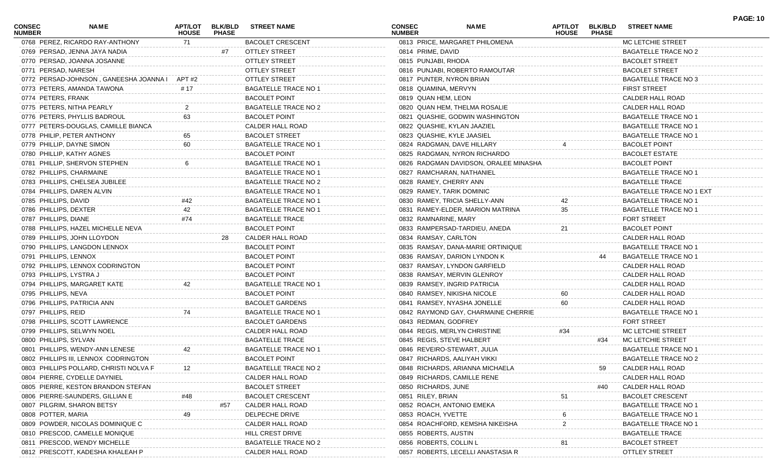| CONSEC<br><b>NUMBER</b> | NAME                                          | APT/LOT<br><b>HOUSE</b> | <b>BLK/BLD</b><br><b>PHASE</b> | <b>STREET NAME</b>          | <b>CONSEC</b><br><b>NUMBER</b> |                        | NAME                                  | <b>APT/LOT</b><br><b>HOUSE</b> | <b>BLK/BLD</b><br><b>PHASE</b> | <b>STREET NAME</b>              | <b>PAGE: 10</b> |
|-------------------------|-----------------------------------------------|-------------------------|--------------------------------|-----------------------------|--------------------------------|------------------------|---------------------------------------|--------------------------------|--------------------------------|---------------------------------|-----------------|
|                         | 0768 PEREZ, RICARDO RAY-ANTHONY               | 71                      |                                | <b>BACOLET CRESCENT</b>     |                                |                        | 0813 PRICE, MARGARET PHILOMENA        |                                |                                | MC LETCHIE STREET               |                 |
|                         | 0769 PERSAD, JENNA JAYA NADIA                 |                         | #7                             | <b>OTTLEY STREET</b>        |                                | 0814 PRIME, DAVID      |                                       |                                |                                | <b>BAGATELLE TRACE NO 2</b>     |                 |
|                         | 0770 PERSAD, JOANNA JOSANNE                   |                         |                                | <b>OTTLEY STREET</b>        |                                | 0815 PUNJABI, RHODA    |                                       |                                |                                | <b>BACOLET STREET</b>           |                 |
| 0771 PERSAD, NARESH     |                                               |                         |                                | <b>OTTLEY STREET</b>        |                                |                        | 0816 PUNJABI, ROBERTO RAMOUTAR        |                                |                                | <b>BACOLET STREET</b>           |                 |
|                         | 0772 PERSAD-JOHNSON, GANEESHA JOANNA   APT #2 |                         |                                | <b>OTTLEY STREET</b>        |                                |                        | 0817 PUNTER, NYRON BRIAN              |                                |                                | <b>BAGATELLE TRACE NO 3</b>     |                 |
|                         | 0773 PETERS, AMANDA TAWONA                    | # 17                    |                                | <b>BAGATELLE TRACE NO 1</b> |                                | 0818 QUAMINA, MERVYN   |                                       |                                |                                | <b>FIRST STREET</b>             |                 |
| 0774 PETERS, FRANK      |                                               |                         |                                | <b>BACOLET POINT</b>        |                                | 0819 QUAN HEM, LEON    |                                       |                                |                                | CALDER HALL ROAD                |                 |
|                         | 0775 PETERS, NITHA PEARLY                     |                         |                                | <b>BAGATELLE TRACE NO 2</b> |                                |                        | 0820 QUAN HEM, THELMA ROSALIE         |                                |                                | CALDER HALL ROAD                |                 |
|                         | 0776 PETERS, PHYLLIS BADROUL                  | 63                      |                                | <b>BACOLET POINT</b>        |                                |                        | 0821 QUASHIE, GODWIN WASHINGTON       |                                |                                | <b>BAGATELLE TRACE NO 1</b>     |                 |
|                         | 0777 PETERS-DOUGLAS, CAMILLE BIANCA           |                         |                                | CALDER HALL ROAD            |                                |                        | 0822 QUASHIE, KYLAN JAAZIEL           |                                |                                | <b>BAGATELLE TRACE NO 1</b>     |                 |
|                         | 0778 PHILIP, PETER ANTHONY                    | 65                      |                                | <b>BACOLET STREET</b>       |                                |                        | 0823 QUASHIE, KYLE JAASIEL            |                                |                                | <b>BAGATELLE TRACE NO 1</b>     |                 |
|                         | 0779 PHILLIP, DAYNE SIMON                     | 60                      |                                | <b>BAGATELLE TRACE NO 1</b> |                                |                        | 0824 RADGMAN, DAVE HILLARY            |                                |                                | <b>BACOLET POINT</b>            |                 |
|                         | 0780 PHILLIP, KATHY AGNES                     |                         |                                | <b>BACOLET POINT</b>        |                                |                        | 0825 RADGMAN, NYRON RICHARDO          |                                |                                | <b>BACOLET ESTATE</b>           |                 |
|                         | 0781 PHILLIP, SHERVON STEPHEN                 |                         |                                | <b>BAGATELLE TRACE NO 1</b> |                                |                        | 0826 RADGMAN DAVIDSON, ORALEE MINASHA |                                |                                | <b>BACOLET POINT</b>            |                 |
|                         | 0782 PHILLIPS, CHARMAINE                      |                         |                                | <b>BAGATELLE TRACE NO 1</b> |                                |                        | 0827 RAMCHARAN, NATHANIEL             |                                |                                | <b>BAGATELLE TRACE NO 1</b>     |                 |
|                         | 0783 PHILLIPS, CHELSEA JUBILEE                |                         |                                | <b>BAGATELLE TRACE NO 2</b> |                                |                        | 0828 RAMEY, CHERRY ANN                |                                |                                | <b>BAGATELLE TRACE</b>          |                 |
|                         | 0784 PHILLIPS, DAREN ALVIN                    |                         |                                | <b>BAGATELLE TRACE NO 1</b> |                                |                        | 0829 RAMEY, TARIK DOMINIC             |                                |                                | <b>BAGATELLE TRACE NO 1 EXT</b> |                 |
| 0785 PHILLIPS, DAVID    |                                               | #42                     |                                | <b>BAGATELLE TRACE NO 1</b> |                                |                        | 0830 RAMEY, TRICIA SHELLY-ANN         |                                |                                | <b>BAGATELLE TRACE NO 1</b>     |                 |
|                         | 0786 PHILLIPS, DEXTER                         | 42                      |                                | <b>BAGATELLE TRACE NO 1</b> |                                |                        | 0831 RAMEY-ELDER, MARION MATRINA      | 35                             |                                | <b>BAGATELLE TRACE NO 1</b>     |                 |
| 0787 PHILLIPS, DIANE    |                                               | #74                     |                                | <b>BAGATELLE TRACE</b>      |                                | 0832 RAMNARINE, MARY   |                                       |                                |                                | <b>FORT STREET</b>              |                 |
|                         | 0788 PHILLIPS, HAZEL MICHELLE NEVA            |                         |                                | <b>BACOLET POINT</b>        |                                |                        | 0833 RAMPERSAD-TARDIEU, ANEDA         | 21                             |                                | <b>BACOLET POINT</b>            |                 |
|                         | 0789 PHILLIPS, JOHN LLOYDON                   |                         | 28                             | <b>CALDER HALL ROAD</b>     |                                | 0834 RAMSAY, CARLTON   |                                       |                                |                                | CALDER HALL ROAD                |                 |
|                         | 0790 PHILLIPS, LANGDON LENNOX                 |                         |                                | <b>BACOLET POINT</b>        |                                |                        | 0835 RAMSAY, DANA-MARIE ORTINIQUE     |                                |                                | <b>BAGATELLE TRACE NO 1</b>     |                 |
|                         | 0791 PHILLIPS, LENNOX                         |                         |                                | <b>BACOLET POINT</b>        |                                |                        | 0836 RAMSAY, DARION LYNDON K          |                                | 44                             | <b>BAGATELLE TRACE NO 1</b>     |                 |
|                         | 0792 PHILLIPS, LENNOX CODRINGTON              |                         |                                | <b>BACOLET POINT</b>        |                                |                        | 0837 RAMSAY, LYNDON GARFIELD          |                                |                                | CALDER HALL ROAD                |                 |
|                         | 0793 PHILLIPS, LYSTRA J                       |                         |                                | <b>BACOLET POINT</b>        |                                |                        | 0838 RAMSAY, MERVIN GLENROY           |                                |                                | CALDER HALL ROAD                |                 |
|                         |                                               |                         |                                | <b>BAGATELLE TRACE NO 1</b> |                                |                        |                                       |                                |                                | CALDER HALL ROAD                |                 |
|                         | 0794 PHILLIPS, MARGARET KATE                  | 42                      |                                |                             |                                |                        | 0839 RAMSEY, INGRID PATRICIA          |                                |                                |                                 |                 |
| 0795 PHILLIPS, NEVA     |                                               |                         |                                | <b>BACOLET POINT</b>        |                                |                        | 0840 RAMSEY, NIKISHA NICOLE           |                                |                                | CALDER HALL ROAD                |                 |
|                         | 0796 PHILLIPS, PATRICIA ANN                   |                         |                                | <b>BACOLET GARDENS</b>      |                                |                        | 0841 RAMSEY, NYASHA JONELLE           | 60                             |                                | CALDER HALL ROAD                |                 |
| 0797 PHILLIPS, REID     |                                               | 74                      |                                | <b>BAGATELLE TRACE NO 1</b> |                                |                        | 0842 RAYMOND GAY, CHARMAINE CHERRIE   |                                |                                | <b>BAGATELLE TRACE NO 1</b>     |                 |
|                         | 0798 PHILLIPS, SCOTT LAWRENCE                 |                         |                                | <b>BACOLET GARDENS</b>      |                                | 0843 REDMAN, GODFREY   |                                       |                                |                                | <b>FORT STREET</b>              |                 |
|                         | 0799 PHILLIPS, SELWYN NOEL                    |                         |                                | CALDER HALL ROAD            |                                |                        | 0844 REGIS, MERLYN CHRISTINE          | #34                            |                                | MC LETCHIE STREET               |                 |
| 0800 PHILLIPS, SYLVAN   |                                               |                         |                                | <b>BAGATELLE TRACE</b>      |                                |                        | 0845 REGIS, STEVE HALBERT             |                                | #34                            | MC LETCHIE STREET               |                 |
|                         | 0801 PHILLIPS, WENDY-ANN LENESE               | 42                      |                                | <b>BAGATELLE TRACE NO 1</b> |                                |                        | 0846 REVEIRO-STEWART, JULIA           |                                |                                | <b>BAGATELLE TRACE NO 1</b>     |                 |
|                         | 0802 PHILLIPS III, LENNOX CODRINGTON          |                         |                                | <b>BACOLET POINT</b>        |                                |                        | 0847 RICHARDS, AALIYAH VIKKI          |                                |                                | <b>BAGATELLE TRACE NO 2</b>     |                 |
|                         | 0803 PHILLIPS POLLARD, CHRISTI NOLVA F        | 12                      |                                | BAGATELLE TRACE NO 2        |                                |                        | 0848 RICHARDS, ARIANNA MICHAELA       |                                | 59                             | CALDER HALL ROAD                |                 |
|                         | 0804 PIERRE, CYDELLE DAYNIEL                  |                         |                                | CALDER HALL ROAD            |                                |                        | 0849 RICHARDS, CAMILLE RENE           |                                |                                | CALDER HALL ROAD                |                 |
|                         | 0805 PIERRE, KESTON BRANDON STEFAN            |                         |                                | <b>BACOLET STREET</b>       |                                | 0850 RICHARDS, JUNE    |                                       |                                | #40                            | CALDER HALL ROAD                |                 |
|                         | 0806 PIERRE-SAUNDERS, GILLIAN E               |                         |                                | <b>BACOLET CRESCENT</b>     |                                | 0851 RILEY, BRIAN      |                                       | 51                             |                                | <b>BACOLET CRESCENT</b>         |                 |
|                         | 0807 PILGRIM, SHARON BETSY                    |                         | #57                            | CALDER HALL ROAD            |                                |                        | 0852 ROACH, ANTONIO EMEKA             |                                |                                | <b>BAGATELLE TRACE NO 1</b>     |                 |
| 0808 POTTER, MARIA      |                                               | 49                      |                                | DELPECHE DRIVE              |                                | 0853 ROACH, YVETTE     |                                       |                                |                                | <b>BAGATELLE TRACE NO 1</b>     |                 |
|                         | 0809 POWDER, NICOLAS DOMINIQUE C              |                         |                                | <b>CALDER HALL ROAD</b>     |                                |                        | 0854 ROACHFORD, KEMSHA NIKEISHA       |                                |                                | <b>BAGATELLE TRACE NO 1</b>     |                 |
|                         | 0810 PRESCOD, CAMELLE MONIQUE                 |                         |                                | HILL CREST DRIVE            |                                | 0855 ROBERTS, AUSTIN   |                                       |                                |                                | <b>BAGATELLE TRACE</b>          |                 |
|                         | 0811 PRESCOD, WENDY MICHELLE                  |                         |                                | <b>BAGATELLE TRACE NO 2</b> |                                | 0856 ROBERTS, COLLIN L |                                       | 81                             |                                | <b>BACOLET STREET</b>           |                 |
|                         | 0812 PRESCOTT, KADESHA KHALEAH P              |                         |                                | CALDER HALL ROAD            |                                |                        | 0857 ROBERTS, LECELLI ANASTASIA R     |                                |                                | <b>OTTLEY STREET</b>            |                 |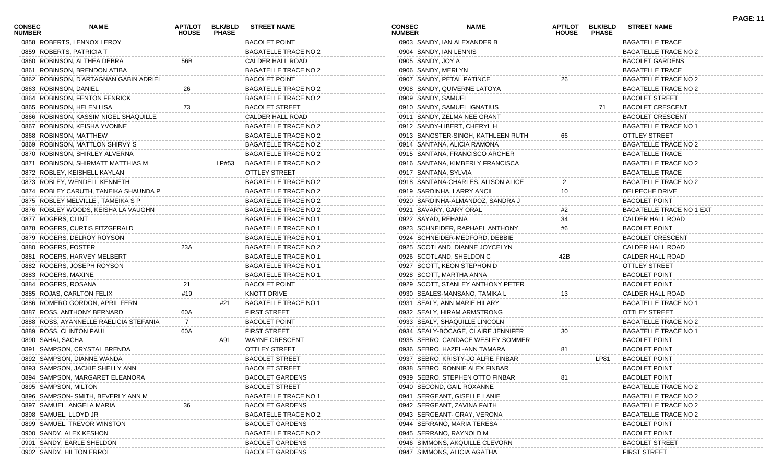| CONSEC<br><b>NUMBER</b> | NAME                                   | APT/LOT<br><b>HOUSE</b> | <b>BLK/BLD</b><br><b>PHASE</b> | <b>STREET NAME</b>          | <b>CONSEC</b><br><b>NUMBER</b> |                    | <b>NAME</b>                        | APT/LOT<br><b>HOUSE</b> | <b>BLK/BLD</b><br><b>PHASE</b> | <b>STREET NAME</b>          | <b>PAGE: 11</b> |
|-------------------------|----------------------------------------|-------------------------|--------------------------------|-----------------------------|--------------------------------|--------------------|------------------------------------|-------------------------|--------------------------------|-----------------------------|-----------------|
|                         | 0858 ROBERTS, LENNOX LEROY             |                         |                                | <b>BACOLET POINT</b>        |                                |                    | 0903 SANDY, IAN ALEXANDER B        |                         |                                | <b>BAGATELLE TRACE</b>      |                 |
|                         | 0859 ROBERTS, PATRICIA T               |                         |                                | BAGATELLE TRACE NO 2        |                                |                    | 0904 SANDY, IAN LENNIS             |                         |                                | BAGATELLE TRACE NO 2        |                 |
|                         | 0860 ROBINSON, ALTHEA DEBRA            | 56B                     |                                | CALDER HALL ROAD            |                                | 0905 SANDY, JOY A  |                                    |                         |                                | <b>BACOLET GARDENS</b>      |                 |
|                         | 0861 ROBINSON, BRENDON ATIBA           |                         |                                | <b>BAGATELLE TRACE NO 2</b> |                                | 0906 SANDY, MERLYN |                                    |                         |                                | <b>BAGATELLE TRACE</b>      |                 |
|                         | 0862 ROBINSON, D'ARTAGNAN GABIN ADRIEL |                         |                                | <b>BACOLET POINT</b>        |                                |                    | 0907 SANDY, PETAL PATINCE          | 26                      |                                | <b>BAGATELLE TRACE NO 2</b> |                 |
| 0863 ROBINSON, DANIEL   |                                        | 26                      |                                | <b>BAGATELLE TRACE NO 2</b> |                                |                    | 0908 SANDY, QUIVERNE LATOYA        |                         |                                | BAGATELLE TRACE NO 2        |                 |
|                         | 0864 ROBINSON, FENTON FENRICK          |                         |                                | <b>BAGATELLE TRACE NO 2</b> |                                | 0909 SANDY, SAMUEL |                                    |                         |                                | <b>BACOLET STREET</b>       |                 |
|                         | 0865 ROBINSON, HELEN LISA              | 73                      |                                | <b>BACOLET STREET</b>       |                                |                    | 0910 SANDY, SAMUEL IGNATIUS        |                         | 71                             | <b>BACOLET CRESCENT</b>     |                 |
|                         | 0866 ROBINSON, KASSIM NIGEL SHAQUILLE  |                         |                                | CALDER HALL ROAD            |                                |                    | 0911 SANDY, ZELMA NEE GRANT        |                         |                                | <b>BACOLET CRESCENT</b>     |                 |
|                         | 0867 ROBINSON, KEISHA YVONNE           |                         |                                | <b>BAGATELLE TRACE NO 2</b> |                                |                    | 0912 SANDY-LIBERT, CHERYL H        |                         |                                | <b>BAGATELLE TRACE NO 1</b> |                 |
|                         | 0868 ROBINSON, MATTHEW                 |                         |                                | <b>BAGATELLE TRACE NO 2</b> |                                |                    | 0913 SANGSTER-SINGH, KATHLEEN RUTH | 66                      |                                | <b>OTTLEY STREET</b>        |                 |
|                         | 0869 ROBINSON, MATTLON SHIRVY S        |                         |                                | <b>BAGATELLE TRACE NO 2</b> |                                |                    | 0914 SANTANA, ALICIA RAMONA        |                         |                                | BAGATELLE TRACE NO 2        |                 |
|                         | 0870 ROBINSON, SHIRLEY ALVERNA         |                         |                                | <b>BAGATELLE TRACE NO 2</b> |                                |                    | 0915 SANTANA, FRANCISCO ARCHER     |                         |                                | <b>BAGATELLE TRACE</b>      |                 |
|                         | 0871 ROBINSON, SHIRMATT MATTHIAS M     |                         | LP#53                          | <b>BAGATELLE TRACE NO 2</b> |                                |                    | 0916 SANTANA, KIMBERLY FRANCISCA   |                         |                                | <b>BAGATELLE TRACE NO 2</b> |                 |
|                         | 0872 ROBLEY, KEISHELL KAYLAN           |                         |                                | <b>OTTLEY STREET</b>        |                                |                    | 0917 SANTANA, SYLVIA               |                         |                                | <b>BAGATELLE TRACE</b>      |                 |
|                         | 0873 ROBLEY, WENDELL KENNETH           |                         |                                | <b>BAGATELLE TRACE NO 2</b> |                                |                    | 0918 SANTANA-CHARLES, ALISON ALICE |                         |                                | <b>BAGATELLE TRACE NO 2</b> |                 |
|                         | 0874 ROBLEY CARUTH, TANEIKA SHAUNDA P  |                         |                                | <b>BAGATELLE TRACE NO 2</b> |                                |                    | 0919 SARDINHA, LARRY ANCIL         | 10                      |                                | DELPECHE DRIVE              |                 |
|                         | 0875 ROBLEY MELVILLE, TAMEIKA S P      |                         |                                | <b>BAGATELLE TRACE NO 2</b> |                                |                    | 0920 SARDINHA-ALMANDOZ, SANDRA J   |                         |                                | <b>BACOLET POINT</b>        |                 |
|                         | 0876 ROBLEY WOODS, KEISHA LA VAUGHN    |                         |                                | <b>BAGATELLE TRACE NO 2</b> |                                |                    | 0921 SAVARY, GARY ORAL             | #2                      |                                | BAGATELLE TRACE NO 1 EXT    |                 |
| 0877 ROGERS, CLINT      |                                        |                         |                                | <b>BAGATELLE TRACE NO 1</b> |                                | 0922 SAYAD, REHANA |                                    | 34                      |                                | CALDER HALL ROAD            |                 |
|                         | 0878 ROGERS, CURTIS FITZGERALD         |                         |                                | <b>BAGATELLE TRACE NO 1</b> |                                |                    | 0923 SCHNEIDER, RAPHAEL ANTHONY    | #6                      |                                | <b>BACOLET POINT</b>        |                 |
|                         | 0879 ROGERS, DELROY ROYSON             |                         |                                | <b>BAGATELLE TRACE NO 1</b> |                                |                    | 0924 SCHNEIDER-MEDFORD, DEBBIE     |                         |                                | <b>BACOLET CRESCENT</b>     |                 |
| 0880 ROGERS, FOSTER     |                                        | 23A                     |                                | <b>BAGATELLE TRACE NO 2</b> |                                |                    | 0925 SCOTLAND, DIANNE JOYCELYN     |                         |                                | CALDER HALL ROAD            |                 |
|                         | 0881 ROGERS, HARVEY MELBERT            |                         |                                | <b>BAGATELLE TRACE NO 1</b> |                                |                    | 0926 SCOTLAND, SHELDON C           | 42B                     |                                | CALDER HALL ROAD            |                 |
|                         | 0882 ROGERS, JOSEPH ROYSON             |                         |                                | <b>BAGATELLE TRACE NO 1</b> |                                |                    | 0927 SCOTT, KEON STEPHON D         |                         |                                | <b>OTTLEY STREET</b>        |                 |
| 0883 ROGERS, MAXINE     |                                        |                         |                                | <b>BAGATELLE TRACE NO 1</b> |                                |                    | 0928 SCOTT, MARTHA ANNA            |                         |                                | <b>BACOLET POINT</b>        |                 |
|                         |                                        |                         |                                | <b>BACOLET POINT</b>        |                                |                    |                                    |                         |                                | <b>BACOLET POINT</b>        |                 |
| 0884 ROGERS, ROSANA     |                                        | 21                      |                                |                             |                                |                    | 0929 SCOTT, STANLEY ANTHONY PETER  |                         |                                |                             |                 |
|                         | 0885 ROJAS, CARLTON FELIX              | #19                     |                                | <b>KNOTT DRIVE</b>          |                                |                    | 0930 SEALES-MANSANO, TAMIKA L      | 13                      |                                | CALDER HALL ROAD            |                 |
|                         | 0886 ROMERO GORDON, APRIL FERN         |                         | #21                            | <b>BAGATELLE TRACE NO 1</b> |                                |                    | 0931 SEALY, ANN MARIE HILARY       |                         |                                | <b>BAGATELLE TRACE NO 1</b> |                 |
|                         | 0887 ROSS, ANTHONY BERNARD             | 60A                     |                                | <b>FIRST STREET</b>         |                                |                    | 0932 SEALY, HIRAM ARMSTRONG        |                         |                                | <b>OTTLEY STREET</b>        |                 |
|                         | 0888 ROSS, AYANNELLE RAELICIA STEFANIA |                         |                                | <b>BACOLET POINT</b>        |                                |                    | 0933 SEALY, SHAQUILLE LINCOLN      |                         |                                | <b>BAGATELLE TRACE NO 2</b> |                 |
|                         | 0889 ROSS, CLINTON PAUL                | 60A                     |                                | <b>FIRST STREET</b>         |                                |                    | 0934 SEALY-BOCAGE, CLAIRE JENNIFER | 30                      |                                | <b>BAGATELLE TRACE NO 1</b> |                 |
| 0890 SAHAI, SACHA       |                                        |                         | A91                            | WAYNE CRESCENT              |                                |                    | 0935 SEBRO, CANDACE WESLEY SOMMER  |                         |                                | <b>BACOLET POINT</b>        |                 |
|                         | 0891 SAMPSON, CRYSTAL BRENDA           |                         |                                | <b>OTTLEY STREET</b>        |                                |                    | 0936 SEBRO, HAZEL-ANN TAMARA       | 81                      |                                | <b>BACOLET POINT</b>        |                 |
|                         | 0892 SAMPSON, DIANNE WANDA             |                         |                                | <b>BACOLET STREET</b>       |                                |                    | 0937 SEBRO, KRISTY-JO ALFIE FINBAR |                         | LP81                           | <b>BACOLET POINT</b>        |                 |
|                         | 0893 SAMPSON, JACKIE SHELLY ANN        |                         |                                | <b>BACOLET STREET</b>       |                                |                    | 0938 SEBRO, RONNIE ALEX FINBAR     |                         |                                | <b>BACOLET POINT</b>        |                 |
|                         | 0894 SAMPSON, MARGARET ELEANORA        |                         |                                | <b>BACOLET GARDENS</b>      |                                |                    | 0939 SEBRO, STEPHEN OTTO FINBAR    |                         |                                | <b>BACOLET POINT</b>        |                 |
| 0895 SAMPSON, MILTON    |                                        |                         |                                | <b>BACOLET STREET</b>       |                                |                    | 0940 SECOND, GAIL ROXANNE          |                         |                                | <b>BAGATELLE TRACE NO 2</b> |                 |
|                         | 0896 SAMPSON-SMITH, BEVERLY ANN M      |                         |                                | <b>BAGATELLE TRACE NO 1</b> |                                |                    | 0941 SERGEANT, GISELLE LANIE       |                         |                                | <b>BAGATELLE TRACE NO 2</b> |                 |
|                         | 0897 SAMUEL, ANGELA MARIA              |                         |                                | <b>BACOLET GARDENS</b>      |                                |                    | 0942 SERGEANT, ZAVINA FAITH        |                         |                                | <b>BAGATELLE TRACE NO 2</b> |                 |
| 0898 SAMUEL, LLOYD JR   |                                        |                         |                                | <b>BAGATELLE TRACE NO 2</b> |                                |                    | 0943 SERGEANT- GRAY, VERONA        |                         |                                | <b>BAGATELLE TRACE NO 2</b> |                 |
|                         | 0899 SAMUEL, TREVOR WINSTON            |                         |                                | <b>BACOLET GARDENS</b>      |                                |                    | 0944 SERRANO, MARIA TERESA         |                         |                                | <b>BACOLET POINT</b>        |                 |
|                         | 0900 SANDY, ALEX KESHON                |                         |                                | <b>BAGATELLE TRACE NO 2</b> |                                |                    | 0945 SERRANO, RAYNOLD M            |                         |                                | <b>BACOLET POINT</b>        |                 |
|                         | 0901 SANDY, EARLE SHELDON              |                         |                                | <b>BACOLET GARDENS</b>      |                                |                    | 0946 SIMMONS, AKQUILLE CLEVORN     |                         |                                | <b>BACOLET STREET</b>       |                 |
|                         | 0902 SANDY, HILTON ERROL               |                         |                                | <b>BACOLET GARDENS</b>      |                                |                    | 0947 SIMMONS, ALICIA AGATHA        |                         |                                | <b>FIRST STREET</b>         |                 |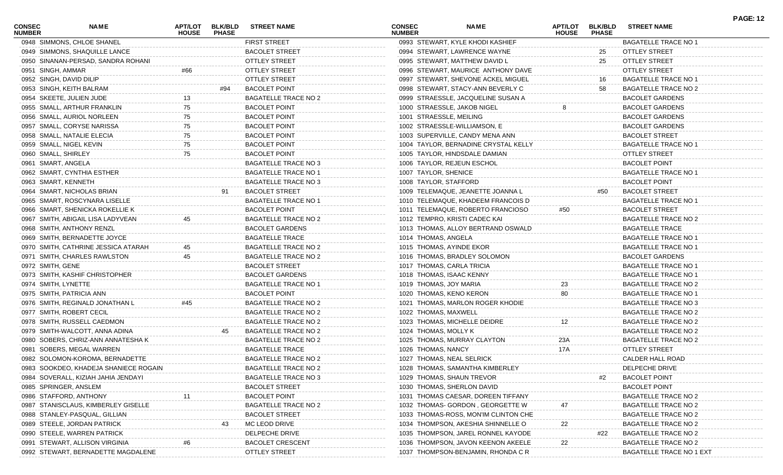| 0948 SIMMONS, CHLOE SHANEL<br><b>FIRST STREET</b><br>0993 STEWART, KYLE KHODI KASHIEF<br><b>BAGATELLE TRACE NO 1</b><br><b>BACOLET STREET</b><br>0949 SIMMONS, SHAQUILLE LANCE<br>0994 STEWART, LAWRENCE WAYNE<br>OTTLEY STREET<br>25<br><b>OTTLEY STREET</b><br>0950 SINANAN-PERSAD, SANDRA ROHANI<br>0995 STEWART, MATTHEW DAVID L<br>25<br>OTTLEY STREET<br><b>OTTLEY STREET</b><br>0996 STEWART, MAURICE ANTHONY DAVE<br><b>OTTLEY STREET</b><br>0951 SINGH, AMMAR<br>#66<br>0952 SINGH, DAVID DILIP<br><b>OTTLEY STREET</b><br>0997 STEWART, SHEVONE ACKEL MIGUEL<br><b>BAGATELLE TRACE NO 1</b><br>16<br>0998 STEWART, STACY-ANN BEVERLY C<br>0953 SINGH, KEITH BALRAM<br>#94<br><b>BACOLET POINT</b><br>BAGATELLE TRACE NO 2<br>58<br>0954 SKEETE, JULIEN JUDE<br>0999 STRAESSLE, JACQUELINE SUSAN A<br><b>BAGATELLE TRACE NO 2</b><br><b>BACOLET GARDENS</b><br><b>BACOLET POINT</b><br>1000 STRAESSLE, JAKOB NIGEL<br>0955 SMALL, ARTHUR FRANKLIN<br><b>BACOLET GARDENS</b><br>75<br>1001 STRAESSLE, MEILING<br>0956 SMALL, AURIOL NORLEEN<br>75<br><b>BACOLET POINT</b><br><b>BACOLET GARDENS</b><br>1002 STRAESSLE-WILLIAMSON, E<br>0957 SMALL, CORYSE NARISSA<br>75<br><b>BACOLET POINT</b><br><b>BACOLET GARDENS</b><br><b>BACOLET POINT</b><br><b>BACOLET STREET</b><br>0958 SMALL, NATALIE ELECIA<br>75<br>1003 SUPERVILLE, CANDY MENA ANN<br>0959 SMALL, NIGEL KEVIN<br><b>BACOLET POINT</b><br>75<br>1004 TAYLOR, BERNADINE CRYSTAL KELLY<br><b>BAGATELLE TRACE NO 1</b><br>0960 SMALL, SHIRLEY<br><b>BACOLET POINT</b><br>75<br>1005 TAYLOR, HINDSDALE DAMIAN<br>OTTLEY STREET<br>0961 SMART, ANGELA<br><b>BAGATELLE TRACE NO 3</b><br>1006 TAYLOR, REJEUN ESCHOL<br><b>BACOLET POINT</b><br>1007 TAYLOR, SHENICE<br>0962 SMART, CYNTHIA ESTHER<br><b>BAGATELLE TRACE NO 1</b><br><b>BAGATELLE TRACE NO 1</b><br>0963 SMART, KENNETH<br>1008 TAYLOR, STAFFORD<br><b>BAGATELLE TRACE NO 3</b><br><b>BACOLET POINT</b><br>0964 SMART, NICHOLAS BRIAN<br>91<br><b>BACOLET STREET</b><br>1009 TELEMAQUE, JEANETTE JOANNA L<br>#50<br><b>BACOLET STREET</b><br>0965 SMART, ROSCYNARA LISELLE<br><b>BAGATELLE TRACE NO 1</b><br>1010 TELEMAQUE, KHADEEM FRANCOIS D<br><b>BAGATELLE TRACE NO 1</b><br><b>BACOLET POINT</b><br>0966 SMART, SHENICKA ROKELLIE K<br>1011 TELEMAQUE, ROBERTO FRANCIOSO<br><b>BACOLET STREET</b><br>#50<br>1012 TEMPRO, KRISTI CADEC KAI<br>0967 SMITH, ABIGAIL LISA LADYVEAN<br><b>BAGATELLE TRACE NO 2</b><br>BAGATELLE TRACE NO 2<br>45<br>0968 SMITH, ANTHONY RENZL<br><b>BACOLET GARDENS</b><br>1013 THOMAS, ALLOY BERTRAND OSWALD<br><b>BAGATELLE TRACE</b><br><b>BAGATELLE TRACE</b><br>0969 SMITH, BERNADETTE JOYCE<br>1014 THOMAS, ANGELA<br><b>BAGATELLE TRACE NO 1</b><br>0970 SMITH, CATHRINE JESSICA ATARAH<br>BAGATELLE TRACE NO 2<br>1015 THOMAS, AYINDE EKOR<br><b>BAGATELLE TRACE NO 1</b><br>0971 SMITH, CHARLES RAWLSTON<br><b>BACOLET GARDENS</b><br>BAGATELLE TRACE NO 2<br>1016 THOMAS, BRADLEY SOLOMON<br>45<br>0972 SMITH, GENE<br><b>BACOLET STREET</b><br>1017 THOMAS, CARLA TRICIA<br><b>BAGATELLE TRACE NO 1</b><br>0973 SMITH, KASHIF CHRISTOPHER<br><b>BACOLET GARDENS</b><br>1018 THOMAS, ISAAC KENNY<br><b>BAGATELLE TRACE NO 1</b><br>0974 SMITH, LYNETTE<br><b>BAGATELLE TRACE NO 1</b><br>1019 THOMAS, JOY MARIA<br>BAGATELLE TRACE NO 2<br>23<br><b>BACOLET POINT</b><br>0975 SMITH, PATRICIA ANN<br>1020 THOMAS, KENO KERON<br><b>BAGATELLE TRACE NO 1</b><br>80<br>0976 SMITH, REGINALD JONATHAN L<br>#45<br><b>BAGATELLE TRACE NO 2</b><br>1021 THOMAS, MARLON ROGER KHODIE<br>BAGATELLE TRACE NO 3<br>0977 SMITH, ROBERT CECIL<br>BAGATELLE TRACE NO 2<br>1022 THOMAS, MAXWELL<br>BAGATELLE TRACE NO 2<br>0978 SMITH, RUSSELL CAEDMON<br><b>BAGATELLE TRACE NO 2</b><br>1023 THOMAS, MICHELLE DEIDRE<br>BAGATELLE TRACE NO 2<br>12<br>45<br>0979 SMITH-WALCOTT, ANNA ADINA<br>BAGATELLE TRACE NO 2<br>1024 THOMAS, MOLLY K<br>BAGATELLE TRACE NO 2<br>0980 SOBERS, CHRIZ-ANN ANNATESHA K<br><b>BAGATELLE TRACE NO 2</b><br>1025 THOMAS, MURRAY CLAYTON<br>23A<br>BAGATELLE TRACE NO 2<br>0981 SOBERS, MEGAL WARREN<br><b>BAGATELLE TRACE</b><br>1026 THOMAS, NANCY<br><b>OTTLEY STREET</b><br>17A<br>0982 SOLOMON-KOROMA, BERNADETTE<br><b>BAGATELLE TRACE NO 2</b><br>1027 THOMAS, NEAL SELRICK<br>CALDER HALL ROAD<br>0983 SOOKDEO, KHADEJA SHANIECE ROGAIN<br><b>BAGATELLE TRACE NO 2</b><br>1028 THOMAS, SAMANTHA KIMBERLEY<br>DELPECHE DRIVE<br>0984 SOVERALL, KIZIAH JAHIA JENDAYI<br><b>BAGATELLE TRACE NO 3</b><br>1029 THOMAS, SHAUN TREVOR<br><b>BACOLET POINT</b><br>#2<br>0985 SPRINGER, ANSLEM<br><b>BACOLET POINT</b><br><b>BACOLET STREET</b><br>1030 THOMAS, SHERLON DAVID<br>0986 STAFFORD, ANTHONY<br><b>BACOLET POINT</b><br>1031 THOMAS CAESAR, DOREEN TIFFANY<br><b>BAGATELLE TRACE NO 2</b><br>0987 STANISCLAUS, KIMBERLEY GISELLE<br><b>BAGATELLE TRACE NO 2</b><br>1032 THOMAS-GORDON, GEORGETTE W<br><b>BAGATELLE TRACE NO 2</b><br>0988 STANLEY-PASQUAL, GILLIAN<br><b>BACOLET STREET</b><br>1033 THOMAS-ROSS, MON'IM CLINTON CHE<br><b>BAGATELLE TRACE NO 2</b><br>MC LEOD DRIVE<br>0989 STEELE, JORDAN PATRICK<br>1034 THOMPSON, AKESHIA SHINNELLE O<br><b>BAGATELLE TRACE NO 2</b><br>22<br>DELPECHE DRIVE<br>0990 STEELE, WARREN PATRICK<br>1035 THOMPSON, JAREL RONNEL KAYODE<br><b>BAGATELLE TRACE NO 2</b><br>#22<br><b>BACOLET CRESCENT</b><br>22<br>0991 STEWART, ALLISON VIRGINIA<br>1036 THOMPSON, JAVON KEENON AKEELE<br><b>BAGATELLE TRACE NO 2</b><br>0992 STEWART, BERNADETTE MAGDALENE<br><b>OTTLEY STREET</b><br>1037 THOMPSON-BENJAMIN, RHONDA C R<br><b>BAGATELLE TRACE NO 1 EXT</b> | <b>CONSEC</b><br><b>NUMBER</b> | <b>NAME</b> | <b>APT/LOT</b><br><b>HOUSE</b> | <b>BLK/BLD</b><br><b>PHASE</b> | <b>STREET NAME</b> | <b>CONSEC</b><br><b>NUMBER</b> | <b>NAME</b> | APT/LOT<br><b>HOUSE</b> | <b>BLK/BLD</b><br><b>PHASE</b> | <b>STREET NAME</b> | <b>PAGE: 12</b> |
|-----------------------------------------------------------------------------------------------------------------------------------------------------------------------------------------------------------------------------------------------------------------------------------------------------------------------------------------------------------------------------------------------------------------------------------------------------------------------------------------------------------------------------------------------------------------------------------------------------------------------------------------------------------------------------------------------------------------------------------------------------------------------------------------------------------------------------------------------------------------------------------------------------------------------------------------------------------------------------------------------------------------------------------------------------------------------------------------------------------------------------------------------------------------------------------------------------------------------------------------------------------------------------------------------------------------------------------------------------------------------------------------------------------------------------------------------------------------------------------------------------------------------------------------------------------------------------------------------------------------------------------------------------------------------------------------------------------------------------------------------------------------------------------------------------------------------------------------------------------------------------------------------------------------------------------------------------------------------------------------------------------------------------------------------------------------------------------------------------------------------------------------------------------------------------------------------------------------------------------------------------------------------------------------------------------------------------------------------------------------------------------------------------------------------------------------------------------------------------------------------------------------------------------------------------------------------------------------------------------------------------------------------------------------------------------------------------------------------------------------------------------------------------------------------------------------------------------------------------------------------------------------------------------------------------------------------------------------------------------------------------------------------------------------------------------------------------------------------------------------------------------------------------------------------------------------------------------------------------------------------------------------------------------------------------------------------------------------------------------------------------------------------------------------------------------------------------------------------------------------------------------------------------------------------------------------------------------------------------------------------------------------------------------------------------------------------------------------------------------------------------------------------------------------------------------------------------------------------------------------------------------------------------------------------------------------------------------------------------------------------------------------------------------------------------------------------------------------------------------------------------------------------------------------------------------------------------------------------------------------------------------------------------------------------------------------------------------------------------------------------------------------------------------------------------------------------------------------------------------------------------------------------------------------------------------------------------------------------------------------------------------------------------------------------------------------------------------------------------------------------------------------------------------------------------------------------------------------------------------------------------------------------------------------------------------------------------------------------------------------------------------------------------------------------------------------------------------------------------------------------------------------------------------------------------------------------------------------------------------------------------------------------------------------------------------------------------------------------------------------------------------------------------------------------------------------------------------------------------------------------------------------------------------------------------------------------------------------------------------------|--------------------------------|-------------|--------------------------------|--------------------------------|--------------------|--------------------------------|-------------|-------------------------|--------------------------------|--------------------|-----------------|
|                                                                                                                                                                                                                                                                                                                                                                                                                                                                                                                                                                                                                                                                                                                                                                                                                                                                                                                                                                                                                                                                                                                                                                                                                                                                                                                                                                                                                                                                                                                                                                                                                                                                                                                                                                                                                                                                                                                                                                                                                                                                                                                                                                                                                                                                                                                                                                                                                                                                                                                                                                                                                                                                                                                                                                                                                                                                                                                                                                                                                                                                                                                                                                                                                                                                                                                                                                                                                                                                                                                                                                                                                                                                                                                                                                                                                                                                                                                                                                                                                                                                                                                                                                                                                                                                                                                                                                                                                                                                                                                                                                                                                                                                                                                                                                                                                                                                                                                                                                                                                                                                                                                                                                                                                                                                                                                                                                                                                                                                                                                                                                                                                 |                                |             |                                |                                |                    |                                |             |                         |                                |                    |                 |
|                                                                                                                                                                                                                                                                                                                                                                                                                                                                                                                                                                                                                                                                                                                                                                                                                                                                                                                                                                                                                                                                                                                                                                                                                                                                                                                                                                                                                                                                                                                                                                                                                                                                                                                                                                                                                                                                                                                                                                                                                                                                                                                                                                                                                                                                                                                                                                                                                                                                                                                                                                                                                                                                                                                                                                                                                                                                                                                                                                                                                                                                                                                                                                                                                                                                                                                                                                                                                                                                                                                                                                                                                                                                                                                                                                                                                                                                                                                                                                                                                                                                                                                                                                                                                                                                                                                                                                                                                                                                                                                                                                                                                                                                                                                                                                                                                                                                                                                                                                                                                                                                                                                                                                                                                                                                                                                                                                                                                                                                                                                                                                                                                 |                                |             |                                |                                |                    |                                |             |                         |                                |                    |                 |
|                                                                                                                                                                                                                                                                                                                                                                                                                                                                                                                                                                                                                                                                                                                                                                                                                                                                                                                                                                                                                                                                                                                                                                                                                                                                                                                                                                                                                                                                                                                                                                                                                                                                                                                                                                                                                                                                                                                                                                                                                                                                                                                                                                                                                                                                                                                                                                                                                                                                                                                                                                                                                                                                                                                                                                                                                                                                                                                                                                                                                                                                                                                                                                                                                                                                                                                                                                                                                                                                                                                                                                                                                                                                                                                                                                                                                                                                                                                                                                                                                                                                                                                                                                                                                                                                                                                                                                                                                                                                                                                                                                                                                                                                                                                                                                                                                                                                                                                                                                                                                                                                                                                                                                                                                                                                                                                                                                                                                                                                                                                                                                                                                 |                                |             |                                |                                |                    |                                |             |                         |                                |                    |                 |
|                                                                                                                                                                                                                                                                                                                                                                                                                                                                                                                                                                                                                                                                                                                                                                                                                                                                                                                                                                                                                                                                                                                                                                                                                                                                                                                                                                                                                                                                                                                                                                                                                                                                                                                                                                                                                                                                                                                                                                                                                                                                                                                                                                                                                                                                                                                                                                                                                                                                                                                                                                                                                                                                                                                                                                                                                                                                                                                                                                                                                                                                                                                                                                                                                                                                                                                                                                                                                                                                                                                                                                                                                                                                                                                                                                                                                                                                                                                                                                                                                                                                                                                                                                                                                                                                                                                                                                                                                                                                                                                                                                                                                                                                                                                                                                                                                                                                                                                                                                                                                                                                                                                                                                                                                                                                                                                                                                                                                                                                                                                                                                                                                 |                                |             |                                |                                |                    |                                |             |                         |                                |                    |                 |
|                                                                                                                                                                                                                                                                                                                                                                                                                                                                                                                                                                                                                                                                                                                                                                                                                                                                                                                                                                                                                                                                                                                                                                                                                                                                                                                                                                                                                                                                                                                                                                                                                                                                                                                                                                                                                                                                                                                                                                                                                                                                                                                                                                                                                                                                                                                                                                                                                                                                                                                                                                                                                                                                                                                                                                                                                                                                                                                                                                                                                                                                                                                                                                                                                                                                                                                                                                                                                                                                                                                                                                                                                                                                                                                                                                                                                                                                                                                                                                                                                                                                                                                                                                                                                                                                                                                                                                                                                                                                                                                                                                                                                                                                                                                                                                                                                                                                                                                                                                                                                                                                                                                                                                                                                                                                                                                                                                                                                                                                                                                                                                                                                 |                                |             |                                |                                |                    |                                |             |                         |                                |                    |                 |
|                                                                                                                                                                                                                                                                                                                                                                                                                                                                                                                                                                                                                                                                                                                                                                                                                                                                                                                                                                                                                                                                                                                                                                                                                                                                                                                                                                                                                                                                                                                                                                                                                                                                                                                                                                                                                                                                                                                                                                                                                                                                                                                                                                                                                                                                                                                                                                                                                                                                                                                                                                                                                                                                                                                                                                                                                                                                                                                                                                                                                                                                                                                                                                                                                                                                                                                                                                                                                                                                                                                                                                                                                                                                                                                                                                                                                                                                                                                                                                                                                                                                                                                                                                                                                                                                                                                                                                                                                                                                                                                                                                                                                                                                                                                                                                                                                                                                                                                                                                                                                                                                                                                                                                                                                                                                                                                                                                                                                                                                                                                                                                                                                 |                                |             |                                |                                |                    |                                |             |                         |                                |                    |                 |
|                                                                                                                                                                                                                                                                                                                                                                                                                                                                                                                                                                                                                                                                                                                                                                                                                                                                                                                                                                                                                                                                                                                                                                                                                                                                                                                                                                                                                                                                                                                                                                                                                                                                                                                                                                                                                                                                                                                                                                                                                                                                                                                                                                                                                                                                                                                                                                                                                                                                                                                                                                                                                                                                                                                                                                                                                                                                                                                                                                                                                                                                                                                                                                                                                                                                                                                                                                                                                                                                                                                                                                                                                                                                                                                                                                                                                                                                                                                                                                                                                                                                                                                                                                                                                                                                                                                                                                                                                                                                                                                                                                                                                                                                                                                                                                                                                                                                                                                                                                                                                                                                                                                                                                                                                                                                                                                                                                                                                                                                                                                                                                                                                 |                                |             |                                |                                |                    |                                |             |                         |                                |                    |                 |
|                                                                                                                                                                                                                                                                                                                                                                                                                                                                                                                                                                                                                                                                                                                                                                                                                                                                                                                                                                                                                                                                                                                                                                                                                                                                                                                                                                                                                                                                                                                                                                                                                                                                                                                                                                                                                                                                                                                                                                                                                                                                                                                                                                                                                                                                                                                                                                                                                                                                                                                                                                                                                                                                                                                                                                                                                                                                                                                                                                                                                                                                                                                                                                                                                                                                                                                                                                                                                                                                                                                                                                                                                                                                                                                                                                                                                                                                                                                                                                                                                                                                                                                                                                                                                                                                                                                                                                                                                                                                                                                                                                                                                                                                                                                                                                                                                                                                                                                                                                                                                                                                                                                                                                                                                                                                                                                                                                                                                                                                                                                                                                                                                 |                                |             |                                |                                |                    |                                |             |                         |                                |                    |                 |
|                                                                                                                                                                                                                                                                                                                                                                                                                                                                                                                                                                                                                                                                                                                                                                                                                                                                                                                                                                                                                                                                                                                                                                                                                                                                                                                                                                                                                                                                                                                                                                                                                                                                                                                                                                                                                                                                                                                                                                                                                                                                                                                                                                                                                                                                                                                                                                                                                                                                                                                                                                                                                                                                                                                                                                                                                                                                                                                                                                                                                                                                                                                                                                                                                                                                                                                                                                                                                                                                                                                                                                                                                                                                                                                                                                                                                                                                                                                                                                                                                                                                                                                                                                                                                                                                                                                                                                                                                                                                                                                                                                                                                                                                                                                                                                                                                                                                                                                                                                                                                                                                                                                                                                                                                                                                                                                                                                                                                                                                                                                                                                                                                 |                                |             |                                |                                |                    |                                |             |                         |                                |                    |                 |
|                                                                                                                                                                                                                                                                                                                                                                                                                                                                                                                                                                                                                                                                                                                                                                                                                                                                                                                                                                                                                                                                                                                                                                                                                                                                                                                                                                                                                                                                                                                                                                                                                                                                                                                                                                                                                                                                                                                                                                                                                                                                                                                                                                                                                                                                                                                                                                                                                                                                                                                                                                                                                                                                                                                                                                                                                                                                                                                                                                                                                                                                                                                                                                                                                                                                                                                                                                                                                                                                                                                                                                                                                                                                                                                                                                                                                                                                                                                                                                                                                                                                                                                                                                                                                                                                                                                                                                                                                                                                                                                                                                                                                                                                                                                                                                                                                                                                                                                                                                                                                                                                                                                                                                                                                                                                                                                                                                                                                                                                                                                                                                                                                 |                                |             |                                |                                |                    |                                |             |                         |                                |                    |                 |
|                                                                                                                                                                                                                                                                                                                                                                                                                                                                                                                                                                                                                                                                                                                                                                                                                                                                                                                                                                                                                                                                                                                                                                                                                                                                                                                                                                                                                                                                                                                                                                                                                                                                                                                                                                                                                                                                                                                                                                                                                                                                                                                                                                                                                                                                                                                                                                                                                                                                                                                                                                                                                                                                                                                                                                                                                                                                                                                                                                                                                                                                                                                                                                                                                                                                                                                                                                                                                                                                                                                                                                                                                                                                                                                                                                                                                                                                                                                                                                                                                                                                                                                                                                                                                                                                                                                                                                                                                                                                                                                                                                                                                                                                                                                                                                                                                                                                                                                                                                                                                                                                                                                                                                                                                                                                                                                                                                                                                                                                                                                                                                                                                 |                                |             |                                |                                |                    |                                |             |                         |                                |                    |                 |
|                                                                                                                                                                                                                                                                                                                                                                                                                                                                                                                                                                                                                                                                                                                                                                                                                                                                                                                                                                                                                                                                                                                                                                                                                                                                                                                                                                                                                                                                                                                                                                                                                                                                                                                                                                                                                                                                                                                                                                                                                                                                                                                                                                                                                                                                                                                                                                                                                                                                                                                                                                                                                                                                                                                                                                                                                                                                                                                                                                                                                                                                                                                                                                                                                                                                                                                                                                                                                                                                                                                                                                                                                                                                                                                                                                                                                                                                                                                                                                                                                                                                                                                                                                                                                                                                                                                                                                                                                                                                                                                                                                                                                                                                                                                                                                                                                                                                                                                                                                                                                                                                                                                                                                                                                                                                                                                                                                                                                                                                                                                                                                                                                 |                                |             |                                |                                |                    |                                |             |                         |                                |                    |                 |
|                                                                                                                                                                                                                                                                                                                                                                                                                                                                                                                                                                                                                                                                                                                                                                                                                                                                                                                                                                                                                                                                                                                                                                                                                                                                                                                                                                                                                                                                                                                                                                                                                                                                                                                                                                                                                                                                                                                                                                                                                                                                                                                                                                                                                                                                                                                                                                                                                                                                                                                                                                                                                                                                                                                                                                                                                                                                                                                                                                                                                                                                                                                                                                                                                                                                                                                                                                                                                                                                                                                                                                                                                                                                                                                                                                                                                                                                                                                                                                                                                                                                                                                                                                                                                                                                                                                                                                                                                                                                                                                                                                                                                                                                                                                                                                                                                                                                                                                                                                                                                                                                                                                                                                                                                                                                                                                                                                                                                                                                                                                                                                                                                 |                                |             |                                |                                |                    |                                |             |                         |                                |                    |                 |
|                                                                                                                                                                                                                                                                                                                                                                                                                                                                                                                                                                                                                                                                                                                                                                                                                                                                                                                                                                                                                                                                                                                                                                                                                                                                                                                                                                                                                                                                                                                                                                                                                                                                                                                                                                                                                                                                                                                                                                                                                                                                                                                                                                                                                                                                                                                                                                                                                                                                                                                                                                                                                                                                                                                                                                                                                                                                                                                                                                                                                                                                                                                                                                                                                                                                                                                                                                                                                                                                                                                                                                                                                                                                                                                                                                                                                                                                                                                                                                                                                                                                                                                                                                                                                                                                                                                                                                                                                                                                                                                                                                                                                                                                                                                                                                                                                                                                                                                                                                                                                                                                                                                                                                                                                                                                                                                                                                                                                                                                                                                                                                                                                 |                                |             |                                |                                |                    |                                |             |                         |                                |                    |                 |
|                                                                                                                                                                                                                                                                                                                                                                                                                                                                                                                                                                                                                                                                                                                                                                                                                                                                                                                                                                                                                                                                                                                                                                                                                                                                                                                                                                                                                                                                                                                                                                                                                                                                                                                                                                                                                                                                                                                                                                                                                                                                                                                                                                                                                                                                                                                                                                                                                                                                                                                                                                                                                                                                                                                                                                                                                                                                                                                                                                                                                                                                                                                                                                                                                                                                                                                                                                                                                                                                                                                                                                                                                                                                                                                                                                                                                                                                                                                                                                                                                                                                                                                                                                                                                                                                                                                                                                                                                                                                                                                                                                                                                                                                                                                                                                                                                                                                                                                                                                                                                                                                                                                                                                                                                                                                                                                                                                                                                                                                                                                                                                                                                 |                                |             |                                |                                |                    |                                |             |                         |                                |                    |                 |
|                                                                                                                                                                                                                                                                                                                                                                                                                                                                                                                                                                                                                                                                                                                                                                                                                                                                                                                                                                                                                                                                                                                                                                                                                                                                                                                                                                                                                                                                                                                                                                                                                                                                                                                                                                                                                                                                                                                                                                                                                                                                                                                                                                                                                                                                                                                                                                                                                                                                                                                                                                                                                                                                                                                                                                                                                                                                                                                                                                                                                                                                                                                                                                                                                                                                                                                                                                                                                                                                                                                                                                                                                                                                                                                                                                                                                                                                                                                                                                                                                                                                                                                                                                                                                                                                                                                                                                                                                                                                                                                                                                                                                                                                                                                                                                                                                                                                                                                                                                                                                                                                                                                                                                                                                                                                                                                                                                                                                                                                                                                                                                                                                 |                                |             |                                |                                |                    |                                |             |                         |                                |                    |                 |
|                                                                                                                                                                                                                                                                                                                                                                                                                                                                                                                                                                                                                                                                                                                                                                                                                                                                                                                                                                                                                                                                                                                                                                                                                                                                                                                                                                                                                                                                                                                                                                                                                                                                                                                                                                                                                                                                                                                                                                                                                                                                                                                                                                                                                                                                                                                                                                                                                                                                                                                                                                                                                                                                                                                                                                                                                                                                                                                                                                                                                                                                                                                                                                                                                                                                                                                                                                                                                                                                                                                                                                                                                                                                                                                                                                                                                                                                                                                                                                                                                                                                                                                                                                                                                                                                                                                                                                                                                                                                                                                                                                                                                                                                                                                                                                                                                                                                                                                                                                                                                                                                                                                                                                                                                                                                                                                                                                                                                                                                                                                                                                                                                 |                                |             |                                |                                |                    |                                |             |                         |                                |                    |                 |
|                                                                                                                                                                                                                                                                                                                                                                                                                                                                                                                                                                                                                                                                                                                                                                                                                                                                                                                                                                                                                                                                                                                                                                                                                                                                                                                                                                                                                                                                                                                                                                                                                                                                                                                                                                                                                                                                                                                                                                                                                                                                                                                                                                                                                                                                                                                                                                                                                                                                                                                                                                                                                                                                                                                                                                                                                                                                                                                                                                                                                                                                                                                                                                                                                                                                                                                                                                                                                                                                                                                                                                                                                                                                                                                                                                                                                                                                                                                                                                                                                                                                                                                                                                                                                                                                                                                                                                                                                                                                                                                                                                                                                                                                                                                                                                                                                                                                                                                                                                                                                                                                                                                                                                                                                                                                                                                                                                                                                                                                                                                                                                                                                 |                                |             |                                |                                |                    |                                |             |                         |                                |                    |                 |
|                                                                                                                                                                                                                                                                                                                                                                                                                                                                                                                                                                                                                                                                                                                                                                                                                                                                                                                                                                                                                                                                                                                                                                                                                                                                                                                                                                                                                                                                                                                                                                                                                                                                                                                                                                                                                                                                                                                                                                                                                                                                                                                                                                                                                                                                                                                                                                                                                                                                                                                                                                                                                                                                                                                                                                                                                                                                                                                                                                                                                                                                                                                                                                                                                                                                                                                                                                                                                                                                                                                                                                                                                                                                                                                                                                                                                                                                                                                                                                                                                                                                                                                                                                                                                                                                                                                                                                                                                                                                                                                                                                                                                                                                                                                                                                                                                                                                                                                                                                                                                                                                                                                                                                                                                                                                                                                                                                                                                                                                                                                                                                                                                 |                                |             |                                |                                |                    |                                |             |                         |                                |                    |                 |
|                                                                                                                                                                                                                                                                                                                                                                                                                                                                                                                                                                                                                                                                                                                                                                                                                                                                                                                                                                                                                                                                                                                                                                                                                                                                                                                                                                                                                                                                                                                                                                                                                                                                                                                                                                                                                                                                                                                                                                                                                                                                                                                                                                                                                                                                                                                                                                                                                                                                                                                                                                                                                                                                                                                                                                                                                                                                                                                                                                                                                                                                                                                                                                                                                                                                                                                                                                                                                                                                                                                                                                                                                                                                                                                                                                                                                                                                                                                                                                                                                                                                                                                                                                                                                                                                                                                                                                                                                                                                                                                                                                                                                                                                                                                                                                                                                                                                                                                                                                                                                                                                                                                                                                                                                                                                                                                                                                                                                                                                                                                                                                                                                 |                                |             |                                |                                |                    |                                |             |                         |                                |                    |                 |
|                                                                                                                                                                                                                                                                                                                                                                                                                                                                                                                                                                                                                                                                                                                                                                                                                                                                                                                                                                                                                                                                                                                                                                                                                                                                                                                                                                                                                                                                                                                                                                                                                                                                                                                                                                                                                                                                                                                                                                                                                                                                                                                                                                                                                                                                                                                                                                                                                                                                                                                                                                                                                                                                                                                                                                                                                                                                                                                                                                                                                                                                                                                                                                                                                                                                                                                                                                                                                                                                                                                                                                                                                                                                                                                                                                                                                                                                                                                                                                                                                                                                                                                                                                                                                                                                                                                                                                                                                                                                                                                                                                                                                                                                                                                                                                                                                                                                                                                                                                                                                                                                                                                                                                                                                                                                                                                                                                                                                                                                                                                                                                                                                 |                                |             |                                |                                |                    |                                |             |                         |                                |                    |                 |
|                                                                                                                                                                                                                                                                                                                                                                                                                                                                                                                                                                                                                                                                                                                                                                                                                                                                                                                                                                                                                                                                                                                                                                                                                                                                                                                                                                                                                                                                                                                                                                                                                                                                                                                                                                                                                                                                                                                                                                                                                                                                                                                                                                                                                                                                                                                                                                                                                                                                                                                                                                                                                                                                                                                                                                                                                                                                                                                                                                                                                                                                                                                                                                                                                                                                                                                                                                                                                                                                                                                                                                                                                                                                                                                                                                                                                                                                                                                                                                                                                                                                                                                                                                                                                                                                                                                                                                                                                                                                                                                                                                                                                                                                                                                                                                                                                                                                                                                                                                                                                                                                                                                                                                                                                                                                                                                                                                                                                                                                                                                                                                                                                 |                                |             |                                |                                |                    |                                |             |                         |                                |                    |                 |
|                                                                                                                                                                                                                                                                                                                                                                                                                                                                                                                                                                                                                                                                                                                                                                                                                                                                                                                                                                                                                                                                                                                                                                                                                                                                                                                                                                                                                                                                                                                                                                                                                                                                                                                                                                                                                                                                                                                                                                                                                                                                                                                                                                                                                                                                                                                                                                                                                                                                                                                                                                                                                                                                                                                                                                                                                                                                                                                                                                                                                                                                                                                                                                                                                                                                                                                                                                                                                                                                                                                                                                                                                                                                                                                                                                                                                                                                                                                                                                                                                                                                                                                                                                                                                                                                                                                                                                                                                                                                                                                                                                                                                                                                                                                                                                                                                                                                                                                                                                                                                                                                                                                                                                                                                                                                                                                                                                                                                                                                                                                                                                                                                 |                                |             |                                |                                |                    |                                |             |                         |                                |                    |                 |
|                                                                                                                                                                                                                                                                                                                                                                                                                                                                                                                                                                                                                                                                                                                                                                                                                                                                                                                                                                                                                                                                                                                                                                                                                                                                                                                                                                                                                                                                                                                                                                                                                                                                                                                                                                                                                                                                                                                                                                                                                                                                                                                                                                                                                                                                                                                                                                                                                                                                                                                                                                                                                                                                                                                                                                                                                                                                                                                                                                                                                                                                                                                                                                                                                                                                                                                                                                                                                                                                                                                                                                                                                                                                                                                                                                                                                                                                                                                                                                                                                                                                                                                                                                                                                                                                                                                                                                                                                                                                                                                                                                                                                                                                                                                                                                                                                                                                                                                                                                                                                                                                                                                                                                                                                                                                                                                                                                                                                                                                                                                                                                                                                 |                                |             |                                |                                |                    |                                |             |                         |                                |                    |                 |
|                                                                                                                                                                                                                                                                                                                                                                                                                                                                                                                                                                                                                                                                                                                                                                                                                                                                                                                                                                                                                                                                                                                                                                                                                                                                                                                                                                                                                                                                                                                                                                                                                                                                                                                                                                                                                                                                                                                                                                                                                                                                                                                                                                                                                                                                                                                                                                                                                                                                                                                                                                                                                                                                                                                                                                                                                                                                                                                                                                                                                                                                                                                                                                                                                                                                                                                                                                                                                                                                                                                                                                                                                                                                                                                                                                                                                                                                                                                                                                                                                                                                                                                                                                                                                                                                                                                                                                                                                                                                                                                                                                                                                                                                                                                                                                                                                                                                                                                                                                                                                                                                                                                                                                                                                                                                                                                                                                                                                                                                                                                                                                                                                 |                                |             |                                |                                |                    |                                |             |                         |                                |                    |                 |
|                                                                                                                                                                                                                                                                                                                                                                                                                                                                                                                                                                                                                                                                                                                                                                                                                                                                                                                                                                                                                                                                                                                                                                                                                                                                                                                                                                                                                                                                                                                                                                                                                                                                                                                                                                                                                                                                                                                                                                                                                                                                                                                                                                                                                                                                                                                                                                                                                                                                                                                                                                                                                                                                                                                                                                                                                                                                                                                                                                                                                                                                                                                                                                                                                                                                                                                                                                                                                                                                                                                                                                                                                                                                                                                                                                                                                                                                                                                                                                                                                                                                                                                                                                                                                                                                                                                                                                                                                                                                                                                                                                                                                                                                                                                                                                                                                                                                                                                                                                                                                                                                                                                                                                                                                                                                                                                                                                                                                                                                                                                                                                                                                 |                                |             |                                |                                |                    |                                |             |                         |                                |                    |                 |
|                                                                                                                                                                                                                                                                                                                                                                                                                                                                                                                                                                                                                                                                                                                                                                                                                                                                                                                                                                                                                                                                                                                                                                                                                                                                                                                                                                                                                                                                                                                                                                                                                                                                                                                                                                                                                                                                                                                                                                                                                                                                                                                                                                                                                                                                                                                                                                                                                                                                                                                                                                                                                                                                                                                                                                                                                                                                                                                                                                                                                                                                                                                                                                                                                                                                                                                                                                                                                                                                                                                                                                                                                                                                                                                                                                                                                                                                                                                                                                                                                                                                                                                                                                                                                                                                                                                                                                                                                                                                                                                                                                                                                                                                                                                                                                                                                                                                                                                                                                                                                                                                                                                                                                                                                                                                                                                                                                                                                                                                                                                                                                                                                 |                                |             |                                |                                |                    |                                |             |                         |                                |                    |                 |
|                                                                                                                                                                                                                                                                                                                                                                                                                                                                                                                                                                                                                                                                                                                                                                                                                                                                                                                                                                                                                                                                                                                                                                                                                                                                                                                                                                                                                                                                                                                                                                                                                                                                                                                                                                                                                                                                                                                                                                                                                                                                                                                                                                                                                                                                                                                                                                                                                                                                                                                                                                                                                                                                                                                                                                                                                                                                                                                                                                                                                                                                                                                                                                                                                                                                                                                                                                                                                                                                                                                                                                                                                                                                                                                                                                                                                                                                                                                                                                                                                                                                                                                                                                                                                                                                                                                                                                                                                                                                                                                                                                                                                                                                                                                                                                                                                                                                                                                                                                                                                                                                                                                                                                                                                                                                                                                                                                                                                                                                                                                                                                                                                 |                                |             |                                |                                |                    |                                |             |                         |                                |                    |                 |
|                                                                                                                                                                                                                                                                                                                                                                                                                                                                                                                                                                                                                                                                                                                                                                                                                                                                                                                                                                                                                                                                                                                                                                                                                                                                                                                                                                                                                                                                                                                                                                                                                                                                                                                                                                                                                                                                                                                                                                                                                                                                                                                                                                                                                                                                                                                                                                                                                                                                                                                                                                                                                                                                                                                                                                                                                                                                                                                                                                                                                                                                                                                                                                                                                                                                                                                                                                                                                                                                                                                                                                                                                                                                                                                                                                                                                                                                                                                                                                                                                                                                                                                                                                                                                                                                                                                                                                                                                                                                                                                                                                                                                                                                                                                                                                                                                                                                                                                                                                                                                                                                                                                                                                                                                                                                                                                                                                                                                                                                                                                                                                                                                 |                                |             |                                |                                |                    |                                |             |                         |                                |                    |                 |
|                                                                                                                                                                                                                                                                                                                                                                                                                                                                                                                                                                                                                                                                                                                                                                                                                                                                                                                                                                                                                                                                                                                                                                                                                                                                                                                                                                                                                                                                                                                                                                                                                                                                                                                                                                                                                                                                                                                                                                                                                                                                                                                                                                                                                                                                                                                                                                                                                                                                                                                                                                                                                                                                                                                                                                                                                                                                                                                                                                                                                                                                                                                                                                                                                                                                                                                                                                                                                                                                                                                                                                                                                                                                                                                                                                                                                                                                                                                                                                                                                                                                                                                                                                                                                                                                                                                                                                                                                                                                                                                                                                                                                                                                                                                                                                                                                                                                                                                                                                                                                                                                                                                                                                                                                                                                                                                                                                                                                                                                                                                                                                                                                 |                                |             |                                |                                |                    |                                |             |                         |                                |                    |                 |
|                                                                                                                                                                                                                                                                                                                                                                                                                                                                                                                                                                                                                                                                                                                                                                                                                                                                                                                                                                                                                                                                                                                                                                                                                                                                                                                                                                                                                                                                                                                                                                                                                                                                                                                                                                                                                                                                                                                                                                                                                                                                                                                                                                                                                                                                                                                                                                                                                                                                                                                                                                                                                                                                                                                                                                                                                                                                                                                                                                                                                                                                                                                                                                                                                                                                                                                                                                                                                                                                                                                                                                                                                                                                                                                                                                                                                                                                                                                                                                                                                                                                                                                                                                                                                                                                                                                                                                                                                                                                                                                                                                                                                                                                                                                                                                                                                                                                                                                                                                                                                                                                                                                                                                                                                                                                                                                                                                                                                                                                                                                                                                                                                 |                                |             |                                |                                |                    |                                |             |                         |                                |                    |                 |
|                                                                                                                                                                                                                                                                                                                                                                                                                                                                                                                                                                                                                                                                                                                                                                                                                                                                                                                                                                                                                                                                                                                                                                                                                                                                                                                                                                                                                                                                                                                                                                                                                                                                                                                                                                                                                                                                                                                                                                                                                                                                                                                                                                                                                                                                                                                                                                                                                                                                                                                                                                                                                                                                                                                                                                                                                                                                                                                                                                                                                                                                                                                                                                                                                                                                                                                                                                                                                                                                                                                                                                                                                                                                                                                                                                                                                                                                                                                                                                                                                                                                                                                                                                                                                                                                                                                                                                                                                                                                                                                                                                                                                                                                                                                                                                                                                                                                                                                                                                                                                                                                                                                                                                                                                                                                                                                                                                                                                                                                                                                                                                                                                 |                                |             |                                |                                |                    |                                |             |                         |                                |                    |                 |
|                                                                                                                                                                                                                                                                                                                                                                                                                                                                                                                                                                                                                                                                                                                                                                                                                                                                                                                                                                                                                                                                                                                                                                                                                                                                                                                                                                                                                                                                                                                                                                                                                                                                                                                                                                                                                                                                                                                                                                                                                                                                                                                                                                                                                                                                                                                                                                                                                                                                                                                                                                                                                                                                                                                                                                                                                                                                                                                                                                                                                                                                                                                                                                                                                                                                                                                                                                                                                                                                                                                                                                                                                                                                                                                                                                                                                                                                                                                                                                                                                                                                                                                                                                                                                                                                                                                                                                                                                                                                                                                                                                                                                                                                                                                                                                                                                                                                                                                                                                                                                                                                                                                                                                                                                                                                                                                                                                                                                                                                                                                                                                                                                 |                                |             |                                |                                |                    |                                |             |                         |                                |                    |                 |
|                                                                                                                                                                                                                                                                                                                                                                                                                                                                                                                                                                                                                                                                                                                                                                                                                                                                                                                                                                                                                                                                                                                                                                                                                                                                                                                                                                                                                                                                                                                                                                                                                                                                                                                                                                                                                                                                                                                                                                                                                                                                                                                                                                                                                                                                                                                                                                                                                                                                                                                                                                                                                                                                                                                                                                                                                                                                                                                                                                                                                                                                                                                                                                                                                                                                                                                                                                                                                                                                                                                                                                                                                                                                                                                                                                                                                                                                                                                                                                                                                                                                                                                                                                                                                                                                                                                                                                                                                                                                                                                                                                                                                                                                                                                                                                                                                                                                                                                                                                                                                                                                                                                                                                                                                                                                                                                                                                                                                                                                                                                                                                                                                 |                                |             |                                |                                |                    |                                |             |                         |                                |                    |                 |
|                                                                                                                                                                                                                                                                                                                                                                                                                                                                                                                                                                                                                                                                                                                                                                                                                                                                                                                                                                                                                                                                                                                                                                                                                                                                                                                                                                                                                                                                                                                                                                                                                                                                                                                                                                                                                                                                                                                                                                                                                                                                                                                                                                                                                                                                                                                                                                                                                                                                                                                                                                                                                                                                                                                                                                                                                                                                                                                                                                                                                                                                                                                                                                                                                                                                                                                                                                                                                                                                                                                                                                                                                                                                                                                                                                                                                                                                                                                                                                                                                                                                                                                                                                                                                                                                                                                                                                                                                                                                                                                                                                                                                                                                                                                                                                                                                                                                                                                                                                                                                                                                                                                                                                                                                                                                                                                                                                                                                                                                                                                                                                                                                 |                                |             |                                |                                |                    |                                |             |                         |                                |                    |                 |
|                                                                                                                                                                                                                                                                                                                                                                                                                                                                                                                                                                                                                                                                                                                                                                                                                                                                                                                                                                                                                                                                                                                                                                                                                                                                                                                                                                                                                                                                                                                                                                                                                                                                                                                                                                                                                                                                                                                                                                                                                                                                                                                                                                                                                                                                                                                                                                                                                                                                                                                                                                                                                                                                                                                                                                                                                                                                                                                                                                                                                                                                                                                                                                                                                                                                                                                                                                                                                                                                                                                                                                                                                                                                                                                                                                                                                                                                                                                                                                                                                                                                                                                                                                                                                                                                                                                                                                                                                                                                                                                                                                                                                                                                                                                                                                                                                                                                                                                                                                                                                                                                                                                                                                                                                                                                                                                                                                                                                                                                                                                                                                                                                 |                                |             |                                |                                |                    |                                |             |                         |                                |                    |                 |
|                                                                                                                                                                                                                                                                                                                                                                                                                                                                                                                                                                                                                                                                                                                                                                                                                                                                                                                                                                                                                                                                                                                                                                                                                                                                                                                                                                                                                                                                                                                                                                                                                                                                                                                                                                                                                                                                                                                                                                                                                                                                                                                                                                                                                                                                                                                                                                                                                                                                                                                                                                                                                                                                                                                                                                                                                                                                                                                                                                                                                                                                                                                                                                                                                                                                                                                                                                                                                                                                                                                                                                                                                                                                                                                                                                                                                                                                                                                                                                                                                                                                                                                                                                                                                                                                                                                                                                                                                                                                                                                                                                                                                                                                                                                                                                                                                                                                                                                                                                                                                                                                                                                                                                                                                                                                                                                                                                                                                                                                                                                                                                                                                 |                                |             |                                |                                |                    |                                |             |                         |                                |                    |                 |
|                                                                                                                                                                                                                                                                                                                                                                                                                                                                                                                                                                                                                                                                                                                                                                                                                                                                                                                                                                                                                                                                                                                                                                                                                                                                                                                                                                                                                                                                                                                                                                                                                                                                                                                                                                                                                                                                                                                                                                                                                                                                                                                                                                                                                                                                                                                                                                                                                                                                                                                                                                                                                                                                                                                                                                                                                                                                                                                                                                                                                                                                                                                                                                                                                                                                                                                                                                                                                                                                                                                                                                                                                                                                                                                                                                                                                                                                                                                                                                                                                                                                                                                                                                                                                                                                                                                                                                                                                                                                                                                                                                                                                                                                                                                                                                                                                                                                                                                                                                                                                                                                                                                                                                                                                                                                                                                                                                                                                                                                                                                                                                                                                 |                                |             |                                |                                |                    |                                |             |                         |                                |                    |                 |
|                                                                                                                                                                                                                                                                                                                                                                                                                                                                                                                                                                                                                                                                                                                                                                                                                                                                                                                                                                                                                                                                                                                                                                                                                                                                                                                                                                                                                                                                                                                                                                                                                                                                                                                                                                                                                                                                                                                                                                                                                                                                                                                                                                                                                                                                                                                                                                                                                                                                                                                                                                                                                                                                                                                                                                                                                                                                                                                                                                                                                                                                                                                                                                                                                                                                                                                                                                                                                                                                                                                                                                                                                                                                                                                                                                                                                                                                                                                                                                                                                                                                                                                                                                                                                                                                                                                                                                                                                                                                                                                                                                                                                                                                                                                                                                                                                                                                                                                                                                                                                                                                                                                                                                                                                                                                                                                                                                                                                                                                                                                                                                                                                 |                                |             |                                |                                |                    |                                |             |                         |                                |                    |                 |
|                                                                                                                                                                                                                                                                                                                                                                                                                                                                                                                                                                                                                                                                                                                                                                                                                                                                                                                                                                                                                                                                                                                                                                                                                                                                                                                                                                                                                                                                                                                                                                                                                                                                                                                                                                                                                                                                                                                                                                                                                                                                                                                                                                                                                                                                                                                                                                                                                                                                                                                                                                                                                                                                                                                                                                                                                                                                                                                                                                                                                                                                                                                                                                                                                                                                                                                                                                                                                                                                                                                                                                                                                                                                                                                                                                                                                                                                                                                                                                                                                                                                                                                                                                                                                                                                                                                                                                                                                                                                                                                                                                                                                                                                                                                                                                                                                                                                                                                                                                                                                                                                                                                                                                                                                                                                                                                                                                                                                                                                                                                                                                                                                 |                                |             |                                |                                |                    |                                |             |                         |                                |                    |                 |
|                                                                                                                                                                                                                                                                                                                                                                                                                                                                                                                                                                                                                                                                                                                                                                                                                                                                                                                                                                                                                                                                                                                                                                                                                                                                                                                                                                                                                                                                                                                                                                                                                                                                                                                                                                                                                                                                                                                                                                                                                                                                                                                                                                                                                                                                                                                                                                                                                                                                                                                                                                                                                                                                                                                                                                                                                                                                                                                                                                                                                                                                                                                                                                                                                                                                                                                                                                                                                                                                                                                                                                                                                                                                                                                                                                                                                                                                                                                                                                                                                                                                                                                                                                                                                                                                                                                                                                                                                                                                                                                                                                                                                                                                                                                                                                                                                                                                                                                                                                                                                                                                                                                                                                                                                                                                                                                                                                                                                                                                                                                                                                                                                 |                                |             |                                |                                |                    |                                |             |                         |                                |                    |                 |
|                                                                                                                                                                                                                                                                                                                                                                                                                                                                                                                                                                                                                                                                                                                                                                                                                                                                                                                                                                                                                                                                                                                                                                                                                                                                                                                                                                                                                                                                                                                                                                                                                                                                                                                                                                                                                                                                                                                                                                                                                                                                                                                                                                                                                                                                                                                                                                                                                                                                                                                                                                                                                                                                                                                                                                                                                                                                                                                                                                                                                                                                                                                                                                                                                                                                                                                                                                                                                                                                                                                                                                                                                                                                                                                                                                                                                                                                                                                                                                                                                                                                                                                                                                                                                                                                                                                                                                                                                                                                                                                                                                                                                                                                                                                                                                                                                                                                                                                                                                                                                                                                                                                                                                                                                                                                                                                                                                                                                                                                                                                                                                                                                 |                                |             |                                |                                |                    |                                |             |                         |                                |                    |                 |
|                                                                                                                                                                                                                                                                                                                                                                                                                                                                                                                                                                                                                                                                                                                                                                                                                                                                                                                                                                                                                                                                                                                                                                                                                                                                                                                                                                                                                                                                                                                                                                                                                                                                                                                                                                                                                                                                                                                                                                                                                                                                                                                                                                                                                                                                                                                                                                                                                                                                                                                                                                                                                                                                                                                                                                                                                                                                                                                                                                                                                                                                                                                                                                                                                                                                                                                                                                                                                                                                                                                                                                                                                                                                                                                                                                                                                                                                                                                                                                                                                                                                                                                                                                                                                                                                                                                                                                                                                                                                                                                                                                                                                                                                                                                                                                                                                                                                                                                                                                                                                                                                                                                                                                                                                                                                                                                                                                                                                                                                                                                                                                                                                 |                                |             |                                |                                |                    |                                |             |                         |                                |                    |                 |
|                                                                                                                                                                                                                                                                                                                                                                                                                                                                                                                                                                                                                                                                                                                                                                                                                                                                                                                                                                                                                                                                                                                                                                                                                                                                                                                                                                                                                                                                                                                                                                                                                                                                                                                                                                                                                                                                                                                                                                                                                                                                                                                                                                                                                                                                                                                                                                                                                                                                                                                                                                                                                                                                                                                                                                                                                                                                                                                                                                                                                                                                                                                                                                                                                                                                                                                                                                                                                                                                                                                                                                                                                                                                                                                                                                                                                                                                                                                                                                                                                                                                                                                                                                                                                                                                                                                                                                                                                                                                                                                                                                                                                                                                                                                                                                                                                                                                                                                                                                                                                                                                                                                                                                                                                                                                                                                                                                                                                                                                                                                                                                                                                 |                                |             |                                |                                |                    |                                |             |                         |                                |                    |                 |
|                                                                                                                                                                                                                                                                                                                                                                                                                                                                                                                                                                                                                                                                                                                                                                                                                                                                                                                                                                                                                                                                                                                                                                                                                                                                                                                                                                                                                                                                                                                                                                                                                                                                                                                                                                                                                                                                                                                                                                                                                                                                                                                                                                                                                                                                                                                                                                                                                                                                                                                                                                                                                                                                                                                                                                                                                                                                                                                                                                                                                                                                                                                                                                                                                                                                                                                                                                                                                                                                                                                                                                                                                                                                                                                                                                                                                                                                                                                                                                                                                                                                                                                                                                                                                                                                                                                                                                                                                                                                                                                                                                                                                                                                                                                                                                                                                                                                                                                                                                                                                                                                                                                                                                                                                                                                                                                                                                                                                                                                                                                                                                                                                 |                                |             |                                |                                |                    |                                |             |                         |                                |                    |                 |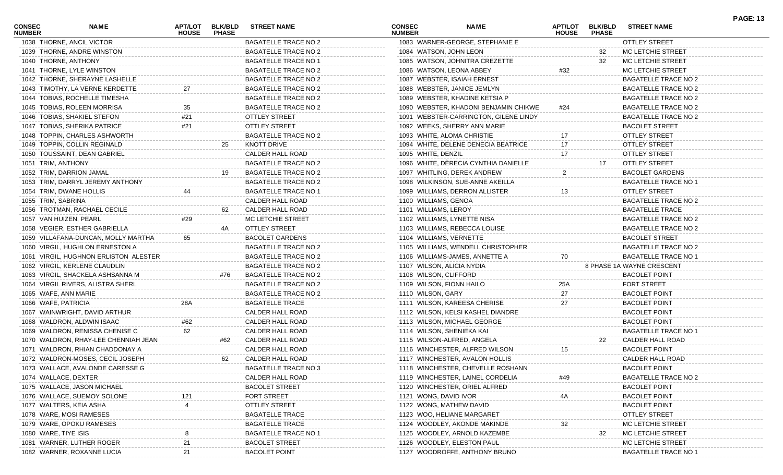| <b>CONSEC</b><br><b>NUMBER</b> | NAME                                  | <b>APT/LOT</b><br><b>HOUSE</b> | <b>BLK/BLD</b><br><b>PHASE</b> | <b>STREET NAME</b>          | <b>CONSEC</b><br><b>NUMBER</b> | <b>NAME</b>                           | <b>APT/LOT</b><br><b>HOUSE</b> | <b>BLK/BLD</b><br><b>PHASE</b> | <b>STREET NAME</b>          | <b>PAGE: 13</b> |
|--------------------------------|---------------------------------------|--------------------------------|--------------------------------|-----------------------------|--------------------------------|---------------------------------------|--------------------------------|--------------------------------|-----------------------------|-----------------|
|                                | 1038 THORNE, ANCIL VICTOR             |                                |                                | <b>BAGATELLE TRACE NO 2</b> |                                | 1083 WARNER-GEORGE, STEPHANIE E       |                                |                                | <b>OTTLEY STREET</b>        |                 |
|                                | 1039 THORNE, ANDRE WINSTON            |                                |                                | <b>BAGATELLE TRACE NO 2</b> | 1084 WATSON, JOHN LEON         |                                       |                                | 32                             | MC LETCHIE STREET           |                 |
|                                | 1040 THORNE, ANTHONY                  |                                |                                | <b>BAGATELLE TRACE NO 1</b> |                                | 1085 WATSON, JOHNITRA CREZETTE        |                                | 32                             | MC LETCHIE STREET           |                 |
|                                | 1041 THORNE, LYLE WINSTON             |                                |                                | <b>BAGATELLE TRACE NO 2</b> |                                | 1086 WATSON, LEONA ABBEY              | #32                            |                                | MC LETCHIE STREET           |                 |
|                                | 1042 THORNE, SHERAYNE LASHELLE        |                                |                                | <b>BAGATELLE TRACE NO 2</b> |                                | 1087 WEBSTER, ISAIAH ERNEST           |                                |                                | <b>BAGATELLE TRACE NO 2</b> |                 |
|                                | 1043 TIMOTHY, LA VERNE KERDETTE       | 27                             |                                | <b>BAGATELLE TRACE NO 2</b> |                                | 1088 WEBSTER, JANICE JEMLYN           |                                |                                | <b>BAGATELLE TRACE NO 2</b> |                 |
|                                | 1044 TOBIAS, ROCHELLE TIMESHA         |                                |                                | <b>BAGATELLE TRACE NO 2</b> |                                | 1089 WEBSTER, KHADINE KETSIA P        |                                |                                | <b>BAGATELLE TRACE NO 2</b> |                 |
|                                | 1045 TOBIAS, ROLEEN MORRISA           |                                |                                | BAGATELLE TRACE NO 2        |                                | 1090 WEBSTER, KHADONI BENJAMIN CHIKWE | #24                            |                                | BAGATELLE TRACE NO 2        |                 |
|                                | 1046 TOBIAS, SHAKIEL STEFON           | #21                            |                                | <b>OTTLEY STREET</b>        |                                | 1091 WEBSTER-CARRINGTON, GILENE LINDY |                                |                                | BAGATELLE TRACE NO 2        |                 |
|                                | 1047 TOBIAS, SHERIKA PATRICE          | #21                            |                                | <b>OTTLEY STREET</b>        |                                | 1092 WEEKS, SHERRY ANN MARIE          |                                |                                | <b>BACOLET STREET</b>       |                 |
|                                | 1048 TOPPIN, CHARLES ASHWORTH         |                                |                                | BAGATELLE TRACE NO 2        |                                | 1093 WHITE, ALOMA CHRISTIE            | 17                             |                                | <b>OTTLEY STREET</b>        |                 |
|                                | 1049 TOPPIN, COLLIN REGINALD          |                                | 25                             | <b>KNOTT DRIVE</b>          |                                | 1094 WHITE, DELENE DENECIA BEATRICE   | 17                             |                                | <b>OTTLEY STREET</b>        |                 |
|                                | 1050 TOUSSAINT, DEAN GABRIEL          |                                |                                | CALDER HALL ROAD            | 1095 WHITE, DENZIL             |                                       | 17                             |                                | <b>OTTLEY STREET</b>        |                 |
|                                | 1051 TRIM, ANTHONY                    |                                |                                | BAGATELLE TRACE NO 2        |                                | 1096 WHITE, DÈRECIA CYNTHIA DANIELLE  |                                | 17                             | OTTLEY STREET               |                 |
|                                | 1052 TRIM, DARRION JAMAL              |                                | 19                             | BAGATELLE TRACE NO 2        |                                | 1097 WHITLING, DEREK ANDREW           |                                |                                | <b>BACOLET GARDENS</b>      |                 |
|                                | 1053 TRIM, DARRYL JEREMY ANTHONY      |                                |                                | <b>BAGATELLE TRACE NO 2</b> |                                | 1098 WILKINSON, SUE-ANNE AKEILLA      |                                |                                | <b>BAGATELLE TRACE NO 1</b> |                 |
|                                | 1054 TRIM, DWANE HOLLIS               | 44                             |                                | <b>BAGATELLE TRACE NO 1</b> |                                | 1099 WILLIAMS, DERRON ALLISTER        | 13                             |                                | OTTLEY STREET               |                 |
|                                | 1055 TRIM, SABRINA                    |                                |                                | CALDER HALL ROAD            | 1100 WILLIAMS, GENOA           |                                       |                                |                                | BAGATELLE TRACE NO 2        |                 |
|                                | 1056 TROTMAN, RACHAEL CECILE          |                                | 62                             | CALDER HALL ROAD            | 1101 WILLIAMS, LEROY           |                                       |                                |                                | <b>BAGATELLE TRACE</b>      |                 |
|                                | 1057 VAN HUIZEN, PEARL                | #29                            |                                | MC LETCHIE STREET           |                                | 1102 WILLIAMS, LYNETTE NISA           |                                |                                | <b>BAGATELLE TRACE NO 2</b> |                 |
|                                | 1058 VEGIER, ESTHER GABRIELLA         |                                | 4A                             | <b>OTTLEY STREET</b>        |                                | 1103 WILLIAMS, REBECCA LOUISE         |                                |                                | <b>BAGATELLE TRACE NO 2</b> |                 |
|                                | 1059 VILLAFANA-DUNCAN, MOLLY MARTHA   | 65                             |                                | <b>BACOLET GARDENS</b>      | 1104 WILLIAMS, VERNETTE        |                                       |                                |                                | <b>BACOLET STREET</b>       |                 |
|                                | 1060 VIRGIL, HUGHLON ERNESTON A       |                                |                                | <b>BAGATELLE TRACE NO 2</b> |                                | 1105 WILLIAMS, WENDELL CHRISTOPHER    |                                |                                | <b>BAGATELLE TRACE NO 2</b> |                 |
|                                | 1061 VIRGIL, HUGHNON ERLISTON ALESTER |                                |                                | <b>BAGATELLE TRACE NO 2</b> |                                | 1106 WILLIAMS-JAMES, ANNETTE A        | 70                             |                                | <b>BAGATELLE TRACE NO 1</b> |                 |
|                                | 1062 VIRGIL, KERLENE CLAUDLIN         |                                |                                | <b>BAGATELLE TRACE NO 2</b> | 1107 WILSON, ALICIA NYDIA      |                                       |                                |                                | 8 PHASE 1A WAYNE CRESCENT   |                 |
|                                | 1063 VIRGIL, SHACKELA ASHSANNA M      |                                | #76                            | BAGATELLE TRACE NO 2        | 1108 WILSON, CLIFFORD          |                                       |                                |                                | <b>BACOLET POINT</b>        |                 |
|                                | 1064 VIRGIL RIVERS, ALISTRA SHERL     |                                |                                | BAGATELLE TRACE NO 2        | 1109 WILSON, FIONN HAILO       |                                       | 25A                            |                                | <b>FORT STREET</b>          |                 |
|                                | 1065 WAFE, ANN MARIE                  |                                |                                | <b>BAGATELLE TRACE NO 2</b> | 1110 WILSON, GARY              |                                       | 27                             |                                | <b>BACOLET POINT</b>        |                 |
|                                | 1066 WAFE, PATRICIA                   | 28A                            |                                | <b>BAGATELLE TRACE</b>      |                                | 1111 WILSON, KAREESA CHERISE          | 27                             |                                | <b>BACOLET POINT</b>        |                 |
|                                | 1067 WAINWRIGHT, DAVID ARTHUR         |                                |                                | CALDER HALL ROAD            |                                | 1112 WILSON, KELSI KASHEL DIANDRE     |                                |                                | <b>BACOLET POINT</b>        |                 |
|                                | 1068 WALDRON, ALDWIN ISAAC            | #62                            |                                | CALDER HALL ROAD            |                                | 1113 WILSON, MICHAEL GEORGE           |                                |                                | <b>BACOLET POINT</b>        |                 |
|                                | 1069 WALDRON, RENISSA CHENISE C       | 62                             |                                | CALDER HALL ROAD            |                                | 1114 WILSON, SHENIEKA KAI             |                                |                                | <b>BAGATELLE TRACE NO 1</b> |                 |
|                                | 1070 WALDRON, RHAY-LEE CHENNIAH JEAN  |                                | #62                            | CALDER HALL ROAD            |                                | 1115 WILSON-ALFRED, ANGELA            |                                | 22                             | CALDER HALL ROAD            |                 |
|                                | 1071 WALDRON, RHIAN CHADDONAY A       |                                |                                | CALDER HALL ROAD            |                                | 1116 WINCHESTER, ALFRED WILSON        | 15                             |                                | <b>BACOLET POINT</b>        |                 |
|                                | 1072 WALDRON-MOSES, CECIL JOSEPH      |                                | 62                             | CALDER HALL ROAD            |                                | 1117 WINCHESTER, AVALON HOLLIS        |                                |                                | CALDER HALL ROAD            |                 |
|                                | 1073 WALLACE, AVALONDE CARESSE G      |                                |                                | <b>BAGATELLE TRACE NO 3</b> |                                | 1118 WINCHESTER, CHEVELLE ROSHANN     |                                |                                | <b>BACOLET POINT</b>        |                 |
|                                | 1074 WALLACE, DEXTER                  |                                |                                | CALDER HALL ROAD            |                                | 1119 WINCHESTER, LAINEL CORDELIA      |                                |                                | <b>BAGATELLE TRACE NO 2</b> |                 |
|                                | 1075 WALLACE, JASON MICHAEL           |                                |                                | <b>BACOLET STREET</b>       |                                | 1120 WINCHESTER, ORIEL ALFRED         |                                |                                | <b>BACOLET POINT</b>        |                 |
|                                | 1076 WALLACE, SUEMOY SOLONE           |                                |                                | FORT STREET                 | 1121 WONG, DAVID IVOR          |                                       |                                |                                | <b>BACOLET POINT</b>        |                 |
|                                | 1077 WALTERS, KEIA ASHA               |                                |                                | <b>OTTLEY STREET</b>        |                                | 1122 WONG, MATHEW DAVID               |                                |                                | <b>BACOLET POINT</b>        |                 |
|                                | 1078 WARE, MOSI RAMESES               |                                |                                | <b>BAGATELLE TRACE</b>      |                                | 1123 WOO, HELIANE MARGARET            |                                |                                | <b>OTTLEY STREET</b>        |                 |
|                                | 1079 WARE, OPOKU RAMESES              |                                |                                | <b>BAGATELLE TRACE</b>      |                                | 1124 WOODLEY, AKONDE MAKINDE          |                                |                                | MC LETCHIE STREET           |                 |
|                                | 1080 WARE, TIYE ISIS                  |                                |                                | <b>BAGATELLE TRACE NO 1</b> |                                | 1125 WOODLEY, ARNOLD KAZEMBE          |                                | 32                             | MC LETCHIE STREET           |                 |
|                                | 1081 WARNER, LUTHER ROGER             |                                |                                | <b>BACOLET STREET</b>       |                                | 1126 WOODLEY, ELESTON PAUL            |                                |                                | MC LETCHIE STREET           |                 |
|                                | 1082 WARNER, ROXANNE LUCIA            |                                |                                | <b>BACOLET POINT</b>        |                                | 1127 WOODROFFE, ANTHONY BRUNO         |                                |                                | <b>BAGATELLE TRACE NO 1</b> |                 |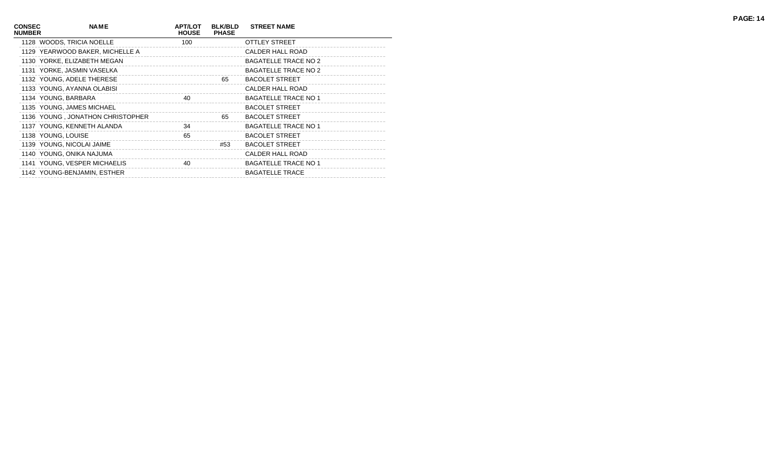| <b>CONSEC</b><br><b>NUMBER</b> | <b>NAME</b>                      | <b>APT/LOT</b><br><b>HOUSE</b> | <b>BLK/BLD</b><br><b>PHASE</b> | <b>STREET NAME</b>          |  |
|--------------------------------|----------------------------------|--------------------------------|--------------------------------|-----------------------------|--|
|                                | 1128 WOODS, TRICIA NOELLE        | 100                            |                                | <b>OTTLEY STREET</b>        |  |
|                                | 1129 YEARWOOD BAKER, MICHELLE A  |                                |                                | CALDER HALL ROAD            |  |
|                                | 1130 YORKE, ELIZABETH MEGAN      |                                |                                | <b>BAGATELLE TRACE NO 2</b> |  |
|                                | 1131 YORKE, JASMIN VASELKA       |                                |                                | <b>BAGATELLE TRACE NO 2</b> |  |
|                                | 1132 YOUNG, ADELE THERESE        |                                | 65                             | <b>BACOLET STREET</b>       |  |
|                                | 1133 YOUNG, AYANNA OLABISI       |                                |                                | CALDER HALL ROAD            |  |
|                                | 1134 YOUNG, BARBARA              | 40                             |                                | <b>BAGATELLE TRACE NO 1</b> |  |
|                                | 1135 YOUNG, JAMES MICHAEL        |                                |                                | <b>BACOLET STREET</b>       |  |
|                                | 1136 YOUNG, JONATHON CHRISTOPHER |                                | 65                             | <b>BACOLET STREET</b>       |  |
|                                | 1137 YOUNG, KENNETH ALANDA       | 34                             |                                | <b>BAGATELLE TRACE NO 1</b> |  |
|                                | 1138 YOUNG, LOUISE               | 65                             |                                | <b>BACOLET STREET</b>       |  |
|                                | 1139 YOUNG, NICOLAI JAIME        |                                | #53                            | <b>BACOLET STREET</b>       |  |
|                                | 1140 YOUNG, ONIKA NAJUMA         |                                |                                | CALDER HALL ROAD            |  |
|                                | 1141 YOUNG, VESPER MICHAELIS     | 40                             |                                | <b>BAGATELLE TRACE NO 1</b> |  |
|                                | 1142 YOUNG-BENJAMIN, ESTHER      |                                |                                | <b>BAGATELLE TRACE</b>      |  |
|                                |                                  |                                |                                |                             |  |